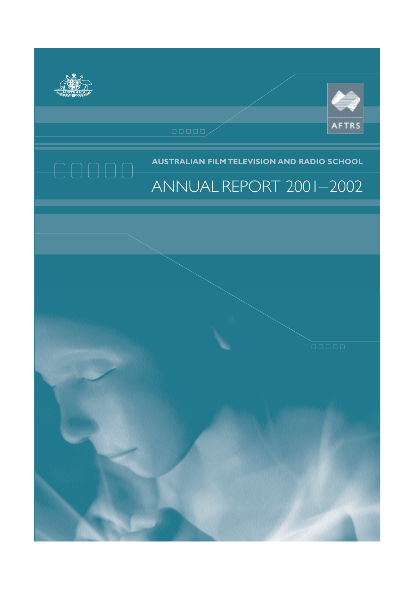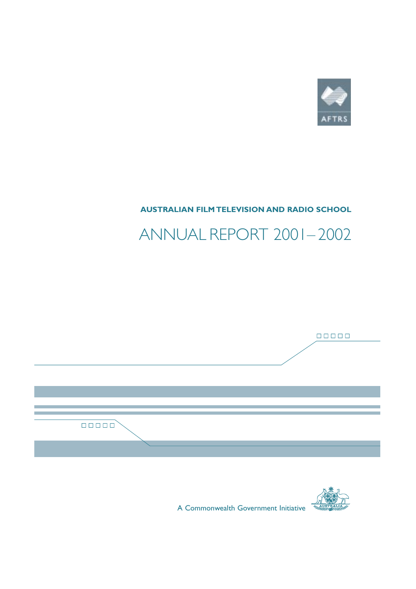

# **AUSTRALIAN FILM TELEVISION AND RADIO SCHOOL**

# ANNUAL REPORT 2001– 2002





A Commonwealth Government Initiative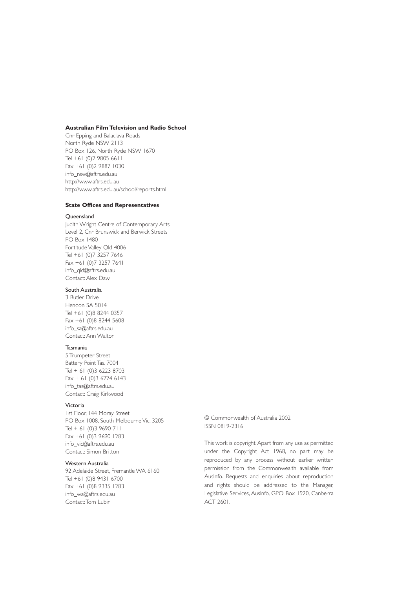### **Australian Film Television and Radio School**

Cnr Epping and Balaclava Roads North Ryde NSW 2113 PO Box 126, North Ryde NSW 1670 Tel +61 (0)2 9805 6611 Fax +61 (0)2 9887 1030 info\_nsw@aftrs.edu.au http://www.aftrs.edu.au http://www.aftrs.edu.au/school/reports.html

### **State Offices and Representatives**

#### Queensland

Judith Wright Centre of Contemporary Arts Level 2, Cnr Brunswick and Berwick Streets PO Box 1480 Fortitude Valley Qld 4006 Tel +61 (0)7 3257 7646 Fax +61 (0)7 3257 7641 info\_qld@aftrs.edu.au Contact: Alex Daw

### South Australia

3 Butler Drive Hendon SA 5014 Tel +61 (0)8 8244 0357 Fax +61 (0)8 8244 5608 info\_sa@aftrs.edu.au Contact: Ann Walton

### Tasmania

5 Trumpeter Street Battery Point Tas. 7004 Tel + 61 (0)3 6223 8703  $Fax + 61 (0)3 6224 6143$ info\_tas@aftrs.edu.au Contact: Craig Kirkwood

### Victoria

1st Floor, 144 Moray Street PO Box 1008, South Melbourne Vic. 3205 Tel + 61 (0)3 9690 7111 Fax +61 (0)3 9690 1283 info\_vic@aftrs.edu.au Contact: Simon Britton

### Western Australia

92 Adelaide Street, Fremantle WA 6160 Tel +61 (0)8 9431 6700 Fax +61 (0)8 9335 1283 info\_wa@aftrs.edu.au Contact:Tom Lubin

© Commonwealth of Australia 2002 ISSN 0819-2316

This work is copyright.Apart from any use as permitted under the Copyright Act 1968, no part may be reproduced by any process without earlier written permission from the Commonwealth available from AusInfo. Requests and enquiries about reproduction and rights should be addressed to the Manager, Legislative Services, AusInfo, GPO Box 1920, Canberra ACT 2601.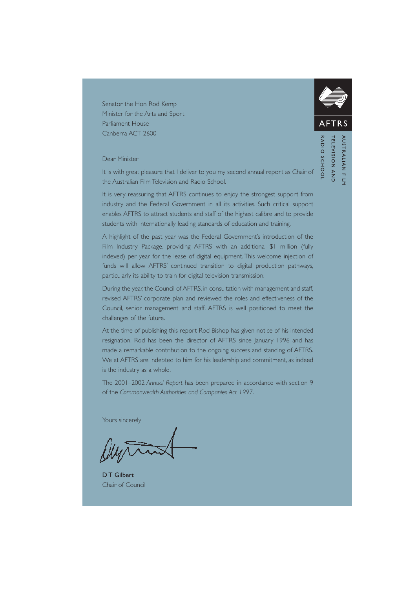Senator the Hon Rod Kemp Minister for the Arts and Sport Parliament House Canberra ACT 2600

### Dear Minister

It is with great pleasure that I deliver to you my second annual report as Chair of the Australian Film Television and Radio School.

It is very reassuring that AFTRS continues to enjoy the strongest support from industry and the Federal Government in all its activities. Such critical support enables AFTRS to attract students and staff of the highest calibre and to provide students with internationally leading standards of education and training.

A highlight of the past year was the Federal Government's introduction of the Film Industry Package, providing AFTRS with an additional \$1 million (fully indexed) per year for the lease of digital equipment. This welcome injection of funds will allow AFTRS' continued transition to digital production pathways, particularly its ability to train for digital television transmission.

During the year, the Council of AFTRS, in consultation with management and staff, revised AFTRS' corporate plan and reviewed the roles and effectiveness of the Council, senior management and staff. AFTRS is well positioned to meet the challenges of the future.

At the time of publishing this report Rod Bishop has given notice of his intended resignation. Rod has been the director of AFTRS since January 1996 and has made a remarkable contribution to the ongoing success and standing of AFTRS. We at AFTRS are indebted to him for his leadership and commitment, as indeed is the industry as a whole.

The 2001–2002 *Annual Report* has been prepared in accordance with section 9 of the *Commonwealth Authorities and Companies Act 1997*.

Yours sincerely

D T Gilbert Chair of Council



 $\frac{1}{2}$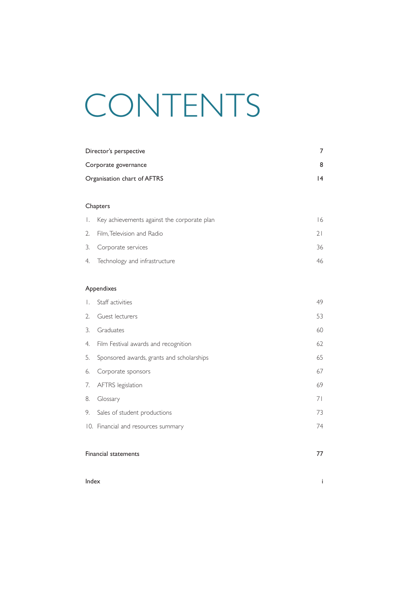# CONTENTS

|                             | Director's perspective                      | 7  |  |  |  |
|-----------------------------|---------------------------------------------|----|--|--|--|
| Corporate governance        | 8                                           |    |  |  |  |
| Organisation chart of AFTRS |                                             |    |  |  |  |
|                             |                                             |    |  |  |  |
|                             | Chapters                                    |    |  |  |  |
| Ι.                          | Key achievements against the corporate plan | 16 |  |  |  |
| 2.                          | Film, Television and Radio                  | 21 |  |  |  |
| 3.                          | Corporate services                          | 36 |  |  |  |
| 4.                          | Technology and infrastructure               | 46 |  |  |  |
|                             |                                             |    |  |  |  |
| Appendixes                  |                                             |    |  |  |  |
| Ι.                          | Staff activities                            | 49 |  |  |  |
| 2.                          | Guest lecturers                             | 53 |  |  |  |
| 3.                          | Graduates                                   | 60 |  |  |  |
| 4.                          | Film Festival awards and recognition        | 62 |  |  |  |
| 5.                          | Sponsored awards, grants and scholarships   | 65 |  |  |  |
| 6.                          | Corporate sponsors                          | 67 |  |  |  |
| 7.                          | AFTRS legislation                           | 69 |  |  |  |
| 8.                          | Glossary                                    | 71 |  |  |  |
| 9.                          | Sales of student productions                | 73 |  |  |  |
|                             | 10. Financial and resources summary         | 74 |  |  |  |
|                             |                                             |    |  |  |  |
| <b>Financial statements</b> | 77                                          |    |  |  |  |

**Index** in the contract of the contract of the contract of the contract of the contract of the contract of the contract of the contract of the contract of the contract of the contract of the contract of the contract of the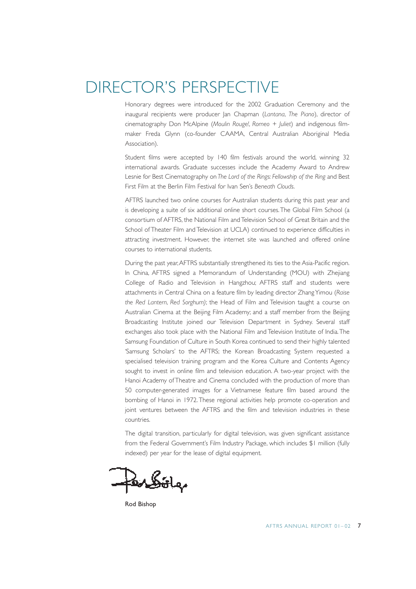# DIRECTOR'S PERSPECTIVE

Honorary degrees were introduced for the 2002 Graduation Ceremony and the inaugural recipients were producer Jan Chapman (*Lantana*, *The Piano*), director of cinematography Don McAlpine (*Moulin Rouge!*, *Romeo + Juliet*) and indigenous filmmaker Freda Glynn (co-founder CAAMA, Central Australian Aboriginal Media Association).

Student films were accepted by 140 film festivals around the world, winning 32 international awards. Graduate successes include the Academy Award to Andrew Lesnie for Best Cinematography on *The Lord of the Rings: Fellowship of the Ring* and Best First Film at the Berlin Film Festival for Ivan Sen's *Beneath Clouds*.

AFTRS launched two online courses for Australian students during this past year and is developing a suite of six additional online short courses.The Global Film School (a consortium of AFTRS, the National Film and Television School of Great Britain and the School of Theater Film and Television at UCLA) continued to experience difficulties in attracting investment. However, the internet site was launched and offered online courses to international students.

During the past year,AFTRS substantially strengthened its ties to the Asia-Pacific region. In China, AFTRS signed a Memorandum of Understanding (MOU) with Zhejiang College of Radio and Television in Hangzhou; AFTRS staff and students were attachments in Central China on a feature film by leading director Zhang Yimou (*Raise the Red Lantern*, *Red Sorghum)*; the Head of Film and Television taught a course on Australian Cinema at the Beijing Film Academy; and a staff member from the Beijing Broadcasting Institute joined our Television Department in Sydney. Several staff exchanges also took place with the National Film and Television Institute of India.The Samsung Foundation of Culture in South Korea continued to send their highly talented 'Samsung Scholars' to the AFTRS; the Korean Broadcasting System requested a specialised television training program and the Korea Culture and Contents Agency sought to invest in online film and television education. A two-year project with the Hanoi Academy of Theatre and Cinema concluded with the production of more than 50 computer-generated images for a Vietnamese feature film based around the bombing of Hanoi in 1972. These regional activities help promote co-operation and joint ventures between the AFTRS and the film and television industries in these countries.

The digital transition, particularly for digital television, was given significant assistance from the Federal Government's Film Industry Package, which includes \$1 million (fully indexed) per year for the lease of digital equipment.

Rod Bishop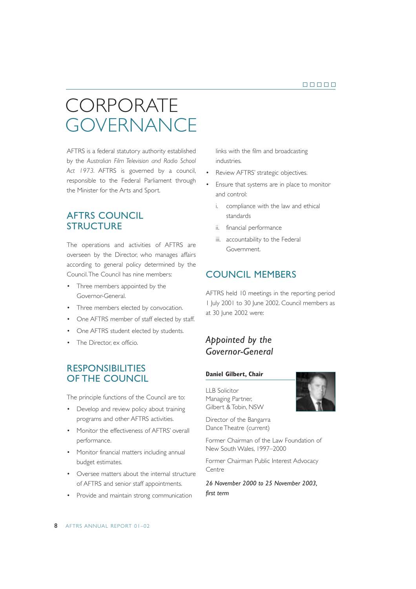# **CORPORATE** *GOVERNANCE*

AFTRS is a federal statutory authority established by the *Australian Film Television and Radio School Act 1973*. AFTRS is governed by a council, responsible to the Federal Parliament through the Minister for the Arts and Sport.

# AFTRS COUNCIL **STRUCTURE**

The operations and activities of AFTRS are overseen by the Director, who manages affairs according to general policy determined by the Council.The Council has nine members:

- Three members appointed by the Governor-General.
- Three members elected by convocation.
- One AFTRS member of staff elected by staff.
- One AFTRS student elected by students.
- The Director, ex officio.

# **RESPONSIBILITIES** OF THE COUNCIL

The principle functions of the Council are to:

- Develop and review policy about training programs and other AFTRS activities.
- Monitor the effectiveness of AFTRS' overall performance.
- Monitor financial matters including annual budget estimates.
- Oversee matters about the internal structure of AFTRS and senior staff appointments.
- Provide and maintain strong communication

links with the film and broadcasting industries.

- Review AFTRS' strategic objectives.
- Ensure that systems are in place to monitor and control:
	- i. compliance with the law and ethical standards
	- ii. financial performance
	- iii. accountability to the Federal Government.

# COUNCIL MEMBERS

AFTRS held 10 meetings in the reporting period 1 July 2001 to 30 June 2002. Council members as at 30 June 2002 were:

# *Appointed by the Governor-General*

### **Daniel Gilbert, Chair**

LLB Solicitor Managing Partner, Gilbert & Tobin, NSW

Director of the Bangarra Dance Theatre (current)

Former Chairman of the Law Foundation of New South Wales, 1997–2000

Former Chairman Public Interest Advocacy Centre

*26 November 2000 to 25 November 2003, first term*

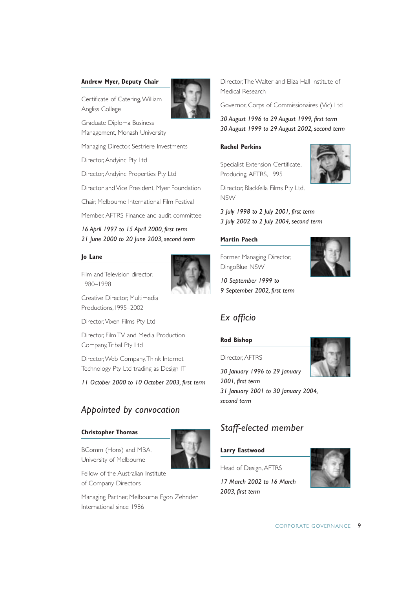### **Andrew Myer, Deputy Chair**

Certificate of Catering,William Angliss College

Graduate Diploma Business Management, Monash University

Managing Director, Sestriere Investments

Director, Andyinc Pty Ltd

Director, Andyinc Properties Pty Ltd

Director and Vice President, Myer Foundation

Chair, Melbourne International Film Festival

Member, AFTRS Finance and audit committee

*16 April 1997 to 15 April 2000, first term 21 June 2000 to 20 June 2003, second term*

### **Jo Lane**

Film and Television director, 1980–1998



Creative Director, Multimedia Productions,1995–2002

Director,Vixen Films Pty Ltd

Director, Film TV and Media Production Company,Tribal Pty Ltd

Director,Web Company,Think Internet Technology Pty Ltd trading as Design IT

*11 October 2000 to 10 October 2003, first term*

# *Appointed by convocation*

### **Christopher Thomas**

BComm (Hons) and MBA, University of Melbourne



Fellow of the Australian Institute of Company Directors

Managing Partner, Melbourne Egon Zehnder International since 1986

Director,The Walter and Eliza Hall Institute of Medical Research

Governor, Corps of Commissionaires (Vic) Ltd

*30 August 1996 to 29 August 1999, first term 30 August 1999 to 29 August 2002, second term*

### **Rachel Perkins**

Specialist Extension Certificate, Producing, AFTRS, 1995



Director, Blackfella Films Pty Ltd, NSW

*3 July 1998 to 2 July 2001, first term 3 July 2002 to 2 July 2004, second term*

### **Martin Paech**

Former Managing Director, DingoBlue NSW

*10 September 1999 to 9 September 2002, first term*

# *Ex officio*

### **Rod Bishop**

Director, AFTRS

*30 January 1996 to 29 January 2001, first term 31 January 2001 to 30 January 2004, second term* 

# *Staff-elected member*

### **Larry Eastwood**

Head of Design, AFTRS

*17 March 2002 to 16 March 2003, first term*



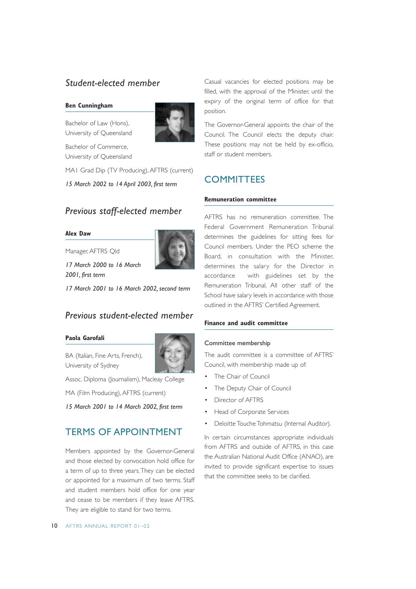# *Student-elected member*

### **Ben Cunningham**

Bachelor of Law (Hons), University of Queensland



Bachelor of Commerce, University of Queensland

MA1 Grad Dip (TV Producing), AFTRS (current)

*15 March 2002 to 14 April 2003, first term*

# *Previous staff-elected member*

### **Alex Daw**

Manager, AFTRS Qld

*17 March 2000 to 16 March 2001, first term*



*17 March 2001 to 16 March 2002, second term*

# *Previous student-elected member*

### **Paola Garofali**

BA (Italian, Fine Arts, French), University of Sydney



Assoc. Diploma (Journalism), Macleay College

MA (Film Producing), AFTRS (current)

*15 March 2001 to 14 March 2002, first term*

# TERMS OF APPOINTMENT

Members appointed by the Governor-General and those elected by convocation hold office for a term of up to three years.They can be elected or appointed for a maximum of two terms. Staff and student members hold office for one year and cease to be members if they leave AFTRS. They are eligible to stand for two terms.

Casual vacancies for elected positions may be filled, with the approval of the Minister, until the expiry of the original term of office for that position.

The Governor-General appoints the chair of the Council. The Council elects the deputy chair. These positions may not be held by ex-officio, staff or student members.

# **COMMITTEES**

### **Remuneration committee**

AFTRS has no remuneration committee. The Federal Government Remuneration Tribunal determines the guidelines for sitting fees for Council members. Under the PEO scheme the Board, in consultation with the Minister, determines the salary for the Director in accordance with guidelines set by the Remuneration Tribunal. All other staff of the School have salary levels in accordance with those outlined in the AFTRS' Certified Agreement.

### **Finance and audit committee**

### Committee membership

The audit committee is a committee of AFTRS' Council, with membership made up of:

- The Chair of Council
- The Deputy Chair of Council
- Director of AFTRS
- Head of Corporate Services
- Deloitte Touche Tohmatsu (Internal Auditor).

In certain circumstances appropriate individuals from AFTRS and outside of AFTRS, in this case the Australian National Audit Office (ANAO), are invited to provide significant expertise to issues that the committee seeks to be clarified.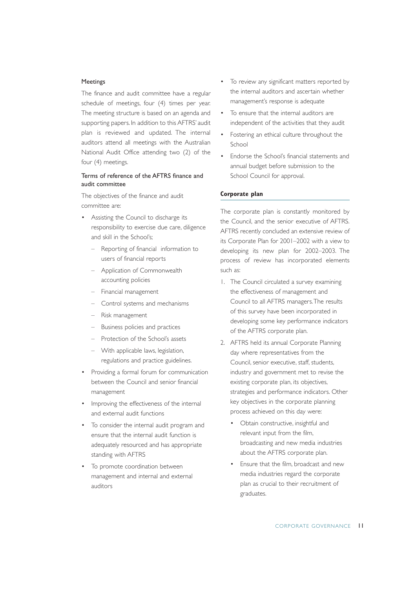### Meetings

The finance and audit committee have a regular schedule of meetings, four (4) times per year. The meeting structure is based on an agenda and supporting papers. In addition to this AFTRS' audit plan is reviewed and updated. The internal auditors attend all meetings with the Australian National Audit Office attending two (2) of the four (4) meetings.

### Terms of reference of the AFTRS finance and audit committee

The objectives of the finance and audit committee are:

- Assisting the Council to discharge its responsibility to exercise due care, diligence and skill in the School's;
	- Reporting of financial information to users of financial reports
	- Application of Commonwealth accounting policies
	- Financial management
	- Control systems and mechanisms
	- Risk management
	- Business policies and practices
	- Protection of the School's assets
	- With applicable laws, legislation, regulations and practice guidelines.
- Providing a formal forum for communication between the Council and senior financial management
- Improving the effectiveness of the internal and external audit functions
- To consider the internal audit program and ensure that the internal audit function is adequately resourced and has appropriate standing with AFTRS
- To promote coordination between management and internal and external auditors
- To review any significant matters reported by the internal auditors and ascertain whether management's response is adequate
- To ensure that the internal auditors are independent of the activities that they audit
- Fostering an ethical culture throughout the School
- Endorse the School's financial statements and annual budget before submission to the School Council for approval.

### **Corporate plan**

The corporate plan is constantly monitored by the Council, and the senior executive of AFTRS. AFTRS recently concluded an extensive review of its Corporate Plan for 2001–2002 with a view to developing its new plan for 2002–2003. The process of review has incorporated elements such as:

- 1. The Council circulated a survey examining the effectiveness of management and Council to all AFTRS managers.The results of this survey have been incorporated in developing some key performance indicators of the AFTRS corporate plan.
- 2. AFTRS held its annual Corporate Planning day where representatives from the Council, senior executive, staff, students, industry and government met to revise the existing corporate plan, its objectives, strategies and performance indicators. Other key objectives in the corporate planning process achieved on this day were:
	- Obtain constructive, insightful and relevant input from the film, broadcasting and new media industries about the AFTRS corporate plan.
	- Ensure that the film, broadcast and new media industries regard the corporate plan as crucial to their recruitment of graduates.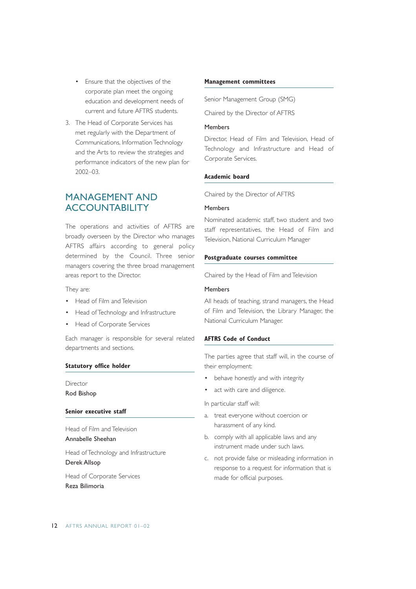- Ensure that the objectives of the corporate plan meet the ongoing education and development needs of current and future AFTRS students.
- 3. The Head of Corporate Services has met regularly with the Department of Communications, Information Technology and the Arts to review the strategies and performance indicators of the new plan for 2002–03.

# MANAGEMENT AND **ACCOUNTABILITY**

The operations and activities of AFTRS are broadly overseen by the Director who manages AFTRS affairs according to general policy determined by the Council. Three senior managers covering the three broad management areas report to the Director.

They are:

- Head of Film and Television
- Head of Technology and Infrastructure
- Head of Corporate Services

Each manager is responsible for several related departments and sections.

### **Statutory office holder**

Director Rod Bishop

### **Senior executive staff**

Head of Film and Television Annabelle Sheehan

Head of Technology and Infrastructure Derek Allsop

Head of Corporate Services Reza Bilimoria

### **Management committees**

Senior Management Group (SMG)

Chaired by the Director of AFTRS

### Members

Director, Head of Film and Television, Head of Technology and Infrastructure and Head of Corporate Services.

### **Academic board**

Chaired by the Director of AFTRS

### Members

Nominated academic staff, two student and two staff representatives, the Head of Film and Television, National Curriculum Manager

### **Postgraduate courses committee**

Chaired by the Head of Film and Television

### Members

All heads of teaching, strand managers, the Head of Film and Television, the Library Manager, the National Curriculum Manager.

### **AFTRS Code of Conduct**

The parties agree that staff will, in the course of their employment:

- behave honestly and with integrity
- act with care and diligence.

In particular staff will:

- a. treat everyone without coercion or harassment of any kind.
- b. comply with all applicable laws and any instrument made under such laws.
- c. not provide false or misleading information in response to a request for information that is made for official purposes.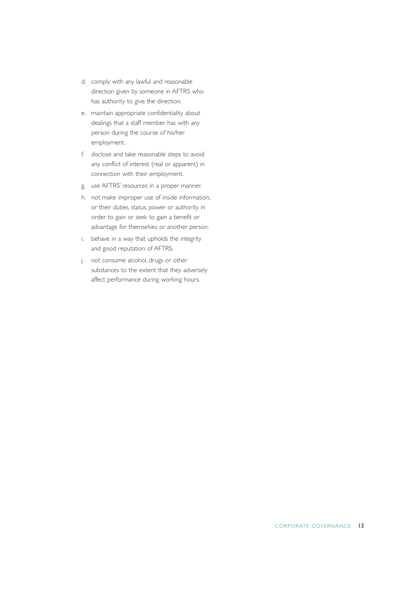- d. comply with any lawful and reasonable direction given by someone in AFTRS who has authority to give the direction.
- e. maintain appropriate confidentiality about dealings that a staff member has with any person during the course of his/her employment.
- f. disclose and take reasonable steps to avoid any conflict of interest (real or apparent) in connection with their employment.
- g. use AFTRS' resources in a proper manner.
- h. not make improper use of inside information, or their duties, status, power or authority in order to gain or seek to gain a benefit or advantage for themselves or another person.
- i. behave in a way that upholds the integrity and good reputation of AFTRS.
- j. not consume alcohol, drugs or other substances to the extent that they adversely affect performance during working hours.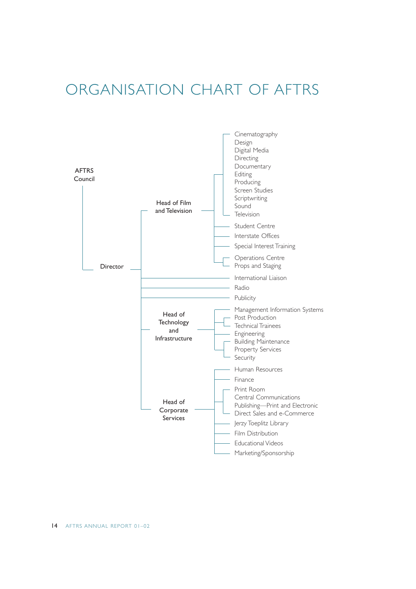# ORGANISATION CHART OF AFTRS

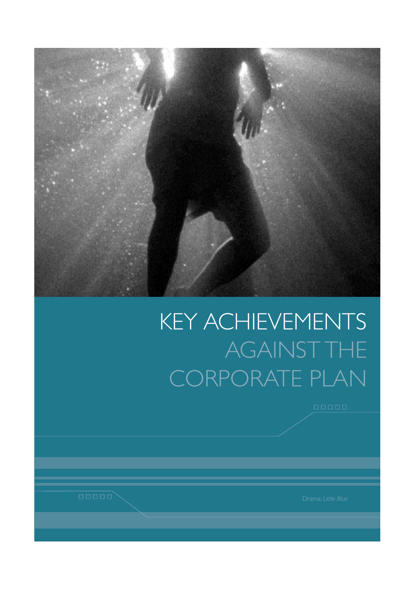

# KEY ACHIEVEMENTS AGAINST THE CORPORATE PLAN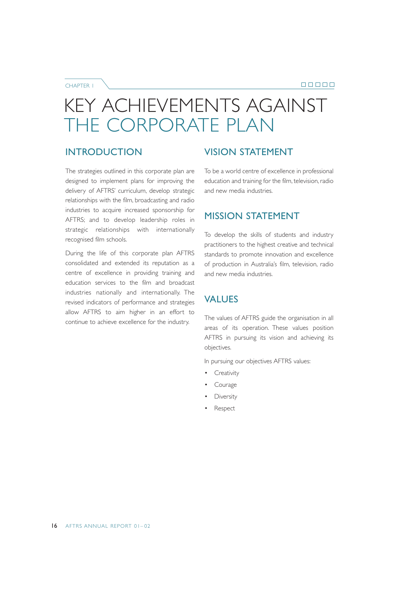00000

CHAPTER 1

# KEY ACHIEVEMENTS AGAINST THE CORPORATE PLAN

# INTRODUCTION

The strategies outlined in this corporate plan are designed to implement plans for improving the delivery of AFTRS' curriculum, develop strategic relationships with the film, broadcasting and radio industries to acquire increased sponsorship for AFTRS; and to develop leadership roles in strategic relationships with internationally recognised film schools.

During the life of this corporate plan AFTRS consolidated and extended its reputation as a centre of excellence in providing training and education services to the film and broadcast industries nationally and internationally. The revised indicators of performance and strategies allow AFTRS to aim higher in an effort to continue to achieve excellence for the industry.

# VISION STATEMENT

To be a world centre of excellence in professional education and training for the film, television, radio and new media industries.

# MISSION STATEMENT

To develop the skills of students and industry practitioners to the highest creative and technical standards to promote innovation and excellence of production in Australia's film, television, radio and new media industries.

# VALUES

The values of AFTRS guide the organisation in all areas of its operation. These values position AFTRS in pursuing its vision and achieving its objectives.

In pursuing our objectives AFTRS values:

- Creativity
- **Courage**
- **Diversity**
- **Respect**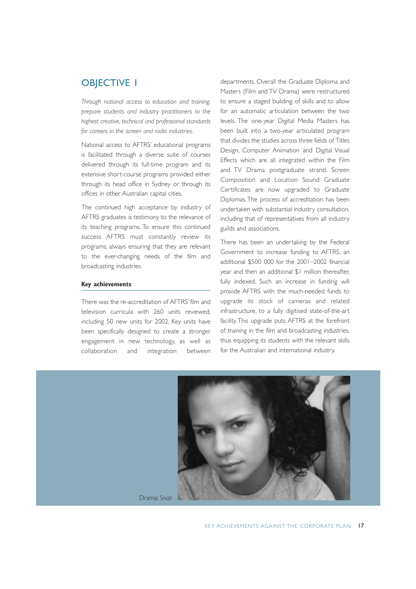# **OBJECTIVE 1**

*Through national access to education and training, prepare students and industry practitioners to the highest creative, technical and professional standards for careers in the screen and radio industries.*

National access to AFTRS' educational programs is facilitated through a diverse suite of courses delivered through its full-time program and its extensive short-course programs provided either through its head office in Sydney or through its offices in other Australian capital cities.

The continued high acceptance by industry of AFTRS graduates is testimony to the relevance of its teaching programs. To ensure this continued success AFTRS must constantly review its programs, always ensuring that they are relevant to the ever-changing needs of the film and broadcasting industries.

### **Key achievements**

There was the re-accreditation of AFTRS' film and television curricula with 260 units reviewed, including 50 new units for 2002. Key units have been specifically designed to create a stronger engagement in new technology, as well as collaboration and integration between

departments. Overall the Graduate Diploma and Masters (Film and TV Drama) were restructured to ensure a staged building of skills and to allow for an automatic articulation between the two levels. The one-year Digital Media Masters has been built into a two-year articulated program that divides the studies across three fields of Titles Design, Computer Animation and Digital Visual Effects which are all integrated within the Film and TV Drama postgraduate strand. Screen Composition and Location Sound Graduate Certificates are now upgraded to Graduate Diplomas. The process of accreditation has been undertaken with substantial industry consultation, including that of representatives from all industry guilds and associations.

There has been an undertaking by the Federal Government to increase funding to AFTRS, an additional \$500 000 for the 2001–2002 financial year and then an additional \$1 million thereafter, fully indexed. Such an increase in funding will provide AFTRS with the much-needed funds to upgrade its stock of cameras and related infrastructure, to a fully digitised state-of-the-art facility. This upgrade puts AFTRS at the forefront of training in the film and broadcasting industries, thus equipping its students with the relevant skills for the Australian and international industry.



Drama: *Snap*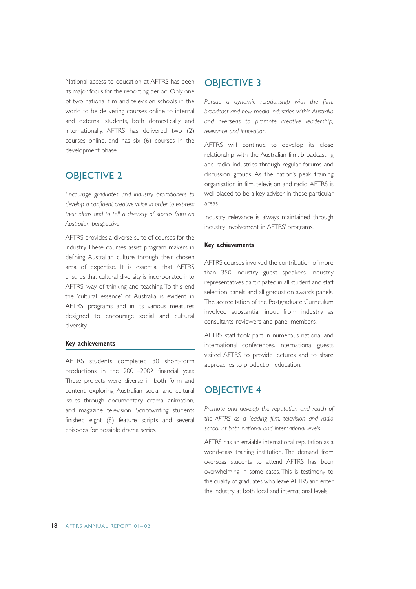National access to education at AFTRS has been its major focus for the reporting period. Only one of two national film and television schools in the world to be delivering courses online to internal and external students, both domestically and internationally, AFTRS has delivered two (2) courses online, and has six (6) courses in the development phase.

# OBJECTIVE 2

*Encourage graduates and industry practitioners to develop a confident creative voice in order to express their ideas and to tell a diversity of stories from an Australian perspective.*

AFTRS provides a diverse suite of courses for the industry. These courses assist program makers in defining Australian culture through their chosen area of expertise. It is essential that AFTRS ensures that cultural diversity is incorporated into AFTRS' way of thinking and teaching. To this end the 'cultural essence' of Australia is evident in AFTRS' programs and in its various measures designed to encourage social and cultural diversity.

### **Key achievements**

AFTRS students completed 30 short-form productions in the 2001–2002 financial year. These projects were diverse in both form and content, exploring Australian social and cultural issues through documentary, drama, animation, and magazine television. Scriptwriting students finished eight (8) feature scripts and several episodes for possible drama series.

### OBJECTIVE 3

*Pursue a dynamic relationship with the film, broadcast and new media industries within Australia and overseas to promote creative leadership, relevance and innovation.*

AFTRS will continue to develop its close relationship with the Australian film, broadcasting and radio industries through regular forums and discussion groups. As the nation's peak training organisation in film, television and radio, AFTRS is well placed to be a key adviser in these particular areas.

Industry relevance is always maintained through industry involvement in AFTRS' programs.

#### **Key achievements**

AFTRS courses involved the contribution of more than 350 industry guest speakers. Industry representatives participated in all student and staff selection panels and all graduation awards panels. The accreditation of the Postgraduate Curriculum involved substantial input from industry as consultants, reviewers and panel members.

AFTRS staff took part in numerous national and international conferences. International guests visited AFTRS to provide lectures and to share approaches to production education.

### OBJECTIVE 4

*Promote and develop the reputation and reach of the AFTRS as a leading film, television and radio school at both national and international levels.*

AFTRS has an enviable international reputation as a world-class training institution. The demand from overseas students to attend AFTRS has been overwhelming in some cases. This is testimony to the quality of graduates who leave AFTRS and enter the industry at both local and international levels.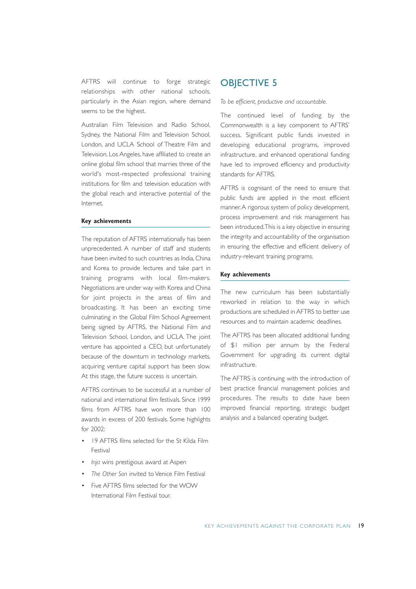AFTRS will continue to forge strategic relationships with other national schools, particularly in the Asian region, where demand seems to be the highest.

Australian Film Television and Radio School, Sydney, the National Film and Television School, London, and UCLA School of Theatre Film and Television, Los Angeles, have affiliated to create an online global film school that marries three of the world's most-respected professional training institutions for film and television education with the global reach and interactive potential of the Internet.

#### **Key achievements**

The reputation of AFTRS internationally has been unprecedented. A number of staff and students have been invited to such countries as India, China and Korea to provide lectures and take part in training programs with local film-makers. Negotiations are under way with Korea and China for joint projects in the areas of film and broadcasting. It has been an exciting time culminating in the Global Film School Agreement being signed by AFTRS, the National Film and Television School, London, and UCLA. The joint venture has appointed a CEO, but unfortunately because of the downturn in technology markets, acquiring venture capital support has been slow. At this stage, the future success is uncertain.

AFTRS continues to be successful at a number of national and international film festivals. Since 1999 films from AFTRS have won more than 100 awards in excess of 200 festivals. Some highlights for 2002:

- 19 AFTRS films selected for the St Kilda Film Festival
- *Inja* wins prestigious award at Aspen
- *The Other Son* invited to Venice Film Festival
- Five AFTRS films selected for the WOW International Film Festival tour.

### **OBJECTIVE 5**

*To be efficient, productive and accountable.*

The continued level of funding by the Commonwealth is a key component to AFTRS' success. Significant public funds invested in developing educational programs, improved infrastructure, and enhanced operational funding have led to improved efficiency and productivity standards for AFTRS.

AFTRS is cognisant of the need to ensure that public funds are applied in the most efficient manner.A rigorous system of policy development, process improvement and risk management has been introduced.This is a key objective in ensuring the integrity and accountability of the organisation in ensuring the effective and efficient delivery of industry-relevant training programs.

#### **Key achievements**

The new curriculum has been substantially reworked in relation to the way in which productions are scheduled in AFTRS to better use resources and to maintain academic deadlines.

The AFTRS has been allocated additional funding of \$1 million per annum by the Federal Government for upgrading its current digital infrastructure.

The AFTRS is continuing with the introduction of best practice financial management policies and procedures. The results to date have been improved financial reporting, strategic budget analysis and a balanced operating budget.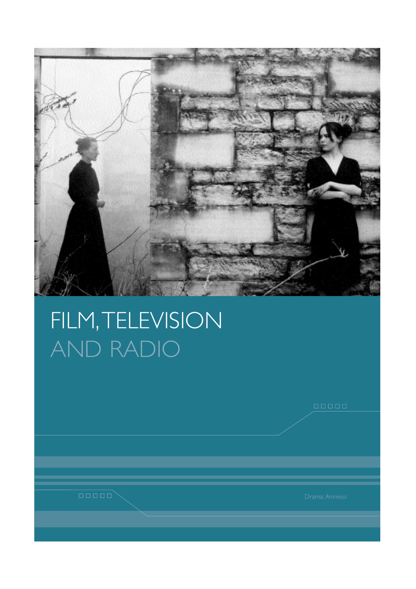

# FILM,TELEVISION AND RADIO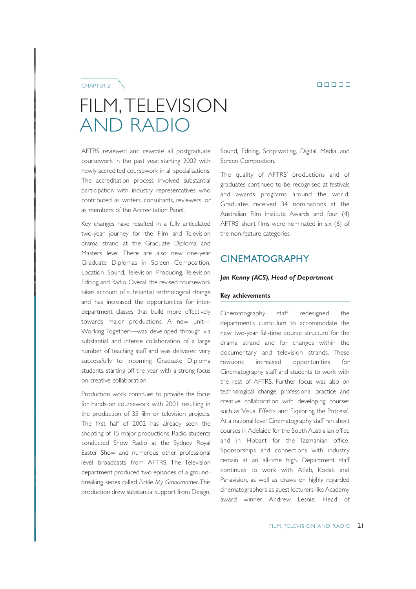### CHAPTER 2

# FILM,TELEVISION AND RADIO

AFTRS reviewed and rewrote all postgraduate coursework in the past year, starting 2002 with newly accredited coursework in all specialisations. The accreditation process involved substantial participation with industry representatives who contributed as writers, consultants, reviewers, or as members of the Accreditation Panel.

Key changes have resulted in a fully articulated two-year journey for the Film and Television drama strand at the Graduate Diploma and Masters level. There are also new one-year Graduate Diplomas in Screen Composition, Location Sound, Television Producing, Television Editing and Radio. Overall the revised coursework takes account of substantial technological change and has increased the opportunities for interdepartment classes that build more effectively towards major productions. A new unit— Working Together'—was developed through via substantial and intense collaboration of a large number of teaching staff and was delivered very successfully to incoming Graduate Diploma students, starting off the year with a strong focus on creative collaboration.

Production work continues to provide the focus for hands-on coursework with 2001 resulting in the production of 35 film or television projects. The first half of 2002 has already seen the shooting of 15 major productions. Radio students conducted Show Radio at the Sydney Royal Easter Show and numerous other professional level broadcasts from AFTRS. The Television department produced two episodes of a groundbreaking series called *Pickle My Grandmother*.This production drew substantial support from Design, Sound, Editing, Scriptwriting, Digital Media and Screen Composition.

The quality of AFTRS' productions and of graduates continued to be recognised at festivals and awards programs around the world. Graduates received 34 nominations at the Australian Film Institute Awards and four (4) AFTRS' short films were nominated in six (6) of the non-feature categories.

# CINEMATOGRAPHY

### *Jan Kenny (ACS), Head of Department*

### **Key achievements**

Cinematography staff redesigned the department's curriculum to accommodate the new two-year full-time course structure for the drama strand and for changes within the documentary and television strands. These revisions increased opportunities for Cinematography staff and students to work with the rest of AFTRS. Further focus was also on technological change, professional practice and creative collaboration with developing courses such as 'Visual Effects' and 'Exploring the Process'. At a national level Cinematography staff ran short courses in Adelaide for the South Australian office and in Hobart for the Tasmanian office. Sponsorships and connections with industry remain at an all-time high. Department staff continues to work with Atlab, Kodak and Panavision, as well as draws on highly regarded cinematographers as guest lecturers like Academy award winner Andrew Lesnie. Head of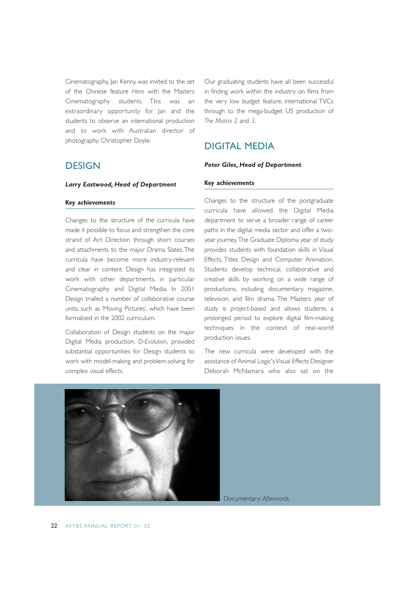Cinematography, Jan Kenny, was invited to the set of the Chinese feature *Hero* with the Masters Cinematography students. This was an extraordinary opportunity for Jan and the students to observe an international production and to work with Australian director of photography, Christopher Doyle.

*Larry Eastwood, Head of Department* 

Our graduating students have all been successful in finding work within the industry on films from the very low budget feature, international TVCs through to the mega-budget US production of *The Matrix 2* and *3*.

# DIGITAL MEDIA

### *Peter Giles, Head of Department*

### **Key achievements**

# **Key achievements**

**DESIGN** 

Changes to the structure of the curricula have made it possible to focus and strengthen the core strand of Art Direction through short courses and attachments to the major Drama Slates.The curricula have become more industry-relevant and clear in content. Design has integrated its work with other departments, in particular Cinematography and Digital Media. In 2001 Design trialled a number of collaborative course units, such as 'Moving Pictures', which have been formalised in the 2002 curriculum.

Collaboration of Design students on the major Digital Media production, *D-Evolution*, provided substantial opportunities for Design students to work with model-making and problem-solving for complex visual effects.

Changes to the structure of the postgraduate curricula have allowed the Digital Media department to serve a broader range of career paths in the digital media sector and offer a twoyear journey.The Graduate Diploma year of study provides students with foundation skills in Visual Effects, Titles Design and Computer Animation. Students develop technical, collaborative and creative skills by working on a wide range of productions, including documentary, magazine, television, and film drama. The Masters year of study is project-based and allows students a prolonged period to explore digital film-making techniques in the context of real-world production issues.

The new curricula were developed with the assistance of Animal Logic's Visual Effects Designer Deborah McNamara who also sat on the

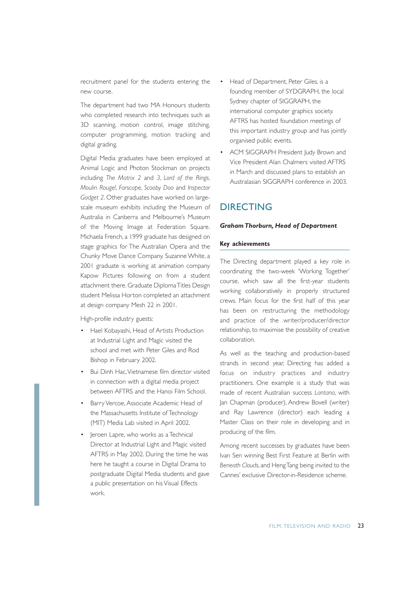recruitment panel for the students entering the new course.

The department had two MA Honours students who completed research into techniques such as 3D scanning, motion control, image stitching, computer programming, motion tracking and digital grading.

Digital Media graduates have been employed at Animal Logic and Photon Stockman on projects including *The Matrix 2* and *3*, *Lord of the Rings*, *Moulin Rouge!*, *Farscape*, *Scooby Doo* and *Inspector Gadget 2*. Other graduates have worked on largescale museum exhibits including the Museum of Australia in Canberra and Melbourne's Museum of the Moving Image at Federation Square. Michaela French, a 1999 graduate has designed on stage graphics for The Australian Opera and the Chunky Move Dance Company. Suzanne White, a 2001 graduate is working at animation company Kapow Pictures following on from a student attachment there. Graduate Diploma Titles Design student Melissa Horton completed an attachment at design company Mesh 22 in 2001.

High-profile industry guests:

- Hael Kobayashi, Head of Artists Production at Industrial Light and Magic visited the school and met with Peter Giles and Rod Bishop in February 2002.
- Bui Dinh Hac,Vietnamese film director visited in connection with a digital media project between AFTRS and the Hanoi Film School.
- Barry Vercoe, Associate Academic Head of the Massachusetts Institute of Technology (MIT) Media Lab visited in April 2002.
- Jeroen Lapre, who works as a Technical Director at Industrial Light and Magic visited AFTRS in May 2002. During the time he was here he taught a course in Digital Drama to postgraduate Digital Media students and gave a public presentation on his Visual Effects work.
- Head of Department, Peter Giles, is a founding member of SYDGRAPH, the local Sydney chapter of SIGGRAPH, the international computer graphics society. AFTRS has hosted foundation meetings of this important industry group and has jointly organised public events.
- ACM SIGGRAPH President Judy Brown and Vice President Alan Chalmers visited AFTRS in March and discussed plans to establish an Australasian SIGGRAPH conference in 2003.

# DIRECTING

### *Graham Thorburn, Head of Department*

### **Key achievements**

The Directing department played a key role in coordinating the two-week 'Working Together' course, which saw all the first-year students working collaboratively in properly structured crews. Main focus for the first half of this year has been on restructuring the methodology and practice of the writer/producer/director relationship, to maximise the possibility of creative collaboration.

As well as the teaching and production-based strands in second year, Directing has added a focus on industry practices and industry practitioners. One example is a study that was made of recent Australian success *Lantana*, with Jan Chapman (producer), Andrew Bovell (writer) and Ray Lawrence (director) each leading a Master Class on their role in developing and in producing of the film.

Among recent successes by graduates have been Ivan Sen winning Best First Feature at Berlin with *Beneath Clouds*, and Heng Tang being invited to the Cannes' exclusive Director-in-Residence scheme.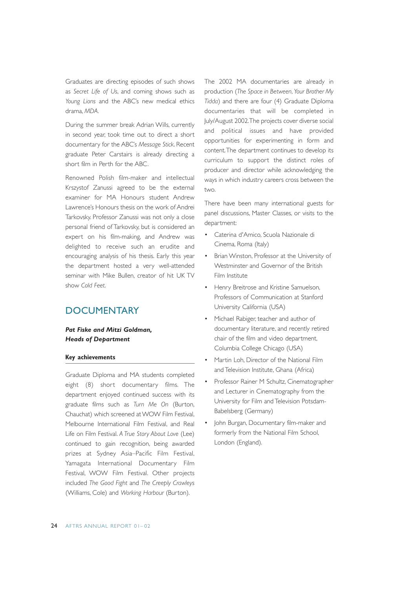Graduates are directing episodes of such shows as *Secret Life of Us*, and coming shows such as *Young Lions* and the ABC's new medical ethics drama, *MDA*.

During the summer break Adrian Wills, currently in second year, took time out to direct a short documentary for the ABC's *Message Stick*. Recent graduate Peter Carstairs is already directing a short film in Perth for the ABC.

Renowned Polish film-maker and intellectual Krszystof Zanussi agreed to be the external examiner for MA Honours student Andrew Lawrence's Honours thesis on the work of Andrei Tarkovsky. Professor Zanussi was not only a close personal friend of Tarkovsky, but is considered an expert on his film-making, and Andrew was delighted to receive such an erudite and encouraging analysis of his thesis. Early this year the department hosted a very well-attended seminar with Mike Bullen, creator of hit UK TV show *Cold Feet*.

# **DOCUMENTARY**

### *Pat Fiske and Mitzi Goldman, Heads of Department*

### **Key achievements**

Graduate Diploma and MA students completed eight (8) short documentary films. The department enjoyed continued success with its graduate films such as *Turn Me On* (Burton, Chauchat) which screened at WOW Film Festival, Melbourne International Film Festival, and Real Life on Film Festival. *A True Story About Love* (Lee) continued to gain recognition, being awarded prizes at Sydney Asia–Pacific Film Festival, Yamagata International Documentary Film Festival, WOW Film Festival. Other projects included *The Good Fight* and *The Creeply Crawleys* (Williams, Cole) and *Working Harbour* (Burton).

The 2002 MA documentaries are already in production (*The Space in Between*, *Your Brother My Tidda*) and there are four (4) Graduate Diploma documentaries that will be completed in July/August 2002.The projects cover diverse social and political issues and have provided opportunities for experimenting in form and content.The department continues to develop its curriculum to support the distinct roles of producer and director while acknowledging the ways in which industry careers cross between the two.

There have been many international guests for panel discussions, Master Classes, or visits to the department:

- Caterina d'Amico, Scuola Nazionale di Cinema, Roma (Italy)
- Brian Winston, Professor at the University of Westminster and Governor of the British Film Institute
- Henry Breitrose and Kristine Samuelson, Professors of Communication at Stanford University California (USA)
- Michael Rabiger, teacher and author of documentary literature, and recently retired chair of the film and video department, Columbia College Chicago (USA)
- Martin Loh, Director of the National Film and Television Institute, Ghana (Africa)
- Professor Rainer M Schultz, Cinematographer and Lecturer in Cinematography from the University for Film and Television Potsdam-Babelsberg (Germany)
- John Burgan, Documentary film-maker and formerly from the National Film School, London (England).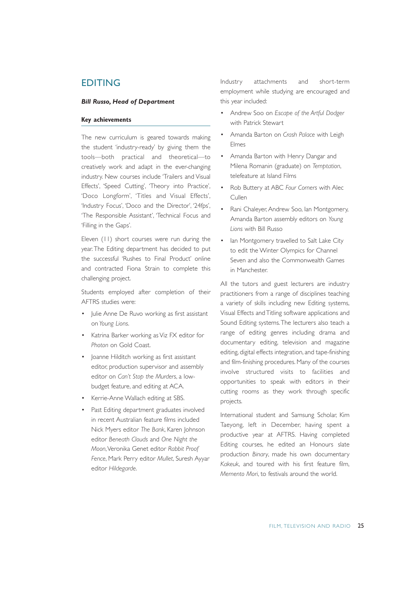### EDITING

### *Bill Russo, Head of Department*

### **Key achievements**

The new curriculum is geared towards making the student 'industry-ready' by giving them the tools—both practical and theoretical—to creatively work and adapt in the ever-changing industry. New courses include 'Trailers and Visual Effects', 'Speed Cutting', 'Theory into Practice', 'Doco Longform', 'Titles and Visual Effects', 'Industry Focus', 'Doco and the Director', '24fps', 'The Responsible Assistant', 'Technical Focus and 'Filling in the Gaps'.

Eleven (11) short courses were run during the year. The Editing department has decided to put the successful 'Rushes to Final Product' online and contracted Fiona Strain to complete this challenging project.

Students employed after completion of their AFTRS studies were:

- Julie Anne De Ruvo working as first assistant on *Young Lions*.
- Katrina Barker working as Viz FX editor for *Photon* on Gold Coast.
- Joanne Hilditch working as first assistant editor, production supervisor and assembly editor on *Can't Stop the Murders*, a lowbudget feature, and editing at ACA.
- Kerrie-Anne Wallach editing at SBS.
- Past Editing department graduates involved in recent Australian feature films included Nick Myers editor *The Bank*, Karen Johnson editor *Beneath Clouds* and *One Night the Moon*,Veronika Genet editor *Rabbit Proof Fence*, Mark Perry editor *Mullet*, Suresh Ayyar editor *Hildegarde*.

Industry attachments and short-term employment while studying are encouraged and this year included:

- Andrew Soo on *Escape of the Artful Dodger* with Patrick Stewart
- Amanda Barton on *Crash Palace* with Leigh Elmes
- Amanda Barton with Henry Dangar and Milena Romanin (graduate) on *Temptation*, telefeature at Island Films
- Rob Buttery at ABC *Four Corners* with Alec Cullen
- Rani Chaleyer, Andrew Soo, Ian Montgomery, Amanda Barton assembly editors on *Young Lions* with Bill Russo
- lan Montgomery travelled to Salt Lake City to edit the Winter Olympics for Channel Seven and also the Commonwealth Games in Manchester.

All the tutors and guest lecturers are industry practitioners from a range of disciplines teaching a variety of skills including new Editing systems, Visual Effects and Titling software applications and Sound Editing systems.The lecturers also teach a range of editing genres including drama and documentary editing, television and magazine editing, digital effects integration, and tape-finishing and film-finishing procedures. Many of the courses involve structured visits to facilities and opportunities to speak with editors in their cutting rooms as they work through specific projects.

International student and Samsung Scholar, Kim Taeyong, left in December, having spent a productive year at AFTRS. Having completed Editing courses, he edited an Honours slate production *Binary*, made his own documentary *Kakeuk*, and toured with his first feature film, *Memento Mori*, to festivals around the world.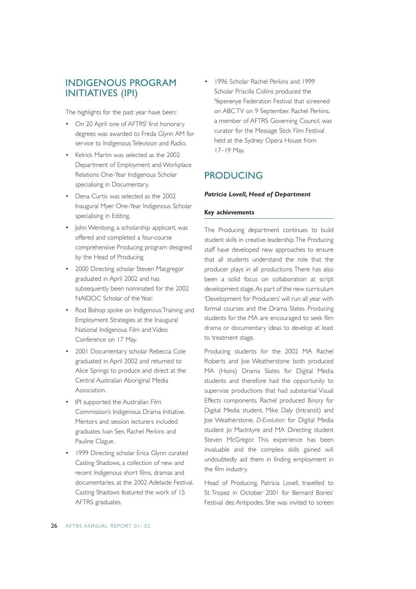# INDIGENOUS PROGRAM INITIATIVES (IPI)

The highlights for the past year have been:

- On 20 April one of AFTRS' first honorary degrees was awarded to Freda Glynn AM for service to Indigenous Television and Radio.
- Kelrick Martin was selected as the 2002 Department of Employment and Workplace Relations One-Year Indigenous Scholar specialising in Documentary.
- Dena Curtis was selected as the 2002 Inaugural Myer One-Year Indigenous Scholar specialising in Editing.
- John Wenitong, a scholarship applicant, was offered and completed a four-course comprehensive Producing program designed by the Head of Producing.
- 2000 Directing scholar Steven Macgregor graduated in April 2002 and has subsequently been nominated for the 2002 NAIDOC Scholar of the Year.
- Rod Bishop spoke on Indigenous Training and Employment Strategies at the Inaugural National Indigenous Film and Video Conference on 17 May.
- 2001 Documentary scholar Rebecca Cole graduated in April 2002 and returned to Alice Springs to produce and direct at the Central Australian Aboriginal Media Association.
- IPI supported the Australian Film Commission's Indigenous Drama Initiative. Mentors and session lecturers included graduates Ivan Sen, Rachel Perkins and Pauline Clague.
- 1999 Directing scholar Erica Glynn curated Casting Shadows, a collection of new and recent Indigenous short films, dramas and documentaries, at the 2002 Adelaide Festival. Casting Shadows featured the work of 15 AFTRS graduates.

• 1996 Scholar Rachel Perkins and 1999 Scholar Priscilla Collins produced the Yeperenye Federation Festival that screened on ABC TV on 9 September. Rachel Perkins, a member of AFTRS Governing Council, was curator for the Message Stick Film Festival held at the Sydney Opera House from 17–19 May.

# PRODUCING

### *Patricia Lovell, Head of Department*

### **Key achievements**

The Producing department continues to build student skills in creative leadership.The Producing staff have developed new approaches to ensure that all students understand the role that the producer plays in all productions. There has also been a solid focus on collaboration at script development stage.As part of the new curriculum 'Development for Producers' will run all year with formal courses and the Drama Slates. Producing students for the MA are encouraged to seek film drama or documentary ideas to develop at least to treatment stage.

Producing students for the 2002 MA Rachel Roberts and Joe Weatherstone both produced MA (Hons) Drama Slates for Digital Media students and therefore had the opportunity to supervise productions that had substantial Visual Effects components. Rachel produced *Binary* for Digital Media student, Mike Daly (Intransit) and Joe Weatherstone, *D-Evolution* for Digital Media student Jo MacIntyre and MA Directing student Steven McGregor. This experience has been invaluable and the complex skills gained will undoubtedly aid them in finding employment in the film industry.

Head of Producing, Patricia Lovell, travelled to St Tropez in October 2001 for Bernard Bories' Festival des Antipodes. She was invited to screen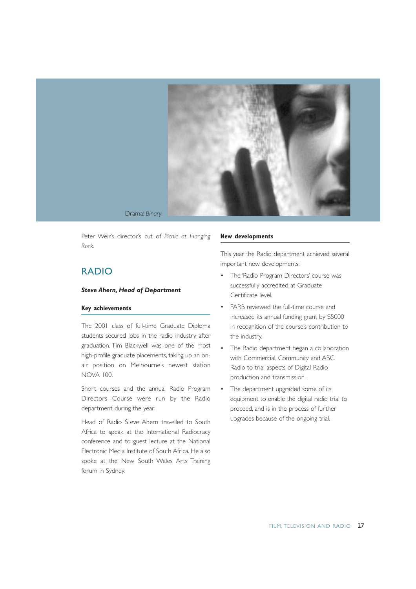

Drama: *Binary*

Peter Weir's director's cut of *Picnic at Hanging Rock.*

# RADIO

### *Steve Ahern, Head of Department*

### **Key achievements**

The 2001 class of full-time Graduate Diploma students secured jobs in the radio industry after graduation. Tim Blackwell was one of the most high-profile graduate placements, taking up an onair position on Melbourne's newest station NOVA 100.

Short courses and the annual Radio Program Directors Course were run by the Radio department during the year.

Head of Radio Steve Ahern travelled to South Africa to speak at the International Radiocracy conference and to guest lecture at the National Electronic Media Institute of South Africa. He also spoke at the New South Wales Arts Training forum in Sydney.

#### **New developments**

This year the Radio department achieved several important new developments:

- The 'Radio Program Directors' course was successfully accredited at Graduate Certificate level.
- FARB reviewed the full-time course and increased its annual funding grant by \$5000 in recognition of the course's contribution to the industry.
- The Radio department began a collaboration with Commercial, Community and ABC Radio to trial aspects of Digital Radio production and transmission.
- The department upgraded some of its equipment to enable the digital radio trial to proceed, and is in the process of further upgrades because of the ongoing trial.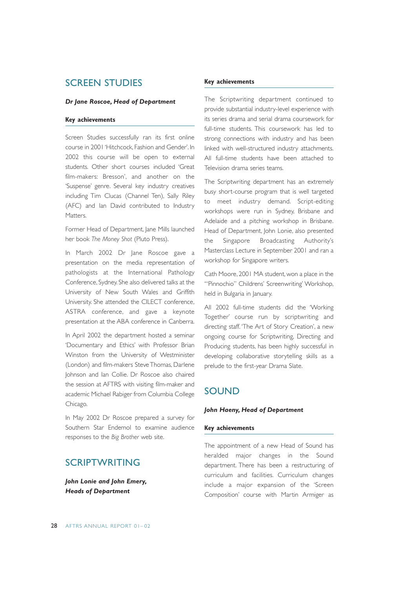# SCREEN STUDIES

### *Dr Jane Roscoe, Head of Department*

### **Key achievements**

Screen Studies successfully ran its first online course in 2001 'Hitchcock, Fashion and Gender'. In 2002 this course will be open to external students. Other short courses included 'Great film-makers: Bresson', and another on the 'Suspense' genre. Several key industry creatives including Tim Clucas (Channel Ten), Sally Riley (AFC) and Ian David contributed to Industry Matters.

Former Head of Department, Jane Mills launched her book *The Money Shot* (Pluto Press).

In March 2002 Dr Jane Roscoe gave a presentation on the media representation of pathologists at the International Pathology Conference, Sydney. She also delivered talks at the University of New South Wales and Griffith University. She attended the CILECT conference, ASTRA conference, and gave a keynote presentation at the ABA conference in Canberra.

In April 2002 the department hosted a seminar 'Documentary and Ethics' with Professor Brian Winston from the University of Westminister (London) and film-makers Steve Thomas, Darlene Johnson and Ian Collie. Dr Roscoe also chaired the session at AFTRS with visiting film-maker and academic Michael Rabiger from Columbia College Chicago.

In May 2002 Dr Roscoe prepared a survey for Southern Star Endemol to examine audience responses to the *Big Brother* web site.

# SCRIPTWRITING

*John Lonie and John Emery, Heads of Department*

### **Key achievements**

The Scriptwriting department continued to provide substantial industry-level experience with its series drama and serial drama coursework for full-time students. This coursework has led to strong connections with industry and has been linked with well-structured industry attachments. All full-time students have been attached to Television drama series teams.

The Scriptwriting department has an extremely busy short-course program that is well targeted to meet industry demand. Script-editing workshops were run in Sydney, Brisbane and Adelaide and a pitching workshop in Brisbane. Head of Department, John Lonie, also presented the Singapore Broadcasting Authority's Masterclass Lecture in September 2001 and ran a workshop for Singapore writers.

Cath Moore, 2001 MA student, won a place in the '"Pinnochio" Childrens' Screenwriting' Workshop, held in Bulgaria in January.

All 2002 full-time students did the 'Working Together' course run by scriptwriting and directing staff. 'The Art of Story Creation', a new ongoing course for Scriptwriting, Directing and Producing students, has been highly successful in developing collaborative storytelling skills as a prelude to the first-year Drama Slate.

# SOUND

### *John Haeny, Head of Department*

### **Key achievements**

The appointment of a new Head of Sound has heralded major changes in the Sound department. There has been a restructuring of curriculum and facilities. Curriculum changes include a major expansion of the 'Screen Composition' course with Martin Armiger as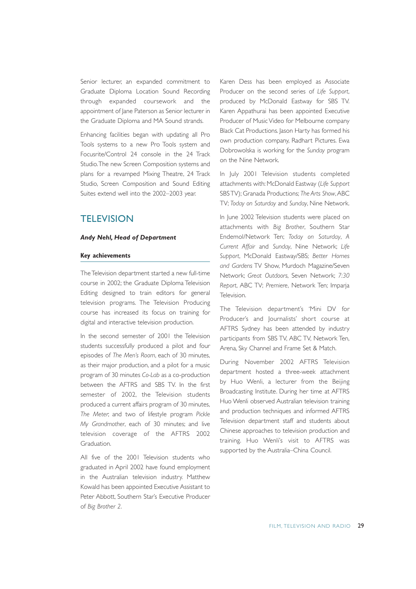Senior lecturer, an expanded commitment to Graduate Diploma Location Sound Recording through expanded coursework and the appointment of Jane Paterson as Senior lecturer in the Graduate Diploma and MA Sound strands.

Enhancing facilities began with updating all Pro Tools systems to a new Pro Tools system and Focusrite/Control 24 console in the 24 Track Studio.The new Screen Composition systems and plans for a revamped Mixing Theatre, 24 Track Studio, Screen Composition and Sound Editing Suites extend well into the 2002–2003 year.

# **TELEVISION**

### *Andy Nehl, Head of Department*

### **Key achievements**

The Television department started a new full-time course in 2002; the Graduate Diploma Television Editing designed to train editors for general television programs. The Television Producing course has increased its focus on training for digital and interactive television production.

In the second semester of 2001 the Television students successfully produced a pilot and four episodes of *The Men's Room*, each of 30 minutes, as their major production, and a pilot for a music program of 30 minutes *Co-Lab* as a co-production between the AFTRS and SBS TV. In the first semester of 2002, the Television students produced a current affairs program of 30 minutes, *The Meter*; and two of lifestyle program *Pickle My Grandmother*, each of 30 minutes; and live television coverage of the AFTRS 2002 Graduation.

All five of the 2001 Television students who graduated in April 2002 have found employment in the Australian television industry. Matthew Kowald has been appointed Executive Assistant to Peter Abbott, Southern Star's Executive Producer of *Big Brother 2*.

Karen Dess has been employed as Associate Producer on the second series of *Life Support*, produced by McDonald Eastway for SBS TV. Karen Appathurai has been appointed Executive Producer of Music Video for Melbourne company Black Cat Productions. Jason Harty has formed his own production company, Radhart Pictures. Ewa Dobrowolska is working for the *Sunday* program on the Nine Network.

In July 2001 Television students completed attachments with: McDonald Eastway (*Life Support* SBS TV); Granada Productions; The Arts Show, ABC TV; *Today on Saturday* and *Sunday*, Nine Network.

In June 2002 Television students were placed on attachments with *Big Brother*, Southern Star Endemol/Network Ten; *Today on Saturday*, *A Current Affair* and *Sunday*, Nine Network; *Life Support*, McDonald Eastway/SBS; *Better Homes and Gardens* TV Show, Murdoch Magazine/Seven Network; *Great Outdoors*, Seven Network; *7:30 Report*, ABC TV; *Premiere*, Network Ten; Imparja Television.

The Television department's 'Mini DV for Producer's and Journalists' short course at AFTRS Sydney has been attended by industry participants from SBS TV, ABC TV, Network Ten, Arena, Sky Channel and Frame Set & Match.

During November 2002 AFTRS Television department hosted a three-week attachment by Huo Wenli, a lecturer from the Beijing Broadcasting Institute. During her time at AFTRS Huo Wenli observed Australian television training and production techniques and informed AFTRS Television department staff and students about Chinese approaches to television production and training. Huo Wenli's visit to AFTRS was supported by the Australia–China Council.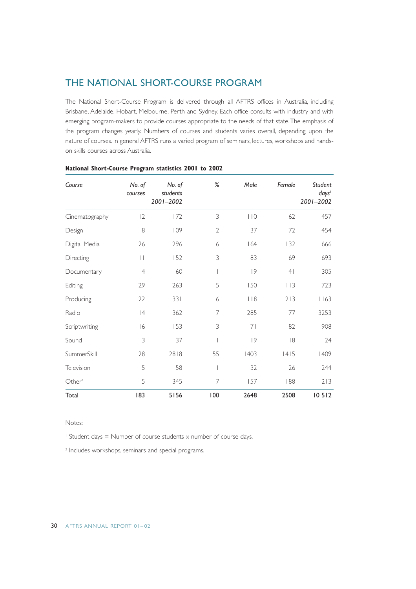# THE NATIONAL SHORT-COURSE PROGRAM

The National Short-Course Program is delivered through all AFTRS offices in Australia, including Brisbane, Adelaide, Hobart, Melbourne, Perth and Sydney. Each office consults with industry and with emerging program-makers to provide courses appropriate to the needs of that state.The emphasis of the program changes yearly. Numbers of courses and students varies overall, depending upon the nature of courses. In general AFTRS runs a varied program of seminars, lectures, workshops and handson skills courses across Australia.

| Course             | No. of<br>courses | No. of<br>students<br>2001-2002 | $\%$                     | Male | Female         | Student<br>days'<br>2001-2002 |
|--------------------|-------------------|---------------------------------|--------------------------|------|----------------|-------------------------------|
| Cinematography     | 2                 | 172                             | 3                        | 110  | 62             | 457                           |
| Design             | 8                 | 109                             | $\overline{2}$           | 37   | 72             | 454                           |
| Digital Media      | 26                | 296                             | 6                        | 164  | 132            | 666                           |
| Directing          | П                 | 152                             | 3                        | 83   | 69             | 693                           |
| Documentary        | $\overline{4}$    | 60                              | $\overline{\phantom{a}}$ | 9    | 4 <sub>1</sub> | 305                           |
| Editing            | 29                | 263                             | 5                        | 150  | 113            | 723                           |
| Producing          | 22                | 331                             | 6                        | 118  | 213            | 1163                          |
| Radio              | 4                 | 362                             | 7                        | 285  | 77             | 3253                          |
| Scriptwriting      | 16                | 153                             | 3                        | 71   | 82             | 908                           |
| Sound              | 3                 | 37                              |                          | 9    | 8              | 24                            |
| SummerSkill        | 28                | 2818                            | 55                       | 1403 | 1415           | 1409                          |
| Television         | 5                 | 58                              | $\overline{\phantom{a}}$ | 32   | 26             | 244                           |
| Other <sup>2</sup> | 5                 | 345                             | $\overline{7}$           | 157  | 188            | 213                           |
| Total              | 183               | 5156                            | 100                      | 2648 | 2508           | 10512                         |

### **National Short-Course Program statistics 2001 to 2002**

Notes:

<sup>1</sup> Student days = Number of course students  $\times$  number of course days.

<sup>2</sup> Includes workshops, seminars and special programs.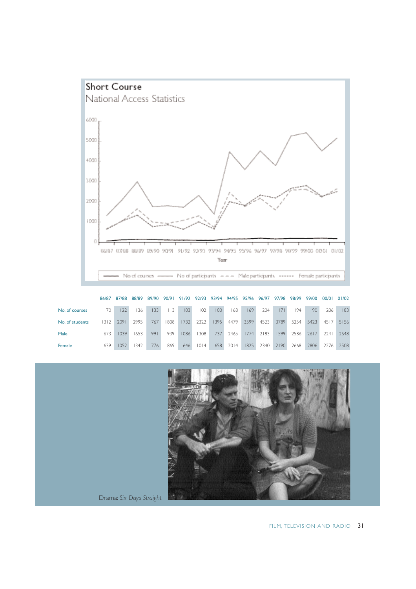

|                 | 86/87 | 87/88 | 88/89 | 89/90 | 90/91 |         |      |      |      |      | 91/92 92/93 93/94 94/95 95/96 96/97 | 97/98 | 98/99 | 99/00 | 00/01 01/02 |      |
|-----------------|-------|-------|-------|-------|-------|---------|------|------|------|------|-------------------------------------|-------|-------|-------|-------------|------|
| No. of courses  | 70.   | 22    | 36    | 133   | 113   | $103 -$ | 102  | 100  | 168  | 169  | 204                                 | 7     | 194   | 190   | 206         | 183  |
| No. of students | 1312. | 2091  | 2995  | 1767  | 808   | 1732    | 2322 | 1395 | 4479 | 3599 | 4523                                | 3789  | 5254  | 5423  | 4517        | 5156 |
| Male            | 673   | 1039  | 1653  | 991   | 939   | 1086    | 308  | 737  | 2465 | 1774 | 2183                                | 1599  | 2586  | 2617  | 2241        | 2648 |
| Female          | 639   | 1052  | 342   | 776   | 869   | 646     | 1014 | 658  | 2014 | 1825 | 2340                                | 7190  | 2668  | 2806  | 2276        | 2508 |



Drama: *Six Days Straight*

FILM, TELEVISION AND RADIO 31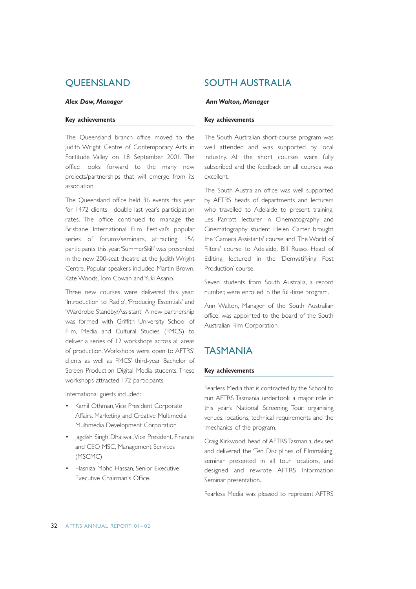# **OUEENSLAND**

### *Alex Daw, Manager*

### **Key achievements**

The Queensland branch office moved to the Judith Wright Centre of Contemporary Arts in Fortitude Valley on 18 September 2001. The office looks forward to the many new projects/partnerships that will emerge from its association.

The Queensland office held 36 events this year for 1472 clients—double last year's participation rates. The office continued to manage the Brisbane International Film Festival's popular series of forums/seminars, attracting 156 participants this year.'SummerSkill' was presented in the new 200-seat theatre at the Judith Wright Centre. Popular speakers included Martin Brown, Kate Woods,Tom Cowan and Yuki Asano.

Three new courses were delivered this year: 'Introduction to Radio', 'Producing Essentials' and 'Wardrobe Standby/Assistant'. A new partnership was formed with Griffith University School of Film, Media and Cultural Studies (FMCS) to deliver a series of 12 workshops across all areas of production. Workshops were open to AFTRS' clients as well as FMCS' third-year Bachelor of Screen Production Digital Media students. These workshops attracted 172 participants.

International guests included:

- Kamil Othman, Vice President Corporate Affairs, Marketing and Creative Multimedia, Multimedia Development Corporation
- Jagdish Singh Dhaliwal, Vice President, Finance and CEO MSC, Management Services (MSCMC)
- Hasniza Mohd Hassan, Senior Executive, Executive Chairman's Office.

# SOUTH AUSTRALIA

#### *Ann Walton, Manager*

### **Key achievements**

The South Australian short-course program was well attended and was supported by local industry. All the short courses were fully subscribed and the feedback on all courses was excellent.

The South Australian office was well supported by AFTRS heads of departments and lecturers who travelled to Adelaide to present training. Les Parrott, lecturer in Cinematography and Cinematography student Helen Carter brought the 'Camera Assistants' course and 'The World of Filters' course to Adelaide. Bill Russo, Head of Editing, lectured in the 'Demystifying Post Production' course.

Seven students from South Australia, a record number, were enrolled in the full-time program.

Ann Walton, Manager of the South Australian office, was appointed to the board of the South Australian Film Corporation.

# TASMANIA

### **Key achievements**

Fearless Media that is contracted by the School to run AFTRS Tasmania undertook a major role in this year's National Screening Tour, organising venues, locations, technical requirements and the 'mechanics' of the program.

Craig Kirkwood, head of AFTRS Tasmania, devised and delivered the 'Ten Disciplines of Filmmaking' seminar presented in all tour locations, and designed and rewrote AFTRS Information Seminar presentation.

Fearless Media was pleased to represent AFTRS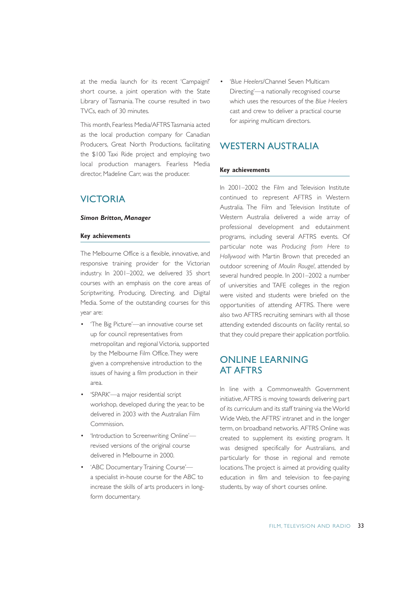at the media launch for its recent 'Campaign!' short course, a joint operation with the State Library of Tasmania. The course resulted in two TVCs, each of 30 minutes.

This month, Fearless Media/AFTRS Tasmania acted as the local production company for Canadian Producers, Great North Productions, facilitating the \$100 Taxi Ride project and employing two local production managers. Fearless Media director, Madeline Carr, was the producer.

# VICTORIA

### *Simon Britton, Manager*

### **Key achievements**

The Melbourne Office is a flexible, innovative, and responsive training provider for the Victorian industry. In 2001–2002, we delivered 35 short courses with an emphasis on the core areas of Scriptwriting, Producing, Directing, and Digital Media. Some of the outstanding courses for this year are:

- 'The Big Picture'—an innovative course set up for council representatives from metropolitan and regional Victoria, supported by the Melbourne Film Office.They were given a comprehensive introduction to the issues of having a film production in their area.
- 'SPARK'—a major residential script workshop, developed during the year, to be delivered in 2003 with the Australian Film Commission.
- 'Introduction to Screenwriting Online' revised versions of the original course delivered in Melbourne in 2000.
- 'ABC Documentary Training Course' a specialist in-house course for the ABC to increase the skills of arts producers in longform documentary.

• '*Blue Heelers*/Channel Seven Multicam Directing'—a nationally recognised course which uses the resources of the *Blue Heelers* cast and crew to deliver a practical course for aspiring multicam directors.

# WESTERN AUSTRALIA

### **Key achievements**

In 2001–2002 the Film and Television Institute continued to represent AFTRS in Western Australia. The Film and Television Institute of Western Australia delivered a wide array of professional development and edutainment programs, including several AFTRS events. Of particular note was *Producing from Here to Hollywood* with Martin Brown that preceded an outdoor screening of *Moulin Rouge!*, attended by several hundred people. In 2001–2002 a number of universities and TAFE colleges in the region were visited and students were briefed on the opportunities of attending AFTRS. There were also two AFTRS recruiting seminars with all those attending extended discounts on facility rental, so that they could prepare their application portfolio.

# ONLINE LEARNING AT AFTRS

In line with a Commonwealth Government initiative,AFTRS is moving towards delivering part of its curriculum and its staff training via the World Wide Web, the AFTRS' intranet and in the longer term, on broadband networks. AFTRS Online was created to supplement its existing program. It was designed specifically for Australians, and particularly for those in regional and remote locations.The project is aimed at providing quality education in film and television to fee-paying students, by way of short courses online.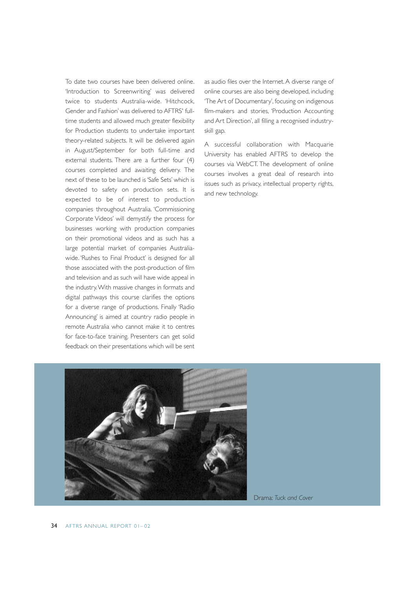To date two courses have been delivered online. 'Introduction to Screenwriting' was delivered twice to students Australia-wide. 'Hitchcock, Gender and Fashion' was delivered to AFTRS' fulltime students and allowed much greater flexibility for Production students to undertake important theory-related subjects. It will be delivered again in August/September for both full-time and external students. There are a further four (4) courses completed and awaiting delivery. The next of these to be launched is 'Safe Sets' which is devoted to safety on production sets. It is expected to be of interest to production companies throughout Australia. 'Commissioning Corporate Videos' will demystify the process for businesses working with production companies on their promotional videos and as such has a large potential market of companies Australiawide. 'Rushes to Final Product' is designed for all those associated with the post-production of film and television and as such will have wide appeal in the industry.With massive changes in formats and digital pathways this course clarifies the options for a diverse range of productions. Finally 'Radio Announcing' is aimed at country radio people in remote Australia who cannot make it to centres for face-to-face training. Presenters can get solid feedback on their presentations which will be sent

as audio files over the Internet. A diverse range of online courses are also being developed, including 'The Art of Documentary', focusing on indigenous film-makers and stories, 'Production Accounting and Art Direction', all filling a recognised industryskill gap.

A successful collaboration with Macquarie University has enabled AFTRS to develop the courses via WebCT. The development of online courses involves a great deal of research into issues such as privacy, intellectual property rights, and new technology.

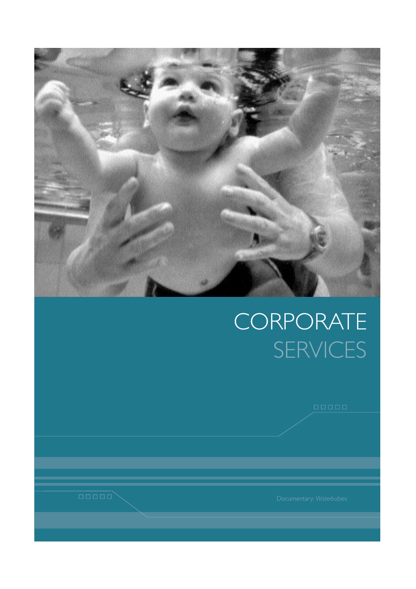

# **CORPORATE** SERVICES

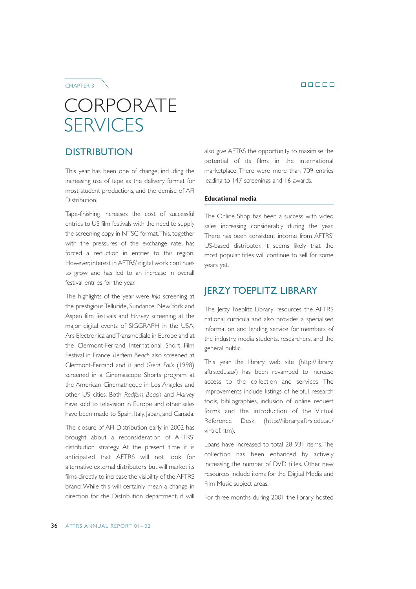8 8 8 8 8

CHAPTER 3

# **CORPORATE SERVICES**

# **DISTRIBUTION**

This year has been one of change, including the increasing use of tape as the delivery format for most student productions, and the demise of AFI Distribution.

Tape-finishing increases the cost of successful entries to US film festivals with the need to supply the screening copy in NTSC format.This, together with the pressures of the exchange rate, has forced a reduction in entries to this region. However, interest in AFTRS' digital work continues to grow and has led to an increase in overall festival entries for the year.

The highlights of the year were *Inja* screening at the prestigious Telluride, Sundance, New York and Aspen film festivals and *Harvey* screening at the major digital events of SIGGRAPH in the USA, Ars Electronica and Transmediale in Europe and at the Clermont-Ferrand International Short Film Festival in France. *Redfern Beach* also screened at Clermont-Ferrand and it and *Great Falls* (1998) screened in a Cinemascope Shorts program at the American Cinematheque in Los Angeles and other US cities. Both *Redfern Beach* and *Harvey* have sold to television in Europe and other sales have been made to Spain, Italy, Japan, and Canada.

The closure of AFI Distribution early in 2002 has brought about a reconsideration of AFTRS' distribution strategy. At the present time it is anticipated that AFTRS will not look for alternative external distributors, but will market its films directly to increase the visibility of the AFTRS brand. While this will certainly mean a change in direction for the Distribution department, it will also give AFTRS the opportunity to maximise the potential of its films in the international marketplace. There were more than 709 entries leading to 147 screenings and 16 awards.

### **Educational media**

The Online Shop has been a success with video sales increasing considerably during the year. There has been consistent income from AFTRS' US-based distributor. It seems likely that the most popular titles will continue to sell for some years yet.

### JERZY TOEPLITZ LIBRARY

The Jerzy Toeplitz Library resources the AFTRS national curricula and also provides a specialised information and lending service for members of the industry, media students, researchers, and the general public.

This year the library web site (http://library. aftrs.edu.au/) has been revamped to increase access to the collection and services. The improvements include listings of helpful research tools, bibliographies, inclusion of online request forms and the introduction of the Virtual Reference Desk (http://library.aftrs.edu.au/ virtref.htm).

Loans have increased to total 28 931 items. The collection has been enhanced by actively increasing the number of DVD titles. Other new resources include items for the Digital Media and Film Music subject areas.

For three months during 2001 the library hosted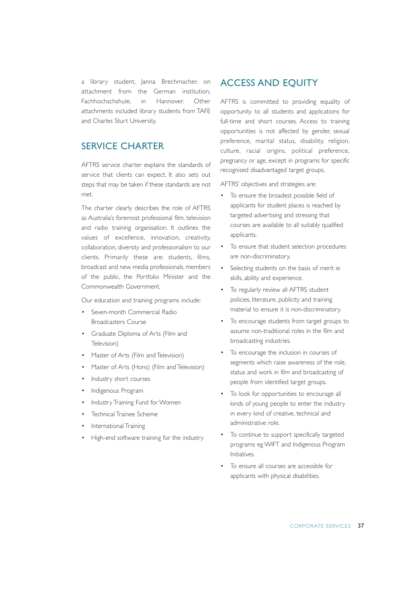a library student, Janna Brechmacher, on attachment from the German institution, Fachhochschshule, in Hannover. Other attachments included library students from TAFE and Charles Sturt University.

# SERVICE CHARTER

AFTRS service charter explains the standards of service that clients can expect. It also sets out steps that may be taken if these standards are not met.

The charter clearly describes the role of AFTRS as Australia's foremost professional film, television and radio training organisation. It outlines the values of excellence, innovation, creativity, collaboration, diversity and professionalism to our clients. Primarily these are: students, films, broadcast and new media professionals, members of the public, the Portfolio Minister and the Commonwealth Government.

Our education and training programs include:

- Seven-month Commercial Radio Broadcasters Course
- Graduate Diploma of Arts (Film and Television)
- Master of Arts (Film and Television)
- Master of Arts (Hons) (Film and Television)
- Industry short courses
- Indigenous Program
- Industry Training Fund for Women
- Technical Trainee Scheme
- International Training
- High-end software training for the industry

# ACCESS AND EQUITY

AFTRS is committed to providing equality of opportunity to all students and applications for full-time and short courses. Access to training opportunities is not affected by gender, sexual preference, marital status, disability, religion, culture, racial origins, political preference, pregnancy or age, except in programs for specific recognised disadvantaged target groups.

AFTRS' objectives and strategies are:

- To ensure the broadest possible field of applicants for student places is reached by targeted advertising and stressing that courses are available to all suitably qualified applicants.
- To ensure that student selection procedures are non-discriminatory.
- Selecting students on the basis of merit ie skills, ability and experience.
- To regularly review all AFTRS student policies, literature, publicity and training material to ensure it is non-discriminatory.
- To encourage students from target groups to assume non-traditional roles in the film and broadcasting industries.
- To encourage the inclusion in courses of segments which raise awareness of the role, status and work in film and broadcasting of people from identified target groups.
- To look for opportunities to encourage all kinds of young people to enter the industry in every kind of creative, technical and administrative role.
- To continue to support specifically targeted programs eg WIFT and Indigenous Program Initiatives.
- To ensure all courses are accessible for applicants with physical disabilities.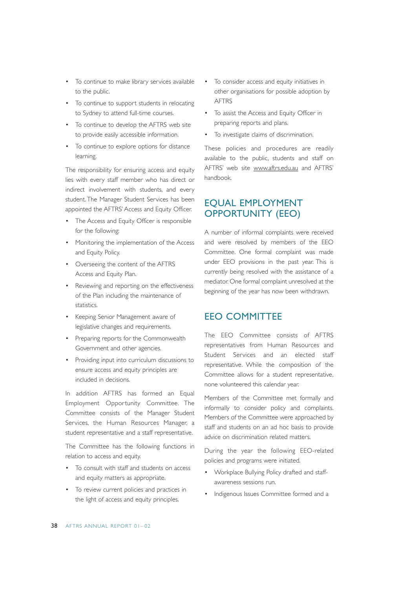- To continue to make library services available to the public.
- To continue to support students in relocating to Sydney to attend full-time courses.
- To continue to develop the AFTRS web site to provide easily accessible information.
- To continue to explore options for distance learning.

The responsibility for ensuring access and equity lies with every staff member who has direct or indirect involvement with students, and every student. The Manager Student Services has been appointed the AFTRS' Access and Equity Officer.

- The Access and Equity Officer is responsible for the following:
- Monitoring the implementation of the Access and Equity Policy.
- Overseeing the content of the AFTRS Access and Equity Plan.
- Reviewing and reporting on the effectiveness of the Plan including the maintenance of statistics.
- Keeping Senior Management aware of legislative changes and requirements.
- Preparing reports for the Commonwealth Government and other agencies.
- Providing input into curriculum discussions to ensure access and equity principles are included in decisions.

In addition AFTRS has formed an Equal Employment Opportunity Committee. The Committee consists of the Manager Student Services, the Human Resources Manager, a student representative and a staff representative.

The Committee has the following functions in relation to access and equity.

- To consult with staff and students on access and equity matters as appropriate.
- To review current policies and practices in the light of access and equity principles.
- To consider access and equity initiatives in other organisations for possible adoption by AFTRS
- To assist the Access and Equity Officer in preparing reports and plans.
- To investigate claims of discrimination.

These policies and procedures are readily available to the public, students and staff on AFTRS' web site www.aftrs.edu.au and AFTRS' handbook.

## EQUAL EMPLOYMENT OPPORTUNITY (EEO)

A number of informal complaints were received and were resolved by members of the EEO Committee. One formal complaint was made under EEO provisions in the past year. This is currently being resolved with the assistance of a mediator. One formal complaint unresolved at the beginning of the year has now been withdrawn.

### EEO COMMITTEE

The EEO Committee consists of AFTRS representatives from Human Resources and Student Services and an elected staff representative. While the composition of the Committee allows for a student representative, none volunteered this calendar year.

Members of the Committee met formally and informally to consider policy and complaints. Members of the Committee were approached by staff and students on an ad hoc basis to provide advice on discrimination related matters.

During the year the following EEO-related policies and programs were initiated.

- Workplace Bullying Policy drafted and staffawareness sessions run.
- Indigenous Issues Committee formed and a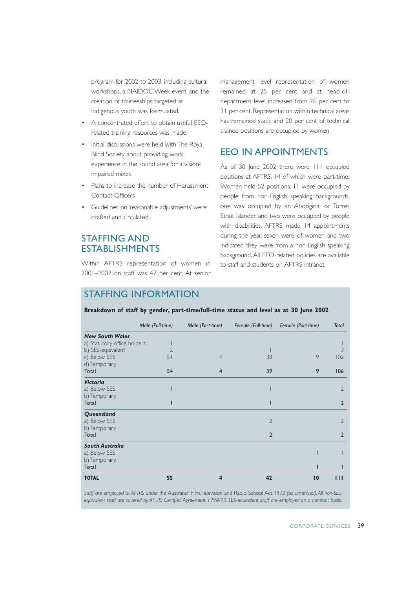program for 2002 to 2003, including cultural workshops, a NAIDOC Week event, and the creation of traineeships targeted at Indigenous youth was formulated.

- A concentrated effort to obtain useful EEOrelated training resources was made.
- Initial discussions were held with The Royal Blind Society about providing work experience in the sound area for a visionimpaired mixer.
- Plans to increase the number of Harassment Contact Officers.
- Guidelines on 'reasonable adjustments' were drafted and circulated.

## STAFFING AND ESTABLISHMENTS

Within AFTRS representation of women in 2001–2002 on staff was 47 per cent. At senior

management level representation of women remained at 25 per cent and at head-ofdepartment level increased from 26 per cent to 31 per cent. Representation within technical areas has remained static and 20 per cent of technical trainee positions are occupied by women.

## EEO IN APPOINTMENTS

As of 30 June 2002 there were 111 occupied positions at AFTRS, 14 of which were part-time. Women held 52 positions, 11 were occupied by people from non-English speaking backgrounds, one was occupied by an Aboriginal or Torres Strait Islander, and two were occupied by people with disabilities. AFTRS made 14 appointments during the year, seven were of women and two indicated they were from a non-English speaking background. All EEO-related policies are available to staff and students on AFTRS intranet.

## STAFFING INFORMATION

#### **Breakdown of staff by gender, part-time/full-time status and level as at 30 June 2002**

|                             | Male (Full-time) | Male (Part-time) | Female (Full-time) | Female (Part-time) | <b>Total</b>   |
|-----------------------------|------------------|------------------|--------------------|--------------------|----------------|
| <b>New South Wales</b>      |                  |                  |                    |                    |                |
| a) Statutory office holders |                  |                  |                    |                    |                |
| b) SES-equivalent           | $\mathfrak{D}$   |                  |                    |                    | 3              |
| c) Below SES                | 51               | $\overline{4}$   | 38                 | 9                  | 102            |
| d) Temporary                |                  |                  |                    |                    |                |
| Total                       | 54               | $\overline{4}$   | 39                 | 9                  | 106            |
| <b>Victoria</b>             |                  |                  |                    |                    |                |
| a) Below SES                |                  |                  |                    |                    | $\overline{2}$ |
| b) Temporary                |                  |                  |                    |                    |                |
| Total                       |                  |                  |                    |                    | $\overline{2}$ |
| Queensland                  |                  |                  |                    |                    |                |
| a) Below SES                |                  |                  | $\overline{2}$     |                    | $\overline{2}$ |
| b) Temporary                |                  |                  |                    |                    |                |
| Total                       |                  |                  | $\overline{2}$     |                    | $\overline{2}$ |
| <b>South Australia</b>      |                  |                  |                    |                    |                |
| a) Below SES                |                  |                  |                    |                    |                |
| b) Temporary                |                  |                  |                    |                    |                |
| Total                       |                  |                  |                    |                    |                |
| <b>TOTAL</b>                | 55               | $\boldsymbol{4}$ | 42                 | $\overline{10}$    | $\blacksquare$ |

*Staff are employed at AFTRS under the* Australian Film,Television and Radio School Act 1973 *(as amended). All non-SESequivalent staff are covered by AFTRS Certified Agreement 1998/99. SES-equivalent staff are employed on a contract basis.*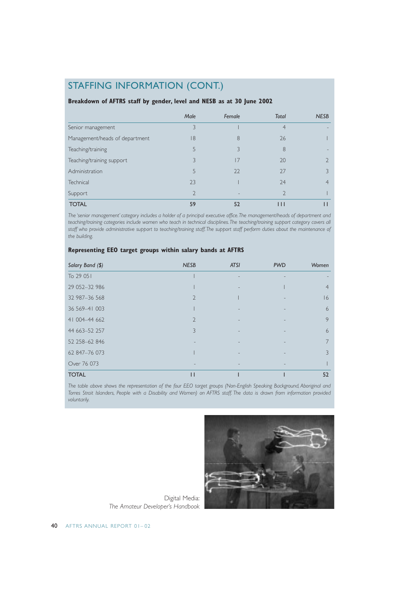## STAFFING INFORMATION (CONT.)

#### **Breakdown of AFTRS staff by gender, level and NESB as at 30 June 2002**

|                                | Male | Female | <b>Total</b> | <b>NESB</b> |
|--------------------------------|------|--------|--------------|-------------|
| Senior management              | 3    |        | 4            |             |
| Management/heads of department | 18   | 8      | 26           |             |
| Teaching/training              |      |        | 8            |             |
| Teaching/training support      | 3    | 17     | 20           |             |
| Administration                 | 5    | 22     | 27           |             |
| Technical                      | 23   |        | 24           | 4           |
| Support                        |      |        |              |             |
| <b>TOTAL</b>                   | 59   | 52     | $\mathbf{H}$ |             |

*The 'senior management' category includes a holder of a principal executive office.The management/heads of department and teaching/training categories include women who teach in technical disciplines.The teaching/training support category covers all staff who provide administrative support to teaching/training staff.The support staff perform duties about the maintenance of the building.*

#### **Representing EEO target groups within salary bands at AFTRS**

| Salary Band (\$) | <b>NESB</b>              | <b>ATSI</b> | <b>PWD</b> | Women |
|------------------|--------------------------|-------------|------------|-------|
| To 29 051        |                          |             |            |       |
| 29 052-32 986    |                          |             |            | 4     |
| 32 987-36 568    | $\overline{\phantom{0}}$ |             |            | 16    |
| 36 569 - 41 003  |                          |             |            | 6     |
| 41 004 - 44 662  | $\mathcal{D}$            |             |            | 9     |
| 44 663 - 52 257  | 3                        |             |            | 6     |
| 52 258-62 846    |                          |             |            |       |
| 62 847-76 073    |                          |             |            | 3     |
| Over 76 073      |                          |             |            |       |
| <b>TOTAL</b>     | $\mathsf{L}$             |             |            | 52    |

*The table above shows the representation of the four EEO target groups (Non-English Speaking Background, Aboriginal and Torres Strait Islanders, People with a Disability and Women) on AFTRS staff. The data is drawn from information provided voluntarily.*



Digital Media: *The Amateur Developer's Handbook*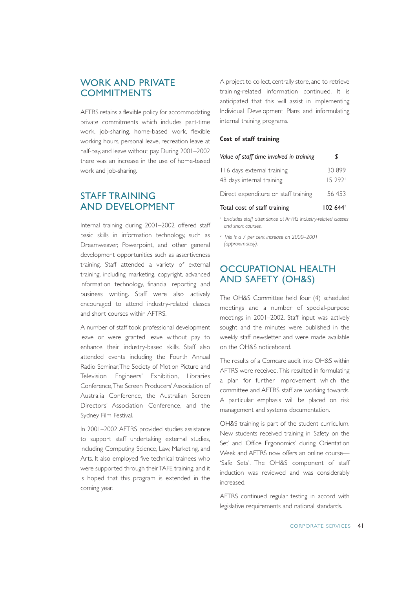## WORK AND PRIVATE **COMMITMENTS**

AFTRS retains a flexible policy for accommodating private commitments which includes part-time work, job-sharing, home-based work, flexible working hours, personal leave, recreation leave at half-pay, and leave without pay. During 2001–2002 there was an increase in the use of home-based work and job-sharing.

## STAFF TRAINING AND DEVELOPMENT

Internal training during 2001–2002 offered staff basic skills in information technology, such as Dreamweaver, Powerpoint, and other general development opportunities such as assertiveness training. Staff attended a variety of external training, including marketing, copyright, advanced information technology, financial reporting and business writing. Staff were also actively encouraged to attend industry-related classes and short courses within AFTRS.

A number of staff took professional development leave or were granted leave without pay to enhance their industry-based skills. Staff also attended events including the Fourth Annual Radio Seminar,The Society of Motion Picture and Television Engineers' Exhibition, Libraries Conference,The Screen Producers' Association of Australia Conference, the Australian Screen Directors' Association Conference, and the Sydney Film Festival.

In 2001–2002 AFTRS provided studies assistance to support staff undertaking external studies, including Computing Science, Law, Marketing, and Arts. It also employed five technical trainees who were supported through their TAFE training, and it is hoped that this program is extended in the coming year.

A project to collect, centrally store, and to retrieve training-related information continued. It is anticipated that this will assist in implementing Individual Development Plans and informulating internal training programs.

#### **Cost of staff training**

| Value of staff time involved in training                | \$                |
|---------------------------------------------------------|-------------------|
| 116 days external training<br>48 days internal training | 30 899<br>15 2921 |
| Direct expenditure on staff training                    | 56 453            |
| Total cost of staff training                            | $102644^2$        |

*<sup>1</sup> Excludes staff attendance at AFTRS industry-related classes and short courses.*

*<sup>2</sup> This is a 7 per cent increase on 2000–2001 (approximately).*

## OCCUPATIONAL HEALTH AND SAFETY (OH&S)

The OH&S Committee held four (4) scheduled meetings and a number of special-purpose meetings in 2001–2002. Staff input was actively sought and the minutes were published in the weekly staff newsletter and were made available on the OH&S noticeboard.

The results of a Comcare audit into OH&S within AFTRS were received. This resulted in formulating a plan for further improvement which the committee and AFTRS staff are working towards. A particular emphasis will be placed on risk management and systems documentation.

OH&S training is part of the student curriculum. New students received training in 'Safety on the Set' and 'Office Ergonomics' during Orientation Week and AFTRS now offers an online course— 'Safe Sets'. The OH&S component of staff induction was reviewed and was considerably increased.

AFTRS continued regular testing in accord with legislative requirements and national standards.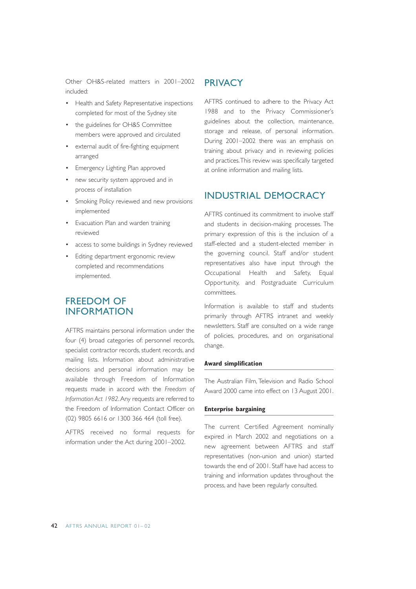Other OH&S-related matters in 2001–2002 included:

- Health and Safety Representative inspections completed for most of the Sydney site
- the guidelines for OH&S Committee members were approved and circulated
- external audit of fire-fighting equipment arranged
- Emergency Lighting Plan approved
- new security system approved and in process of installation
- Smoking Policy reviewed and new provisions implemented
- Evacuation Plan and warden training reviewed
- access to some buildings in Sydney reviewed
- Editing department ergonomic review completed and recommendations implemented.

## FREEDOM OF INFORMATION

AFTRS maintains personal information under the four (4) broad categories of: personnel records, specialist contractor records, student records, and mailing lists. Information about administrative decisions and personal information may be available through Freedom of Information requests made in accord with the *Freedom of Information Act 1982*.Any requests are referred to the Freedom of Information Contact Officer on (02) 9805 6616 or 1300 366 464 (toll free).

AFTRS received no formal requests for information under the Act during 2001–2002.

### **PRIVACY**

AFTRS continued to adhere to the Privacy Act 1988 and to the Privacy Commissioner's guidelines about the collection, maintenance, storage and release, of personal information. During 2001–2002 there was an emphasis on training about privacy and in reviewing policies and practices.This review was specifically targeted at online information and mailing lists.

### INDUSTRIAL DEMOCRACY

AFTRS continued its commitment to involve staff and students in decision-making processes. The primary expression of this is the inclusion of a staff-elected and a student-elected member in the governing council. Staff and/or student representatives also have input through the Occupational Health and Safety, Equal Opportunity, and Postgraduate Curriculum committees.

Information is available to staff and students primarily through AFTRS intranet and weekly newsletters. Staff are consulted on a wide range of policies, procedures, and on organisational change.

#### **Award simplification**

The Australian Film, Television and Radio School Award 2000 came into effect on 13 August 2001.

#### **Enterprise bargaining**

The current Certified Agreement nominally expired in March 2002 and negotiations on a new agreement between AFTRS and staff representatives (non-union and union) started towards the end of 2001. Staff have had access to training and information updates throughout the process, and have been regularly consulted.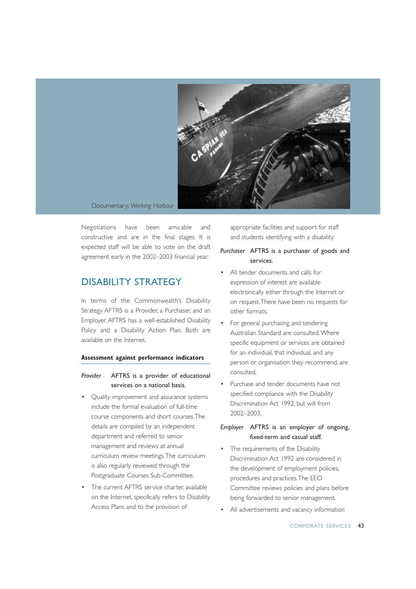

Documentary: *Working Harbour*

Negotiations have been amicable and constructive and are in the final stages. It is expected staff will be able to vote on the draft agreement early in the 2002–2003 financial year.

## DISABILITY STRATEGY

In terms of the Commonwealth's Disability Strategy AFTRS is a Provider, a Purchaser, and an Employer. AFTRS has a well-established Disability Policy and a Disability Action Plan. Both are available on the Internet.

#### **Assessment against performance indicators**

#### *Provider* AFTRS is a provider of educational services on a national basis.

- Quality improvement and assurance systems include the formal evaluation of full-time course components and short courses.The details are compiled by an independent department and referred to senior management and reviews at annual curriculum review meetings.The curriculum is also regularly reviewed through the Postgraduate Courses Sub-Committee.
- The current AFTRS service charter, available on the Internet, specifically refers to Disability Access Plans and to the provision of

appropriate facilities and support for staff and students identifying with a disability.

#### *Purchaser* AFTRS is a purchaser of goods and services.

- All tender documents and calls for expression of interest are available electronically either through the Internet or on request.There have been no requests for other formats.
- For general purchasing and tendering Australian Standard are consulted.Where specific equipment or services are obtained for an individual, that individual, and any person or organisation they recommend, are consulted.
- Purchase and tender documents have not specified compliance with the Disability Discrimination Act 1992, but will from 2002–2003.

#### *Employer* AFTRS is an employer of ongoing, fixed-term and casual staff.

- The requirements of the Disability Discrimination Act 1992 are considered in the development of employment policies, procedures and practices.The EEO Committee reviews policies and plans before being forwarded to senior management.
- All advertisements and vacancy information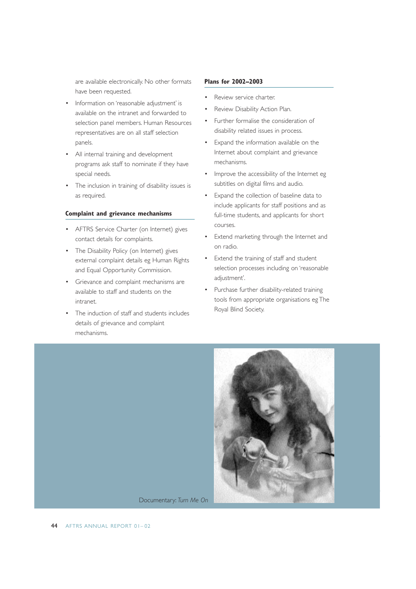are available electronically. No other formats have been requested.

- Information on 'reasonable adjustment' is available on the intranet and forwarded to selection panel members. Human Resources representatives are on all staff selection panels.
- All internal training and development programs ask staff to nominate if they have special needs.
- The inclusion in training of disability issues is as required.

#### **Complaint and grievance mechanisms**

- AFTRS Service Charter (on Internet) gives contact details for complaints.
- The Disability Policy (on Internet) gives external complaint details eg Human Rights and Equal Opportunity Commission.
- Grievance and complaint mechanisms are available to staff and students on the intranet.
- The induction of staff and students includes details of grievance and complaint mechanisms.

#### **Plans for 2002–2003**

- Review service charter.
- Review Disability Action Plan.
- Further formalise the consideration of disability related issues in process.
- Expand the information available on the Internet about complaint and grievance mechanisms.
- Improve the accessibility of the Internet eg subtitles on digital films and audio.
- Expand the collection of baseline data to include applicants for staff positions and as full-time students, and applicants for short courses.
- Extend marketing through the Internet and on radio.
- Extend the training of staff and student selection processes including on 'reasonable adjustment'.
- Purchase further disability-related training tools from appropriate organisations eg The Royal Blind Society.

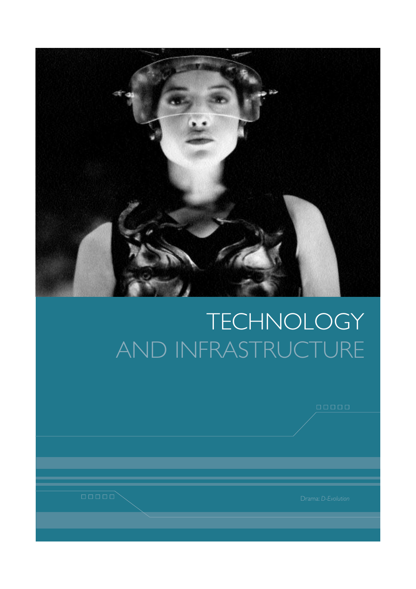

# TECHNOLOGY AND INFRASTRUCTURE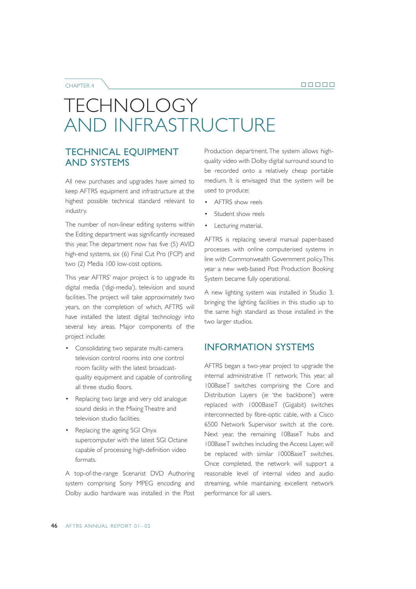#### CHAPTER 4

## TECHNOLOGY AND INFRASTRUCTURE

### TECHNICAL EQUIPMENT AND SYSTEMS

All new purchases and upgrades have aimed to keep AFTRS equipment and infrastructure at the highest possible technical standard relevant to industry.

The number of non-linear editing systems within the Editing department was significantly increased this year.The department now has five (5) AVID high-end systems, six (6) Final Cut Pro (FCP) and two (2) Media 100 low-cost options.

This year AFTRS' major project is to upgrade its digital media ('digi-media'), television and sound facilities. The project will take approximately two years, on the completion of which, AFTRS will have installed the latest digital technology into several key areas. Major components of the project include:

- Consolidating two separate multi-camera television control rooms into one control room facility with the latest broadcastquality equipment and capable of controlling all three studio floors.
- Replacing two large and very old analogue sound desks in the Mixing Theatre and television studio facilities.
- Replacing the ageing SGI Onyx supercomputer with the latest SGI Octane capable of processing high-definition video formats.

A top-of-the-range Scenarist DVD Authoring system comprising Sony MPEG encoding and Dolby audio hardware was installed in the Post

Production department. The system allows highquality video with Dolby digital surround sound to be recorded onto a relatively cheap portable medium. It is envisaged that the system will be used to produce:

- AFTRS show reels
- Student show reels
- Lecturing material.

AFTRS is replacing several manual paper-based processes with online computerised systems in line with Commonwealth Government policy.This year a new web-based Post Production Booking System became fully operational.

A new lighting system was installed in Studio 3, bringing the lighting facilities in this studio up to the same high standard as those installed in the two larger studios.

### INFORMATION SYSTEMS

AFTRS began a two-year project to upgrade the internal administrative IT network. This year, all 100BaseT switches comprising the Core and Distribution Layers (ie 'the backbone') were replaced with 1000BaseT (Gigabit) switches interconnected by fibre-optic cable, with a Cisco 6500 Network Supervisor switch at the core. Next year, the remaining 10BaseT hubs and 100BaseT switches including the Access Layer, will be replaced with similar 1000BaseT switches. Once completed, the network will support a reasonable level of internal video and audio streaming, while maintaining excellent network performance for all users.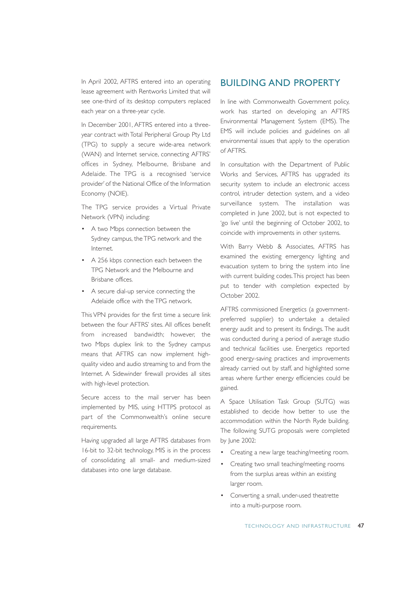In April 2002, AFTRS entered into an operating lease agreement with Rentworks Limited that will see one-third of its desktop computers replaced each year on a three-year cycle.

In December 2001, AFTRS entered into a threeyear contract with Total Peripheral Group Pty Ltd (TPG) to supply a secure wide-area network (WAN) and Internet service, connecting AFTRS' offices in Sydney, Melbourne, Brisbane and Adelaide. The TPG is a recognised 'service provider' of the National Office of the Information Economy (NOIE).

The TPG service provides a Virtual Private Network (VPN) including:

- A two Mbps connection between the Sydney campus, the TPG network and the Internet.
- A 256 kbps connection each between the TPG Network and the Melbourne and Brisbane offices.
- A secure dial-up service connecting the Adelaide office with the TPG network.

This VPN provides for the first time a secure link between the four AFTRS' sites. All offices benefit from increased bandwidth; however, the two Mbps duplex link to the Sydney campus means that AFTRS can now implement highquality video and audio streaming to and from the Internet. A Sidewinder firewall provides all sites with high-level protection.

Secure access to the mail server has been implemented by MIS, using HTTPS protocol as part of the Commonwealth's online secure requirements.

Having upgraded all large AFTRS databases from 16-bit to 32-bit technology, MIS is in the process of consolidating all small- and medium-sized databases into one large database.

## BUILDING AND PROPERTY

In line with Commonwealth Government policy, work has started on developing an AFTRS Environmental Management System (EMS). The EMS will include policies and guidelines on all environmental issues that apply to the operation of AFTRS.

In consultation with the Department of Public Works and Services, AFTRS has upgraded its security system to include an electronic access control, intruder detection system, and a video surveillance system. The installation was completed in June 2002, but is not expected to 'go live' until the beginning of October 2002, to coincide with improvements in other systems.

With Barry Webb & Associates, AFTRS has examined the existing emergency lighting and evacuation system to bring the system into line with current building codes.This project has been put to tender with completion expected by October 2002.

AFTRS commissioned Energetics (a governmentpreferred supplier) to undertake a detailed energy audit and to present its findings. The audit was conducted during a period of average studio and technical facilities use. Energetics reported good energy-saving practices and improvements already carried out by staff, and highlighted some areas where further energy efficiencies could be gained.

A Space Utilisation Task Group (SUTG) was established to decide how better to use the accommodation within the North Ryde building. The following SUTG proposals were completed by lune 2002:

- Creating a new large teaching/meeting room.
- Creating two small teaching/meeting rooms from the surplus areas within an existing larger room.
- Converting a small, under-used theatrette into a multi-purpose room.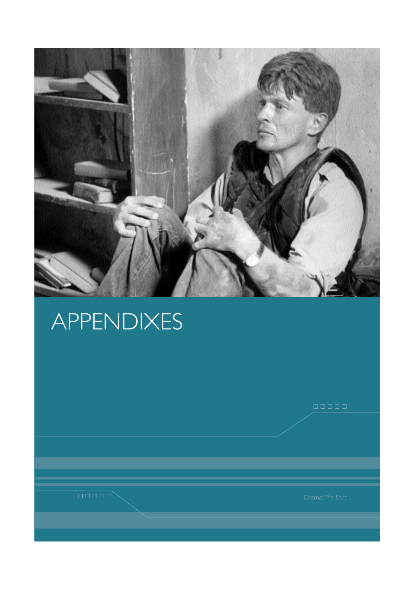

# APPENDIXES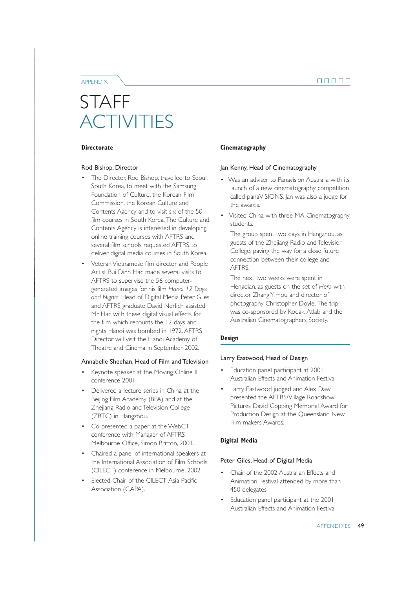APPENDIX 1

## STAFF ACTIVITIES

#### **Directorate**

#### Rod Bishop, Director

- The Director, Rod Bishop, travelled to Seoul, South Korea, to meet with the Samsung Foundation of Culture, the Korean Film Commission, the Korean Culture and Contents Agency and to visit six of the 50 film courses in South Korea. The Culture and Contents Agency is interested in developing online training courses with AFTRS and several film schools requested AFTRS to deliver digital media courses in South Korea.
- Veteran Vietnamese film director and People Artist Bui Dinh Hac made several visits to AFTRS to supervise the 56 computergenerated images for his film *Hanoi 12 Days and Nights*. Head of Digital Media Peter Giles and AFTRS graduate David Nerlich assisted Mr Hac with these digital visual effects for the film which recounts the 12 days and nights Hanoi was bombed in 1972. AFTRS Director will visit the Hanoi Academy of Theatre and Cinema in September 2002.

#### Annabelle Sheehan, Head of Film and Television

- Keynote speaker at the Moving Online II conference 2001.
- Delivered a lecture series in China at the Beijing Film Academy (BFA) and at the Zhejiang Radio and Television College (ZRTC) in Hangzhou.
- Co-presented a paper at the WebCT conference with Manager of AFTRS Melbourne Office, Simon Britton, 2001.
- Chaired a panel of international speakers at the International Association of Film Schools (CILECT) conference in Melbourne, 2002.
- Elected Chair of the CILECT Asia Pacific Association (CAPA).

#### **Cinematography**

#### Jan Kenny, Head of Cinematography

- Was an adviser to Panavision Australia with its launch of a new cinematography competition called panaVISIONS. Jan was also a judge for the awards.
- Visited China with three MA Cinematography students.

The group spent two days in Hangzhou, as guests of the Zhejiang Radio and Television College, paving the way for a close future connection between their college and AFTRS.

The next two weeks were spent in Hengdian, as guests on the set of *Hero* with director Zhang Yimou and director of photography Christopher Doyle. The trip was co-sponsored by Kodak, Atlab and the Australian Cinematographers Society.

#### **Design**

#### Larry Eastwood, Head of Design

- Education panel participant at 2001 Australian Effects and Animation Festival.
- Larry Eastwood judged and Alex Daw presented the AFTRS/Village Roadshow Pictures David Copping Memorial Award for Production Design at the Queensland New Film-makers Awards.

#### **Digital Media**

#### Peter Giles, Head of Digital Media

- Chair of the 2002 Australian Effects and Animation Festival attended by more than 450 delegates.
- Education panel participant at the 2001 Australian Effects and Animation Festival.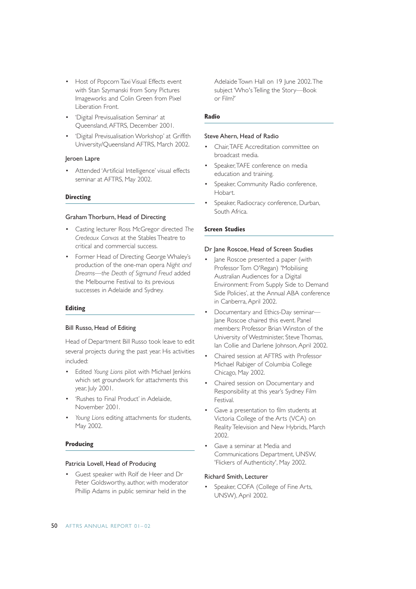- Host of Popcorn Taxi Visual Effects event with Stan Szymanski from Sony Pictures Imageworks and Colin Green from Pixel Liberation Front.
- 'Digital Previsualisation Seminar' at Queensland, AFTRS, December 2001.
- 'Digital Previsualisation Workshop' at Griffith University/Queensland AFTRS, March 2002.

#### Jeroen Lapre

Attended 'Artificial Intelligence' visual effects seminar at AFTRS, May 2002.

#### **Directing**

#### Graham Thorburn, Head of Directing

- Casting lecturer Ross McGregor directed *The Credeaux Canvas* at the Stables Theatre to critical and commercial success.
- Former Head of Directing George Whaley's production of the one-man opera *Night and Dreams—the Death of Sigmund Freud* added the Melbourne Festival to its previous successes in Adelaide and Sydney.

#### **Editing**

#### Bill Russo, Head of Editing

Head of Department Bill Russo took leave to edit several projects during the past year. His activities included:

- Edited *Young Lions* pilot with Michael Jenkins which set groundwork for attachments this year, July 2001.
- 'Rushes to Final Product' in Adelaide, November 2001.
- *Young Lions* editing attachments for students, May 2002.

#### **Producing**

#### Patricia Lovell, Head of Producing

• Guest speaker with Rolf de Heer and Dr Peter Goldsworthy, author, with moderator Phillip Adams in public seminar held in the

Adelaide Town Hall on 19 June 2002.The subject 'Who's Telling the Story—Book or Film?'

#### **Radio**

#### Steve Ahern, Head of Radio

- Chair,TAFE Accreditation committee on broadcast media.
- Speaker, TAFE conference on media education and training.
- Speaker, Community Radio conference, Hobart.
- Speaker, Radiocracy conference, Durban, South Africa.

#### **Screen Studies**

#### Dr Jane Roscoe, Head of Screen Studies

- lane Roscoe presented a paper (with Professor Tom O'Regan) 'Mobilising Australian Audiences for a Digital Environment: From Supply Side to Demand Side Policies', at the Annual ABA conference in Canberra, April 2002.
- Documentary and Ethics-Day seminar— Jane Roscoe chaired this event. Panel members: Professor Brian Winston of the University of Westminister, Steve Thomas, Ian Collie and Darlene Johnson, April 2002.
- Chaired session at AFTRS with Professor Michael Rabiger of Columbia College Chicago, May 2002.
- Chaired session on Documentary and Responsibility at this year's Sydney Film Festival.
- Gave a presentation to film students at Victoria College of the Arts (VCA) on Reality Television and New Hybrids, March  $2002$
- Gave a seminar at Media and Communications Department, UNSW, 'Flickers of Authenticity', May 2002.

#### Richard Smith, Lecturer

Speaker, COFA (College of Fine Arts, UNSW), April 2002.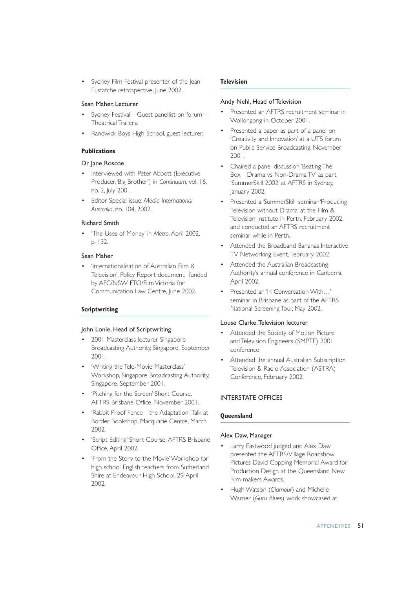• Sydney Film Festival presenter of the Jean Eustatche retrospective, June 2002.

#### Sean Maher, Lecturer

- Sydney Festival—Guest panellist on forum— Theatrical Trailers.
- Randwick Boys High School, guest lecturer.

#### **Publications**

#### Dr Jane Roscoe

- Interviewed with Peter Abbott (Executive Producer,'Big Brother') in *Continuum*, vol. 16, no. 2, July 2001.
- Editor Special issue: *Media International Australia*, no. 104, 2002.

#### Richard Smith

• 'The Uses of Money' in *Metro*,April 2002, p. 132.

#### Sean Maher

• 'Internationalisation of Australian Film & Television', Policy Report document, funded by AFC/NSW FTO/Film Victoria for Communication Law Centre, June 2002.

#### **Scriptwriting**

#### John Lonie, Head of Scriptwriting

- 2001 Masterclass lecturer, Singapore Broadcasting Authority, Singapore, September 2001.
- 'Writing the Tele-Movie Masterclass' Workshop, Singapore Broadcasting Authority, Singapore, September 2001.
- 'Pitching for the Screen' Short Course, AFTRS Brisbane Office, November 2001.
- 'Rabbit Proof Fence—the Adaptation'.Talk at Border Bookshop, Macquarie Centre, March 2002.
- 'Script Editing' Short Course, AFTRS Brisbane Office, April 2002.
- 'From the Story to the Movie'Workshop for high school English teachers from Sutherland Shire at Endeavour High School, 29 April 2002.

#### **Television**

#### Andy Nehl, Head of Television

- Presented an AFTRS recruitment seminar in Wollongong in October 2001.
- Presented a paper as part of a panel on 'Creativity and Innovation' at a UTS forum on Public Service Broadcasting, November 2001.
- Chaired a panel discussion 'Beating The Box—Drama vs Non-Drama TV' as part 'SummerSkill 2002' at AFTRS in Sydney, January 2002.
- Presented a 'SummerSkill' seminar 'Producing Television without Drama' at the Film & Television Institute in Perth, February 2002, and conducted an AFTRS recruitment seminar while in Perth.
- Attended the Broadband Bananas Interactive TV Networking Event, February 2002.
- Attended the Australian Broadcasting Authority's annual conference in Canberra, April 2002.
- Presented an 'In Conversation With…' seminar in Brisbane as part of the AFTRS National Screening Tour, May 2002.

#### Louse Clarke,Television lecturer

- Attended the Society of Motion Picture and Television Engineers (SMPTE) 2001 conference.
- Attended the annual Australian Subscription Television & Radio Association (ASTRA) Conference, February 2002.

#### INTERSTATE OFFICES

#### **Queensland**

#### Alex Daw, Manager

- Larry Eastwood judged and Alex Daw presented the AFTRS/Village Roadshow Pictures David Copping Memorial Award for Production Design at the Queensland New Film-makers Awards.
- Hugh Watson (*Glamour*) and Michelle Warner (*Guru Blue*s) work showcased at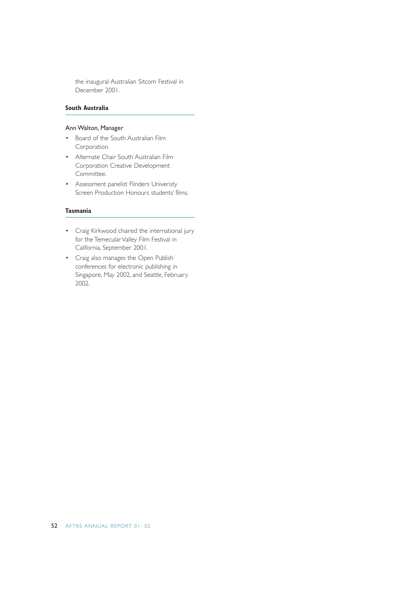the inaugural Australian Sitcom Festival in December 2001.

#### **South Australia**

#### Ann Walton, Manager

- Board of the South Australian Film Corporation.
- Alternate Chair South Australian Film Corporation Creative Development Committee.
- Assessment panelist Flinders Univeristy Screen Production Honours students' films.

#### **Tasmania**

- Craig Kirkwood chaired the international jury for the Temecular Valley Film Festival in California, September 2001.
- Craig also manages the Open Publish conferences for electronic publishing in Singapore, May 2002, and Seattle, February 2002.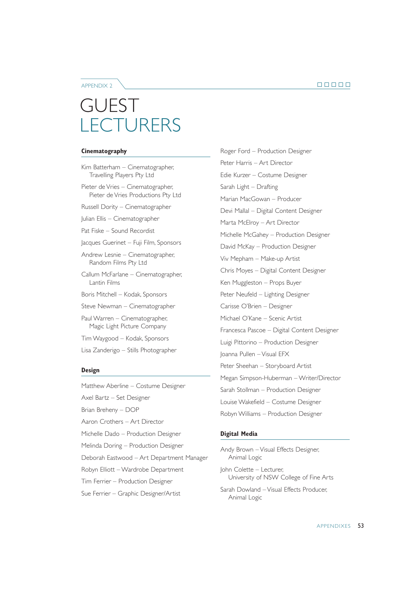#### APPENDIX 2

## GUEST **LECTURERS**

#### **Cinematography**

- Kim Batterham Cinematographer, Travelling Players Pty Ltd
- Pieter de Vries Cinematographer, Pieter de Vries Productions Pty Ltd
- Russell Dority Cinematographer
- Julian Ellis Cinematographer
- Pat Fiske Sound Recordist

Jacques Guerinet – Fuji Film, Sponsors

- Andrew Lesnie Cinematographer, Random Films Pty Ltd
- Callum McFarlane Cinematographer, Lantin Films
- Boris Mitchell Kodak, Sponsors
- Steve Newman Cinematographer
- Paul Warren Cinematographer, Magic Light Picture Company
- Tim Waygood Kodak, Sponsors
- Lisa Zanderigo Stills Photographer

#### **Design**

Matthew Aberline – Costume Designer Axel Bartz – Set Designer Brian Breheny – DOP Aaron Crothers – Art Director Michelle Dado – Production Designer Melinda Doring – Production Designer Deborah Eastwood – Art Department Manager Robyn Elliott – Wardrobe Department Tim Ferrier – Production Designer Sue Ferrier – Graphic Designer/Artist

Roger Ford – Production Designer Peter Harris – Art Director Edie Kurzer – Costume Designer Sarah Light – Drafting Marian MacGowan – Producer Devi Mallal – Digital Content Designer Marta McElroy – Art Director Michelle McGahey – Production Designer David McKay – Production Designer Viv Mepham – Make-up Artist Chris Moyes – Digital Content Designer Ken Muggleston – Props Buyer Peter Neufeld – Lighting Designer Carisse O'Brien – Designer Michael O'Kane – Scenic Artist Francesca Pascoe – Digital Content Designer Luigi Pittorino – Production Designer Joanna Pullen – Visual EFX Peter Sheehan – Storyboard Artist Megan Simpson-Huberman – Writer/Director Sarah Stollman – Production Designer Louise Wakefield – Costume Designer Robyn Williams – Production Designer

#### **Digital Media**

Andy Brown – Visual Effects Designer, Animal Logic John Colette – Lecturer, University of NSW College of Fine Arts Sarah Dowland – Visual Effects Producer, Animal Logic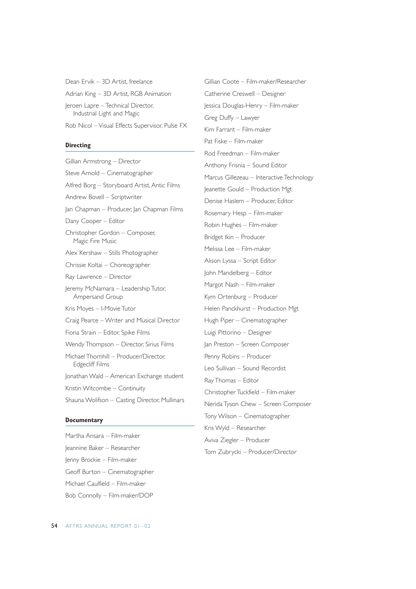Dean Ervik – 3D Artist, freelance Adrian King – 3D Artist, RGB Animation Jeroen Lapre – Technical Director, Industrial Light and Magic

Rob Nicol – Visual Effects Supervisor, Pulse FX

#### **Directing**

Gillian Armstrong – Director Steve Arnold – Cinematographer Alfred Borg – Storyboard Artist, Antic Films Andrew Bovell – Scriptwriter Jan Chapman – Producer, Jan Chapman Films Dany Cooper – Editor Christopher Gordon – Composer, Magic Fire Music Alex Kershaw – Stills Photographer Chrissie Koltai – Choreographer Ray Lawrence – Director Jeremy McNamara – Leadership Tutor, Ampersand Group Kris Moyes – I-Movie Tutor Craig Pearce – Writer and Musical Director Fiona Strain – Editor, Spike Films Wendy Thompson – Director, Sirius Films Michael Thornhill – Producer/Director, Edgecliff Films Jonathan Wald – American Exchange student Kristin Witcombe – Continuity Shauna Wolifson – Casting Director, Mullinars

#### **Documentary**

Martha Ansara – Film-maker Jeannine Baker – Researcher Jenny Brockie – Film-maker Geoff Burton – Cinematographer Michael Caulfield – Film-maker Bob Connolly – Film-maker/DOP

Gillian Coote – Film-maker/Researcher Catherine Creswell – Designer Jessica Douglas-Henry – Film-maker Greg Duffy – Lawyer Kim Farrant – Film-maker Pat Fiske – Film-maker Rod Freedman – Film-maker Anthony Frisnia – Sound Editor Marcus Gillezeau – Interactive Technology Jeanette Gould – Production Mgt Denise Haslem – Producer, Editor Rosemary Hesp – Film-maker Robin Hughes – Film-maker Bridget Ikin – Producer Melissa Lee – Film-maker Alison Lyssa – Script Editor John Mandelberg – Editor Margot Nash – Film-maker Kym Ortenburg – Producer Helen Panckhurst – Production Mgt Hugh Piper – Cinematographer Luigi Pittorino – Designer Jan Preston – Screen Composer Penny Robins – Producer Leo Sullivan – Sound Recordist Ray Thomas – Editor Christopher Tuckfield – Film-maker Nerida Tyson Chew – Screen Composer Tony Wilson – Cinematographer Kris Wyld – Researcher Aviva Ziegler – Producer

Tom Zubrycki – Producer/Director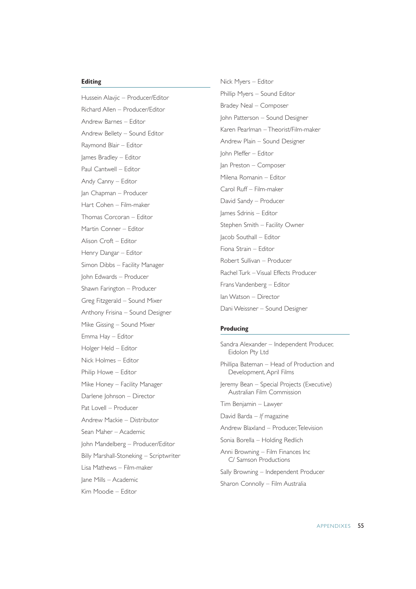#### **Editing**

Hussein Alavjic – Producer/Editor Richard Allen – Producer/Editor Andrew Barnes – Editor Andrew Bellety – Sound Editor Raymond Blair – Editor James Bradley – Editor Paul Cantwell – Editor Andy Canny – Editor Jan Chapman – Producer Hart Cohen – Film-maker Thomas Corcoran – Editor Martin Conner – Editor Alison Croft – Editor Henry Dangar – Editor Simon Dibbs – Facility Manager John Edwards – Producer Shawn Farington – Producer Greg Fitzgerald – Sound Mixer Anthony Frisina – Sound Designer Mike Gissing – Sound Mixer Emma Hay – Editor Holger Held – Editor Nick Holmes – Editor Philip Howe – Editor Mike Honey – Facility Manager Darlene Johnson – Director Pat Lovell – Producer Andrew Mackie – Distributor Sean Maher – Academic John Mandelberg – Producer/Editor Billy Marshall-Stoneking – Scriptwriter Lisa Mathews – Film-maker Jane Mills – Academic Kim Moodie – Editor

Nick Myers – Editor Phillip Myers – Sound Editor Bradey Neal – Composer John Patterson – Sound Designer Karen Pearlman – Theorist/Film-maker Andrew Plain – Sound Designer John Pleffer – Editor Jan Preston – Composer Milena Romanin – Editor Carol Ruff – Film-maker David Sandy – Producer James Sdrinis – Editor Stephen Smith – Facility Owner Jacob Southall – Editor Fiona Strain – Editor Robert Sullivan – Producer Rachel Turk – Visual Effects Producer Frans Vandenberg – Editor Ian Watson – Director Dani Weissner – Sound Designer

#### **Producing**

- Sandra Alexander Independent Producer, Eidolon Pty Ltd
- Phillipa Bateman Head of Production and Development, April Films
- Jeremy Bean Special Projects (Executive) Australian Film Commission
- Tim Benjamin Lawyer
- David Barda *If* magazine
- Andrew Blaxland Producer,Television
- Sonia Borella Holding Redlich
- Anni Browning Film Finances Inc C/ Samson Productions
- Sally Browning Independent Producer
- Sharon Connolly Film Australia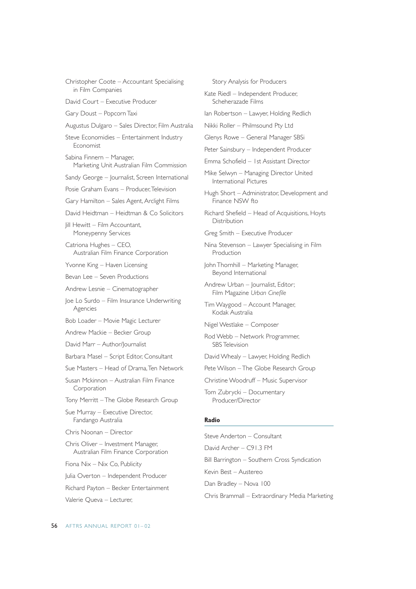- Christopher Coote Accountant Specialising in Film Companies
- David Court Executive Producer
- Gary Doust Popcorn Taxi
- Augustus Dulgaro Sales Director, Film Australia
- Steve Economidies Entertainment Industry Economist
- Sabina Finnern Manager, Marketing Unit Australian Film Commission
- Sandy George Journalist, Screen International
- Posie Graham Evans Producer,Television
- Gary Hamilton Sales Agent, Arclight Films
- David Heidtman Heidtman & Co Solicitors
- Jill Hewitt Film Accountant, Moneypenny Services
- Catriona Hughes CEO, Australian Film Finance Corporation
- Yvonne King Haven Licensing
- Bevan Lee Seven Productions
- Andrew Lesnie Cinematographer
- Joe Lo Surdo Film Insurance Underwriting Agencies
- Bob Loader Movie Magic Lecturer
- Andrew Mackie Becker Group
- David Marr Author/Journalist
- Barbara Masel Script Editor, Consultant
- Sue Masters Head of Drama,Ten Network
- Susan Mckinnon Australian Film Finance Corporation
- Tony Merritt The Globe Research Group
- Sue Murray Executive Director, Fandango Australia
- Chris Noonan Director
- Chris Oliver Investment Manager, Australian Film Finance Corporation
- Fiona Nix Nix Co, Publicity
- Julia Overton Independent Producer
- Richard Payton Becker Entertainment
- Valerie Queva Lecturer,
- Story Analysis for Producers
- Kate Riedl Independent Producer, Scheherazade Films
- Ian Robertson Lawyer, Holding Redlich
- Nikki Roller Philmsound Pty Ltd
- Glenys Rowe General Manager SBSi
- Peter Sainsbury Independent Producer
- Emma Schofield 1st Assistant Director
- Mike Selwyn Managing Director United International Pictures
- Hugh Short Administrator, Development and Finance NSW fto
- Richard Shefield Head of Acquisitions, Hoyts Distribution
- Greg Smith Executive Producer
- Nina Stevenson Lawyer Specialising in Film Production
- John Thornhill Marketing Manager, Beyond International
- Andrew Urban Journalist, Editor; Film Magazine *Urban Cinefile*
- Tim Waygood Account Manager, Kodak Australia
- Nigel Westlake Composer
- Rod Webb Network Programmer, SBS Television
- David Whealy Lawyer, Holding Redlich
- Pete Wilson The Globe Research Group
- Christine Woodruff Music Supervisor
- Tom Zubrycki Documentary Producer/Director

#### **Radio**

- Steve Anderton Consultant David Archer – C91.3 FM Bill Barrington – Southern Cross Syndication Kevin Best – Austereo Dan Bradley – Nova 100
- Chris Brammall Extraordinary Media Marketing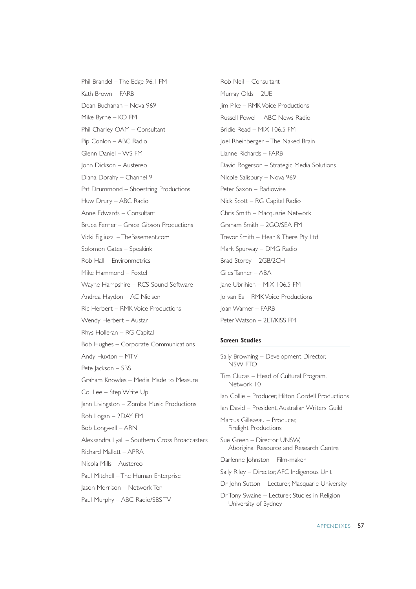Phil Brandel – The Edge 96.1 FM Kath Brown – FARB Dean Buchanan – Nova 969 Mike Byrne – KO FM Phil Charley OAM – Consultant Pip Conlon – ABC Radio Glenn Daniel – WS FM John Dickson – Austereo Diana Dorahy – Channel 9 Pat Drummond – Shoestring Productions Huw Drury – ABC Radio Anne Edwards – Consultant Bruce Ferrier – Grace Gibson Productions Vicki Figliuzzi – TheBasement.com Solomon Gates – Speakink Rob Hall – Environmetrics Mike Hammond – Foxtel Wayne Hampshire – RCS Sound Software Andrea Haydon – AC Nielsen Ric Herbert – RMK Voice Productions Wendy Herbert – Austar Rhys Holleran – RG Capital Bob Hughes – Corporate Communications Andy Huxton – MTV Pete Jackson – SBS Graham Knowles – Media Made to Measure Col Lee – Step Write Up Jann Livingston – Zomba Music Productions Rob Logan – 2DAY FM Bob Longwell – ARN Alexsandra Lyall – Southern Cross Broadcasters Richard Mallett – APRA Nicola Mills – Austereo Paul Mitchell – The Human Enterprise Jason Morrison – Network Ten Paul Murphy – ABC Radio/SBS TV

Rob Neil – Consultant Murray Olds – 2UE Jim Pike – RMK Voice Productions Russell Powell – ABC News Radio Bridie Read – MIX 106.5 FM Joel Rheinberger – The Naked Brain Lianne Richards – FARB David Rogerson – Strategic Media Solutions Nicole Salisbury – Nova 969 Peter Saxon – Radiowise Nick Scott – RG Capital Radio Chris Smith – Macquarie Network Graham Smith – 2GO/SEA FM Trevor Smith – Hear & There Pty Ltd Mark Spurway – DMG Radio Brad Storey – 2GB/2CH Giles Tanner – ABA Jane Ubrihien – MIX 106.5 FM Jo van Es – RMK Voice Productions Joan Warner – FARB Peter Watson – 2LT/KISS FM

#### **Screen Studies**

Sally Browning – Development Director, NSW FTO Tim Clucas – Head of Cultural Program, Network 10 Ian Collie – Producer, Hilton Cordell Productions Ian David – President, Australian Writers Guild Marcus Gillezeau – Producer, Firelight Productions Sue Green – Director UNSW, Aboriginal Resource and Research Centre Darlenne Johnston – Film-maker Sally Riley – Director, AFC Indigenous Unit Dr John Sutton – Lecturer, Macquarie University Dr Tony Swaine – Lecturer, Studies in Religion University of Sydney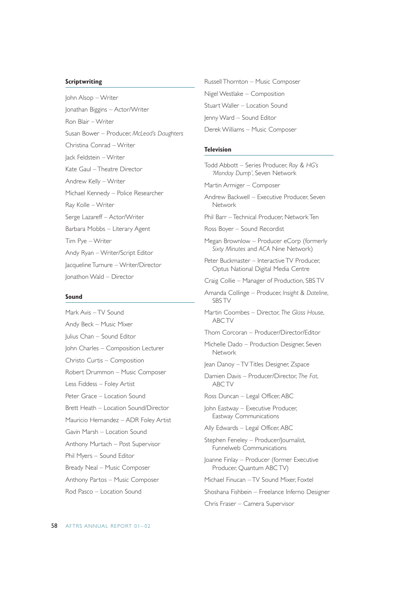#### **Scriptwriting**

John Alsop – Writer Jonathan Biggins – Actor/Writer Ron Blair – Writer Susan Bower – Producer, *McLeod's Daughters* Christina Conrad – Writer Jack Feldstein – Writer Kate Gaul – Theatre Director Andrew Kelly – Writer Michael Kennedy – Police Researcher Ray Kolle – Writer Serge Lazareff – Actor/Writer Barbara Mobbs – Literary Agent Tim Pye – Writer Andy Ryan – Writer/Script Editor Jacqueline Turnure – Writer/Director Jonathon Wald – Director

#### **Sound**

Mark Avis – TV Sound Andy Beck – Music Mixer Julius Chan – Sound Editor John Charles – Composition Lecturer Christo Curtis – Composition Robert Drummon – Music Composer Less Fiddess – Foley Artist Peter Grace – Location Sound Brett Heath – Location Sound/Director Mauricio Hernandez – ADR Foley Artist Gavin Marsh – Location Sound Anthony Murtach – Post Supervisor Phil Myers – Sound Editor Bready Neal – Music Composer Anthony Partos – Music Composer Rod Pasco – Location Sound

Russell Thornton – Music Composer Nigel Westlake – Composition Stuart Waller – Location Sound Jenny Ward – Sound Editor Derek Williams – Music Composer

#### **Television**

Todd Abbott – Series Producer, *Roy & HG's 'Monday Dump'*, Seven Network

Martin Armiger – Composer

- Andrew Backwell Executive Producer, Seven Network
- Phil Barr Technical Producer, Network Ten
- Ross Boyer Sound Recordist
- Megan Brownlow Producer eCorp (formerly *Sixty Minutes* and *ACA* Nine Network)
- Peter Buckmaster Interactive TV Producer, Optus National Digital Media Centre
- Craig Collie Manager of Production, SBS TV
- Amanda Collinge Producer, *Insight* & *Dateline*, SBS TV
- Martin Coombes Director, *The Glass House*, ABC TV
- Thom Corcoran Producer/Director/Editor
- Michelle Dado Production Designer, Seven Network
- Jean Danoy TV Titles Designer, Zspace
- Damien Davis Producer/Director, *The Fat*, ABC TV
- Ross Duncan Legal Officer, ABC
- John Eastway Executive Producer, Eastway Communications
- Ally Edwards Legal Officer, ABC
- Stephen Feneley Producer/Journalist, Funnelweb Communications
- Joanne Finlay Producer (former Executive Producer, Quantum ABC TV)
- Michael Finucan TV Sound Mixer, Foxtel
- Shoshana Fishbein Freelance Inferno Designer
- Chris Fraser Camera Supervisor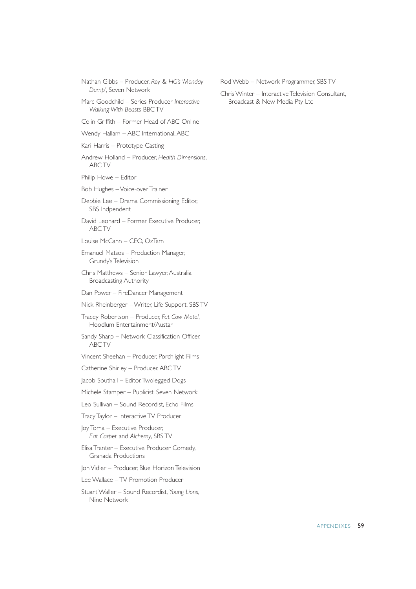Nathan Gibbs – Producer, *Roy & HG's 'Monday Dump'*, Seven Network

Marc Goodchild – Series Producer *Interactive Walking With Beasts* BBC TV

Colin Griffith – Former Head of ABC Online

Wendy Hallam – ABC International, ABC

Kari Harris – Prototype Casting

Andrew Holland – Producer, *Health Dimensions*, ABC TV

Philip Howe – Editor

Bob Hughes – Voice-over Trainer

Debbie Lee – Drama Commissioning Editor, SBS Indpendent

David Leonard – Former Executive Producer, ABC TV

Louise McCann – CEO, OzTam

Emanuel Matsos – Production Manager, Grundy's Television

Chris Matthews – Senior Lawyer, Australia Broadcasting Authority

Dan Power – FireDancer Management

Nick Rheinberger – Writer, Life Support, SBS TV

Tracey Robertson – Producer, *Fat Cow Motel*, Hoodlum Entertainment/Austar

Sandy Sharp – Network Classification Officer, ABC TV

Vincent Sheehan – Producer, Porchlight Films

Catherine Shirley – Producer, ABC TV

Jacob Southall – Editor,Twolegged Dogs

Michele Stamper – Publicist, Seven Network

Leo Sullivan – Sound Recordist, Echo Films

Tracy Taylor – Interactive TV Producer

Joy Toma – Executive Producer, *Eat Carpet* and *Alchemy*, SBS TV

Elisa Tranter – Executive Producer Comedy, Granada Productions

Jon Vidler – Producer, Blue Horizon Television

Lee Wallace – TV Promotion Producer

Stuart Waller – Sound Recordist, *Young Lions*, Nine Network

Rod Webb – Network Programmer, SBS TV

Chris Winter – Interactive Television Consultant, Broadcast & New Media Pty Ltd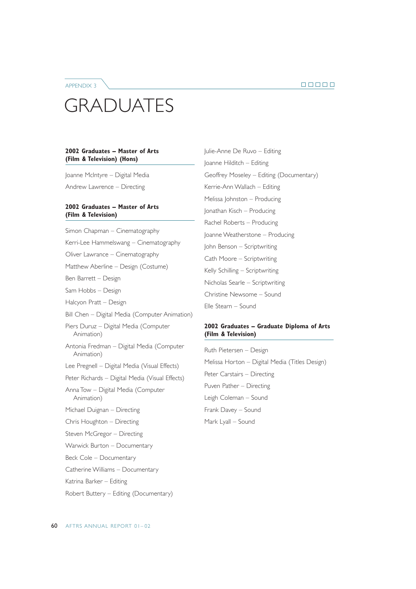#### APPENDIX 3

## GRADUATES

#### **2002 Graduates – Master of Arts (Film & Television) (Hons)**

Joanne McIntyre – Digital Media

Andrew Lawrence – Directing

#### **2002 Graduates – Master of Arts (Film & Television)**

Simon Chapman – Cinematography Kerri-Lee Hammelswang – Cinematography Oliver Lawrance – Cinematography Matthew Aberline – Design (Costume) Ben Barrett – Design Sam Hobbs – Design Halcyon Pratt – Design Bill Chen – Digital Media (Computer Animation) Piers Duruz – Digital Media (Computer Animation) Antonia Fredman – Digital Media (Computer Animation) Lee Pregnell – Digital Media (Visual Effects) Peter Richards – Digital Media (Visual Effects) Anna Tow – Digital Media (Computer Animation) Michael Duignan – Directing Chris Houghton – Directing Steven McGregor – Directing Warwick Burton – Documentary Beck Cole – Documentary Catherine Williams – Documentary Katrina Barker – Editing

Robert Buttery – Editing (Documentary)

Julie-Anne De Ruvo – Editing Joanne Hilditch – Editing Geoffrey Moseley – Editing (Documentary) Kerrie-Ann Wallach – Editing Melissa Johnston – Producing Jonathan Kisch – Producing Rachel Roberts – Producing Joanne Weatherstone – Producing John Benson – Scriptwriting Cath Moore – Scriptwriting Kelly Schilling – Scriptwriting Nicholas Searle – Scriptwriting Christine Newsome – Sound Elle Stearn – Sound

#### **2002 Graduates – Graduate Diploma of Arts (Film & Television)**

Ruth Pietersen – Design Melissa Horton – Digital Media (Titles Design) Peter Carstairs – Directing Puven Pather – Directing Leigh Coleman – Sound Frank Davey – Sound Mark Lyall – Sound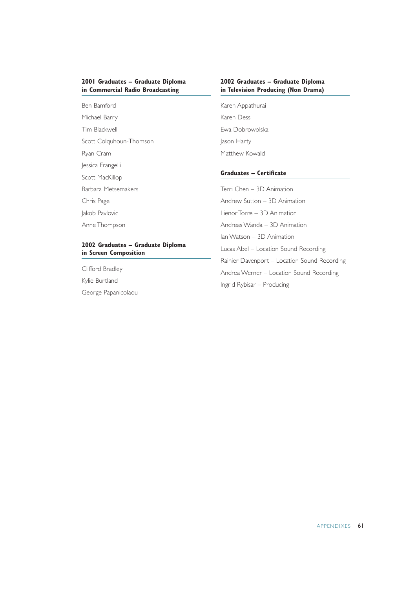#### **2001 Graduates – Graduate Diploma in Commercial Radio Broadcasting**

#### **2002 Graduates – Graduate Diploma in Television Producing (Non Drama)**

Ben Bamford Michael Barry Tim Blackwell Scott Colquhoun-Thomson Ryan Cram Jessica Frangelli Scott MacKillop Barbara Metsemakers Chris Page Jakob Pavlovic Anne Thompson

#### **2002 Graduates – Graduate Diploma in Screen Composition**

Clifford Bradley Kylie Burtland George Papanicolaou Karen Appathurai Karen Dess Ewa Dobrowolska Jason Harty Matthew Kowald

#### **Graduates – Certificate**

Terri Chen – 3D Animation Andrew Sutton – 3D Animation Lienor Torre – 3D Animation Andreas Wanda – 3D Animation Ian Watson – 3D Animation Lucas Abel – Location Sound Recording Rainier Davenport – Location Sound Recording Andrea Werner – Location Sound Recording Ingrid Rybisar – Producing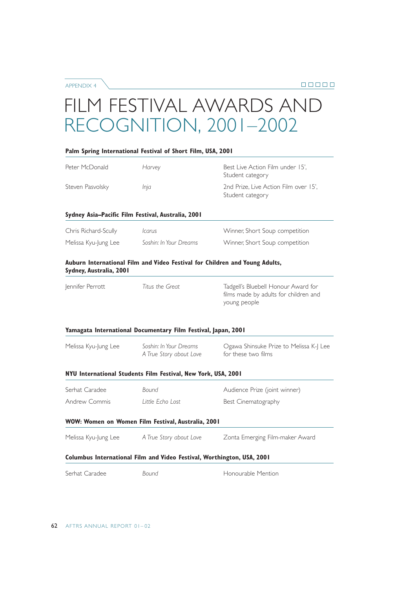APPENDIX 4

## FILM FESTIVAL AWARDS AND RECOGNITION, 2001–2002

|                         | Palm Spring International Festival of Short Film, USA, 2001                 |                                                                                              |
|-------------------------|-----------------------------------------------------------------------------|----------------------------------------------------------------------------------------------|
| Peter McDonald          | Harvey                                                                      | Best Live Action Film under 15',<br>Student category                                         |
| Steven Pasvolsky        | Inja                                                                        | 2nd Prize, Live Action Film over 15',<br>Student category                                    |
|                         | Sydney Asia-Pacific Film Festival, Australia, 2001                          |                                                                                              |
| Chris Richard-Scully    | <i>carus</i>                                                                | Winner, Short Soup competition                                                               |
| Melissa Kyu-Jung Lee    | Soshin: In Your Dreams                                                      | Winner, Short Soup competition                                                               |
| Sydney, Australia, 2001 | Auburn International Film and Video Festival for Children and Young Adults, |                                                                                              |
| Jennifer Perrott        | Titus the Great                                                             | Tadgell's Bluebell Honour Award for<br>films made by adults for children and<br>young people |
|                         | Yamagata International Documentary Film Festival, Japan, 2001               |                                                                                              |
| Melissa Kyu-Jung Lee    | Soshin: In Your Dreams<br>A True Story about Love                           | Ogawa Shinsuke Prize to Melissa K-J Lee<br>for these two films                               |
|                         | NYU International Students Film Festival, New York, USA, 2001               |                                                                                              |
| Serhat Caradee          | Bound                                                                       | Audience Prize (joint winner)                                                                |
| Andrew Commis           | Little Echo Lost                                                            | Best Cinematography                                                                          |
|                         | WOW: Women on Women Film Festival, Australia, 2001                          |                                                                                              |
| Melissa Kyu-Jung Lee    | A True Story about Love                                                     | Zonta Emerging Film-maker Award                                                              |
|                         | Columbus International Film and Video Festival, Worthington, USA, 2001      |                                                                                              |
| Serhat Caradee          | Bound                                                                       | Honourable Mention                                                                           |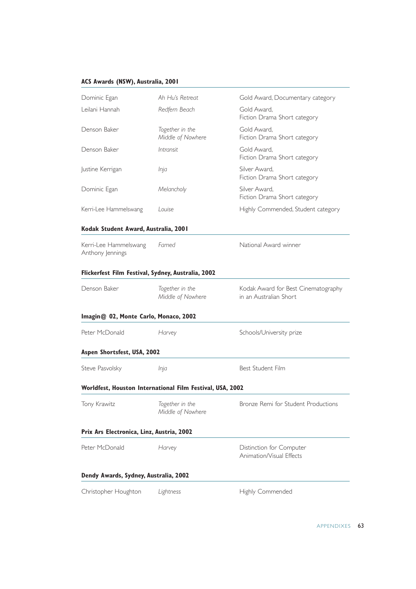#### **ACS Awards (NSW), Australia, 2001**

| Dominic Egan                                              | Ah Hu's Retreat                      | Gold Award, Documentary category                              |
|-----------------------------------------------------------|--------------------------------------|---------------------------------------------------------------|
| Leilani Hannah                                            | Redfern Beach                        | Gold Award.<br>Fiction Drama Short category                   |
| Denson Baker                                              | Together in the<br>Middle of Nowhere | Gold Award,<br>Fiction Drama Short category                   |
| Denson Baker                                              | <i>Intransit</i>                     | Gold Award,<br>Fiction Drama Short category                   |
| Justine Kerrigan                                          | Inja                                 | Silver Award.<br>Fiction Drama Short category                 |
| Dominic Egan                                              | Melancholy                           | Silver Award,<br>Fiction Drama Short category                 |
| Kerri-Lee Hammelswang                                     | Louise                               | Highly Commended, Student category                            |
| Kodak Student Award, Australia, 2001                      |                                      |                                                               |
| Kerri-Lee Hammelswang<br>Anthony Jennings                 | Famed                                | National Award winner                                         |
| Flickerfest Film Festival, Sydney, Australia, 2002        |                                      |                                                               |
| Denson Baker                                              | Together in the<br>Middle of Nowhere | Kodak Award for Best Cinematography<br>in an Australian Short |
| Imagin@ 02, Monte Carlo, Monaco, 2002                     |                                      |                                                               |
| Peter McDonald                                            | Harvey                               | Schools/University prize                                      |
| Aspen Shortsfest, USA, 2002                               |                                      |                                                               |
| Steve Pasvolsky                                           | Inja                                 | Best Student Film                                             |
| Worldfest, Houston International Film Festival, USA, 2002 |                                      |                                                               |
| Tony Krawitz                                              | Together in the<br>Middle of Nowhere | Bronze Remi for Student Productions                           |
| Prix Ars Electronica, Linz, Austria, 2002                 |                                      |                                                               |
| Peter McDonald                                            | Harvey                               | Distinction for Computer<br>Animation/Visual Effects          |
| Dendy Awards, Sydney, Australia, 2002                     |                                      |                                                               |
| Christopher Houghton                                      | Lightness                            | Highly Commended                                              |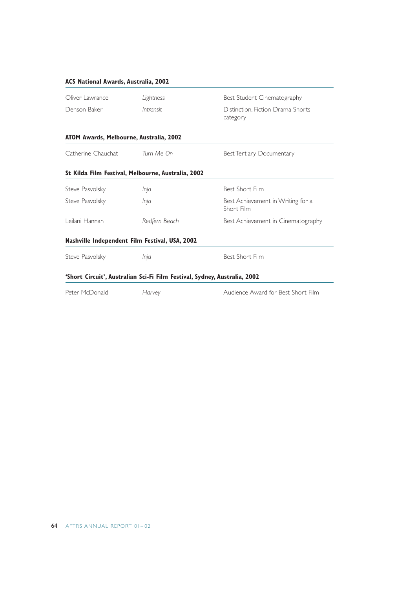#### **ACS National Awards, Australia, 2002**

| Oliver Lawrance                                | Lightness                                                                 | Best Student Cinematography                     |
|------------------------------------------------|---------------------------------------------------------------------------|-------------------------------------------------|
| Denson Baker                                   | Intransit                                                                 | Distinction, Fiction Drama Shorts<br>category   |
| ATOM Awards, Melbourne, Australia, 2002        |                                                                           |                                                 |
| Catherine Chauchat Turn Me On                  |                                                                           | Best Tertiary Documentary                       |
|                                                | St Kilda Film Festival, Melbourne, Australia, 2002                        |                                                 |
| Steve Pasvolsky                                | Inja                                                                      | Best Short Film                                 |
| Steve Pasvolsky                                | Inja                                                                      | Best Achievement in Writing for a<br>Short Film |
| Leilani Hannah                                 | Redfern Beach                                                             | Best Achievement in Cinematography              |
| Nashville Independent Film Festival, USA, 2002 |                                                                           |                                                 |
| Steve Pasvolsky                                | Inja                                                                      | Best Short Film                                 |
|                                                | 'Short Circuit', Australian Sci-Fi Film Festival, Sydney, Australia, 2002 |                                                 |
| Peter McDonald                                 | Harvey                                                                    | Audience Award for Best Short Film              |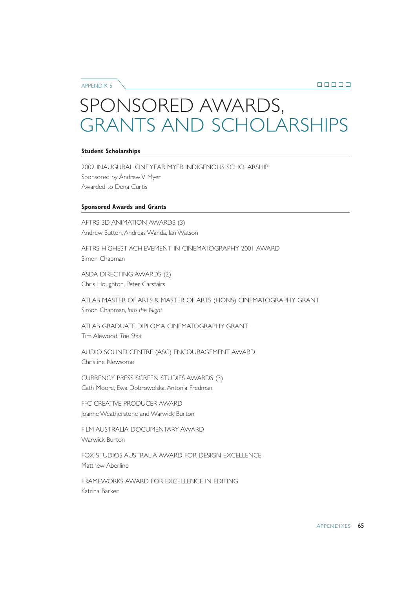APPENDIX 5

## SPONSORED AWARDS, GRANTS AND SCHOLARSHIPS

#### **Student Scholarships**

2002 INAUGURAL ONE YEAR MYER INDIGENOUS SCHOLARSHIP Sponsored by Andrew V Myer Awarded to Dena Curtis

#### **Sponsored Awards and Grants**

AFTRS 3D ANIMATION AWARDS (3) Andrew Sutton, Andreas Wanda, Ian Watson

AFTRS HIGHEST ACHIEVEMENT IN CINEMATOGRAPHY 2001 AWARD Simon Chapman

ASDA DIRECTING AWARDS (2) Chris Houghton, Peter Carstairs

ATLAB MASTER OF ARTS & MASTER OF ARTS (HONS) CINEMATOGRAPHY GRANT Simon Chapman, *Into the Night*

ATLAB GRADUATE DIPLOMA CINEMATOGRAPHY GRANT Tim Alewood, *The Shot*

AUDIO SOUND CENTRE (ASC) ENCOURAGEMENT AWARD Christine Newsome

CURRENCY PRESS SCREEN STUDIES AWARDS (3) Cath Moore, Ewa Dobrowolska, Antonia Fredman

FFC CREATIVE PRODUCER AWARD Joanne Weatherstone and Warwick Burton

FILM AUSTRALIA DOCUMENTARY AWARD Warwick Burton

FOX STUDIOS AUSTRALIA AWARD FOR DESIGN EXCELLENCE Matthew Aberline

FRAMEWORKS AWARD FOR EXCELLENCE IN EDITING Katrina Barker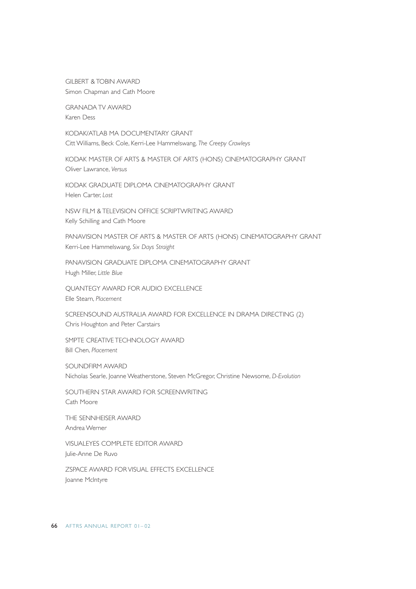GILBERT & TOBIN AWARD Simon Chapman and Cath Moore

GRANADA TV AWARD Karen Dess

KODAK/ATLAB MA DOCUMENTARY GRANT Citt Williams, Beck Cole, Kerri-Lee Hammelswang, *The Creepy Crawleys*

KODAK MASTER OF ARTS & MASTER OF ARTS (HONS) CINEMATOGRAPHY GRANT Oliver Lawrance, *Versus*

KODAK GRADUATE DIPLOMA CINEMATOGRAPHY GRANT Helen Carter, *Lost*

NSW FILM & TELEVISION OFFICE SCRIPTWRITING AWARD Kelly Schilling and Cath Moore

PANAVISION MASTER OF ARTS & MASTER OF ARTS (HONS) CINEMATOGRAPHY GRANT Kerri-Lee Hammelswang, *Six Days Straight*

PANAVISION GRADUATE DIPLOMA CINEMATOGRAPHY GRANT Hugh Miller, *Little Blue*

QUANTEGY AWARD FOR AUDIO EXCELLENCE Elle Stearn, *Placement*

SCREENSOUND AUSTRALIA AWARD FOR EXCELLENCE IN DRAMA DIRECTING (2) Chris Houghton and Peter Carstairs

SMPTE CREATIVE TECHNOLOGY AWARD Bill Chen, *Placement*

SOUNDFIRM AWARD Nicholas Searle, Joanne Weatherstone, Steven McGregor, Christine Newsome, *D-Evolution*

SOUTHERN STAR AWARD FOR SCREENWRITING Cath Moore

THE SENNHEISER AWARD Andrea Werner

VISUALEYES COMPLETE EDITOR AWARD Julie-Anne De Ruvo

ZSPACE AWARD FOR VISUAL EFFECTS EXCELLENCE Joanne McIntyre

66 AFTRS ANNUAL REPORT 01– 02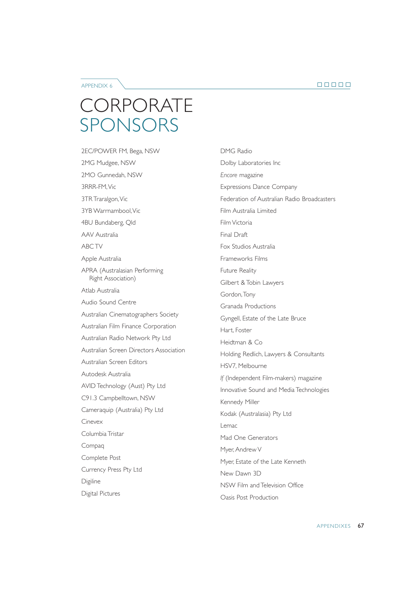APPENDIX 6

## **CORPORATE** SPONSORS

2EC/POWER FM, Bega, NSW 2MG Mudgee, NSW 2MO Gunnedah, NSW 3RRR-FM,Vic 3TR Traralgon, Vic 3YB Warrnambool,Vic 4BU Bundaberg, Qld AAV Australia ABC TV Apple Australia APRA (Australasian Performing Right Association) Atlab Australia Audio Sound Centre Australian Cinematographers Society Australian Film Finance Corporation Australian Radio Network Pty Ltd Australian Screen Directors Association Australian Screen Editors Autodesk Australia AVID Technology (Aust) Pty Ltd C91.3 Campbelltown, NSW Cameraquip (Australia) Pty Ltd Cinevex Columbia Tristar Compaq Complete Post Currency Press Pty Ltd Digiline Digital Pictures

DMG Radio Dolby Laboratories Inc *Encore* magazine Expressions Dance Company Federation of Australian Radio Broadcasters Film Australia Limited Film Victoria Final Draft Fox Studios Australia Frameworks Films Future Reality Gilbert & Tobin Lawyers Gordon,Tony Granada Productions Gyngell, Estate of the Late Bruce Hart, Foster Heidtman & Co Holding Redlich, Lawyers & Consultants HSV7, Melbourne *If* (Independent Film-makers) magazine Innovative Sound and Media Technologies Kennedy Miller Kodak (Australasia) Pty Ltd Lemac Mad One Generators Myer, Andrew V Myer, Estate of the Late Kenneth New Dawn 3D NSW Film and Television Office Oasis Post Production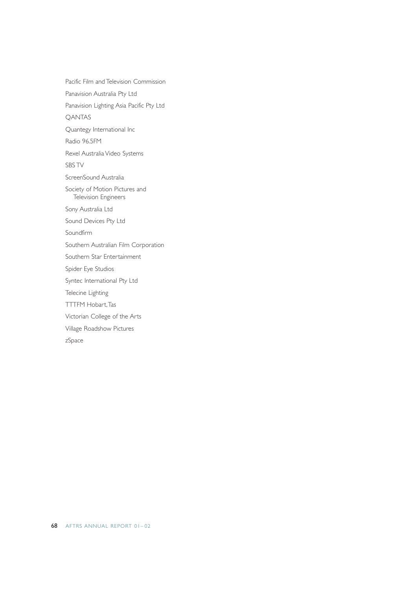Pacific Film and Television Commission Panavision Australia Pty Ltd Panavision Lighting Asia Pacific Pty Ltd QANTAS Quantegy International Inc Radio 96.5FM Rexel Australia Video Systems SBS TV ScreenSound Australia Society of Motion Pictures and Television Engineers Sony Australia Ltd Sound Devices Pty Ltd Soundfirm Southern Australian Film Corporation Southern Star Entertainment Spider Eye Studios Syntec International Pty Ltd Telecine Lighting TTTFM Hobart,Tas Victorian College of the Arts Village Roadshow Pictures zSpace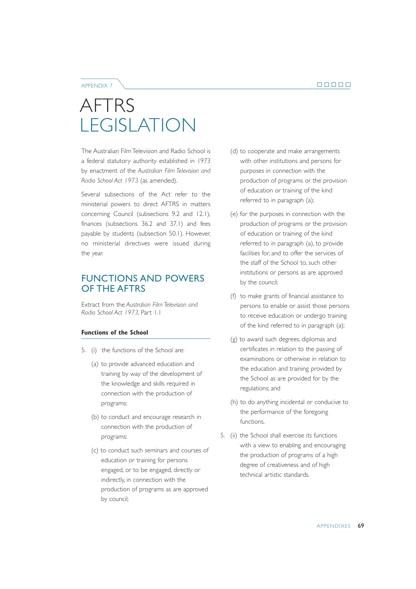#### APPENDIX 7

## AFTRS LEGISLATION

The Australian Film Television and Radio School is a federal statutory authority established in 1973 by enactment of the *Australian Film Television and Radio School Act 1973* (as amended).

Several subsections of the Act refer to the ministerial powers to direct AFTRS in matters concerning Council (subsections 9.2 and 12.1), finances (subsections 36.2 and 37.1) and fees payable by students (subsection 50.1). However, no ministerial directives were issued during the year.

### FUNCTIONS AND POWERS OF THE AFTRS

Extract from the *Australian Film Television and Radio School Act 1973*, Part 1.1

#### **Functions of the School**

- 5. (i) the functions of the School are:
	- (a) to provide advanced education and training by way of the development of the knowledge and skills required in connection with the production of programs;
	- (b) to conduct and encourage research in connection with the production of programs;
	- (c) to conduct such seminars and courses of education or training for persons engaged, or to be engaged, directly or indirectly, in connection with the production of programs as are approved by council;
- (d) to cooperate and make arrangements with other institutions and persons for purposes in connection with the production of programs or the provision of education or training of the kind referred to in paragraph (a);
- (e) for the purposes in connection with the production of programs or the provision of education or training of the kind referred to in paragraph (a), to provide facilities for, and to offer the services of the staff of the School to, such other institutions or persons as are approved by the council;
- (f) to make grants of financial assistance to persons to enable or assist those persons to receive education or undergo training of the kind referred to in paragraph (a);
- (g) to award such degrees, diplomas and certificates in relation to the passing of examinations or otherwise in relation to the education and training provided by the School as are provided for by the regulations; and
- (h) to do anything incidental or conducive to the performance of the foregoing functions.
- 5. (ii) the School shall exercise its functions with a view to enabling and encouraging the production of programs of a high degree of creativeness and of high technical artistic standards.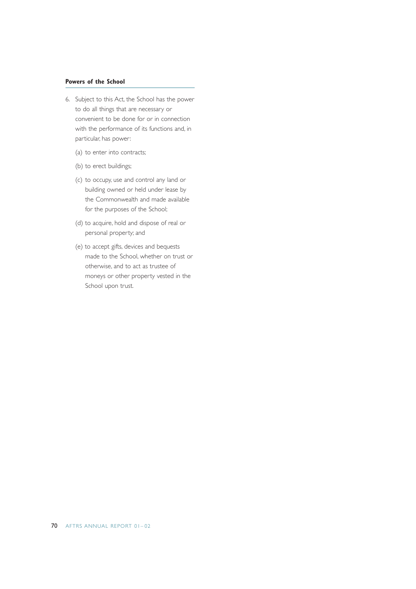#### **Powers of the School**

- 6. Subject to this Act, the School has the power to do all things that are necessary or convenient to be done for or in connection with the performance of its functions and, in particular, has power:
	- (a) to enter into contracts;
	- (b) to erect buildings;
	- (c) to occupy, use and control any land or building owned or held under lease by the Commonwealth and made available for the purposes of the School;
	- (d) to acquire, hold and dispose of real or personal property; and
	- (e) to accept gifts, devices and bequests made to the School, whether on trust or otherwise, and to act as trustee of moneys or other property vested in the School upon trust.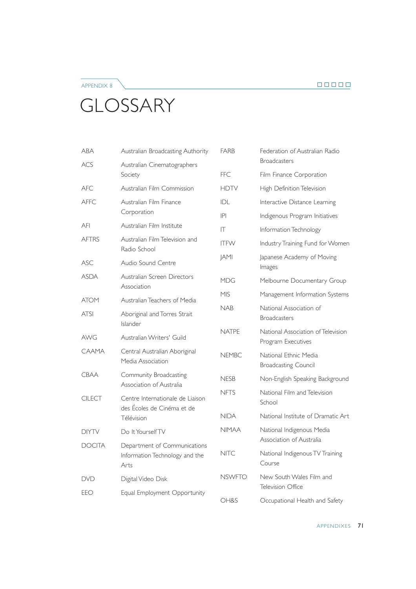#### $\begin{array}{c} \square \ \square \ \square \ \square \ \square \end{array}$

## **GLOSSARY**

APPENDIX 8

| ABA           | Australian Broadcasting Authority                  | <b>FARB</b>   | Federation of Australian Radio                           |
|---------------|----------------------------------------------------|---------------|----------------------------------------------------------|
| ACS           | Australian Cinematographers                        |               | <b>Broadcasters</b>                                      |
|               | Society                                            | <b>FFC</b>    | Film Finance Corporation                                 |
| <b>AFC</b>    | Australian Film Commission                         | <b>HDTV</b>   | High Definition Television                               |
| <b>AFFC</b>   | Australian Film Finance                            | IDL           | Interactive Distance Learning                            |
|               | Corporation                                        | P             | Indigenous Program Initiatives                           |
| AFI           | Australian Film Institute                          | $\mathsf{I}$  | Information Technology                                   |
| <b>AFTRS</b>  | Australian Film Television and<br>Radio School     | <b>ITFW</b>   | Industry Training Fund for Women                         |
| ASC           | Audio Sound Centre                                 | <b>JAMI</b>   | Japanese Academy of Moving<br>Images                     |
| <b>ASDA</b>   | Australian Screen Directors<br>Association         | <b>MDG</b>    | Melbourne Documentary Group                              |
| <b>ATOM</b>   | Australian Teachers of Media                       | <b>MIS</b>    | Management Information Systems                           |
| <b>ATSI</b>   | Aboriginal and Torres Strait<br>Islander           | <b>NAB</b>    | National Association of<br><b>Broadcasters</b>           |
| AWG           | Australian Writers' Guild                          | <b>NATPE</b>  | National Association of Television<br>Program Executives |
| CAAMA         | Central Australian Aboriginal<br>Media Association | <b>NEMBC</b>  | National Ethnic Media<br><b>Broadcasting Council</b>     |
| <b>CBAA</b>   | Community Broadcasting<br>Association of Australia | <b>NESB</b>   | Non-English Speaking Background                          |
| <b>CILECT</b> | Centre Internationale de Liaison                   | <b>NFTS</b>   | National Film and Television<br>School                   |
|               | des Écoles de Cinéma et de<br>Télévision           | <b>NIDA</b>   | National Institute of Dramatic Art                       |
| <b>DIYTV</b>  | Do It Yourself TV                                  | <b>NIMAA</b>  | National Indigenous Media                                |
| <b>DOCITA</b> | Department of Communications                       |               | Association of Australia                                 |
|               | Information Technology and the<br>Arts             | <b>NITC</b>   | National Indigenous TV Training<br>Course                |
| <b>DVD</b>    | Digital Video Disk                                 | <b>NSWFTO</b> | New South Wales Film and                                 |
| EEO           | Equal Employment Opportunity                       |               | Television Office                                        |
|               |                                                    | OH&S          | Occupational Health and Safety                           |

APPENDIXES 71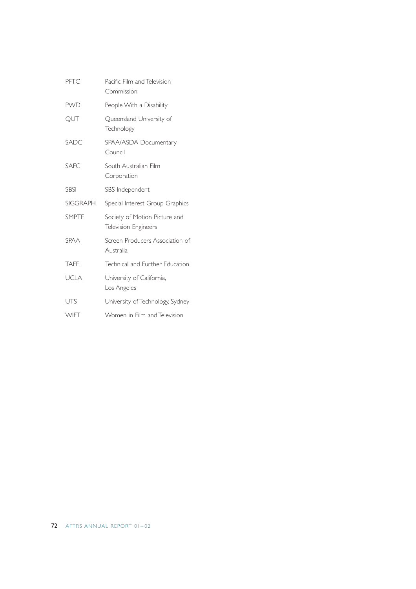| PFTC            | Pacific Film and Television<br>Commission    |
|-----------------|----------------------------------------------|
| <b>PWD</b>      | People With a Disability                     |
| QUT             | Queensland University of<br>Technology       |
| SADC            | SPAA/ASDA Documentary<br>Council             |
| <b>SAFC</b>     | South Australian Film<br>Corporation         |
| <b>SBSI</b>     | SBS Independent                              |
| <b>SIGGRAPH</b> | Special Interest Group Graphics              |
| <b>SMPTE</b>    | Society of Motion Picture and                |
|                 | Television Engineers                         |
| <b>SPAA</b>     | Screen Producers Association of<br>Australia |
| <b>TAFE</b>     | Technical and Further Education              |
| <b>UCLA</b>     | University of California,<br>Los Angeles     |
| <b>UTS</b>      | University of Technology, Sydney             |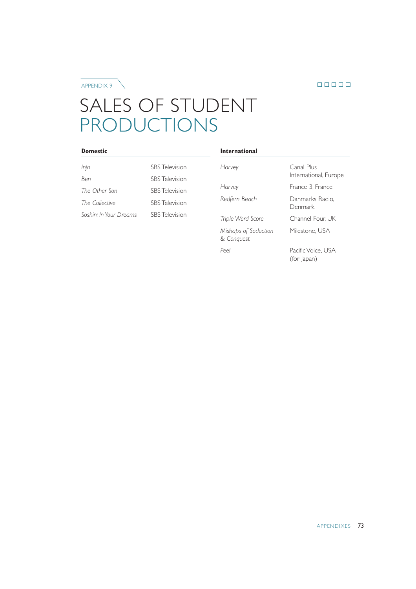APPENDIX 9

## SALES OF STUDENT PRODUCTIONS

#### **Domestic**

| Inja                   | <b>SBS</b> Television |
|------------------------|-----------------------|
| Ben                    | <b>SBS</b> Television |
| The Other Son          | <b>SBS</b> Television |
| The Collective         | <b>SBS</b> Television |
| Soshin: In Your Dreams | <b>SBS</b> Television |

#### **International**

| Harvey                             | Canal Plus<br>International, Europe |
|------------------------------------|-------------------------------------|
| Harvey                             | France 3. France                    |
| Redfern Beach                      | Danmarks Radio.<br>Denmark          |
| Triple Word Score                  | Channel Four, UK                    |
| Mishaps of Seduction<br>& Conquest | Milestone, USA                      |
| $P_{\rho \rho}$                    | Pacific Voice, USA<br>(for Japan)   |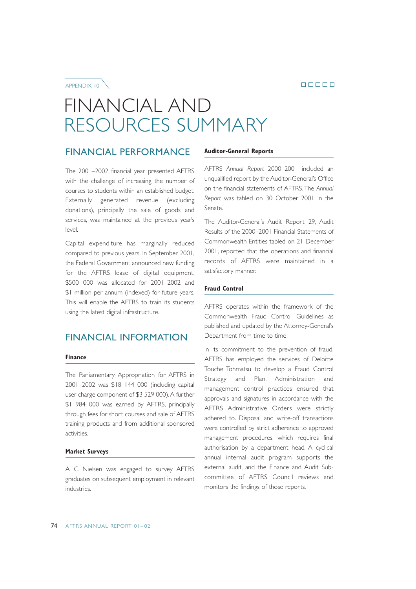APPENDIX 10

# FINANCIAL AND RESOURCES SUMMARY

### FINANCIAL PERFORMANCE

The 2001–2002 financial year presented AFTRS with the challenge of increasing the number of courses to students within an established budget. Externally generated revenue (excluding donations), principally the sale of goods and services, was maintained at the previous year's  $|P(A)|$ 

Capital expenditure has marginally reduced compared to previous years. In September 2001, the Federal Government announced new funding for the AFTRS lease of digital equipment. \$500 000 was allocated for 2001–2002 and \$1 million per annum (indexed) for future years. This will enable the AFTRS to train its students using the latest digital infrastructure.

### FINANCIAL INFORMATION

#### **Finance**

The Parliamentary Appropriation for AFTRS in 2001–2002 was \$18 144 000 (including capital user charge component of \$3 529 000).A further \$1 984 000 was earned by AFTRS, principally through fees for short courses and sale of AFTRS training products and from additional sponsored activities.

#### **Market Surveys**

A C Nielsen was engaged to survey AFTRS graduates on subsequent employment in relevant industries.

#### **Auditor-General Reports**

AFTRS *Annual Report* 2000–2001 included an unqualified report by the Auditor-General's Office on the financial statements of AFTRS.The *Annual Report* was tabled on 30 October 2001 in the Senate.

The Auditor-General's Audit Report 29, Audit Results of the 2000–2001 Financial Statements of Commonwealth Entities tabled on 21 December 2001, reported that the operations and financial records of AFTRS were maintained in a satisfactory manner.

#### **Fraud Control**

AFTRS operates within the framework of the Commonwealth Fraud Control Guidelines as published and updated by the Attorney-General's Department from time to time.

In its commitment to the prevention of fraud, AFTRS has employed the services of Deloitte Touche Tohmatsu to develop a Fraud Control Strategy and Plan. Administration and management control practices ensured that approvals and signatures in accordance with the AFTRS Administrative Orders were strictly adhered to. Disposal and write-off transactions were controlled by strict adherence to approved management procedures, which requires final authorisation by a department head. A cyclical annual internal audit program supports the external audit, and the Finance and Audit Subcommittee of AFTRS Council reviews and monitors the findings of those reports.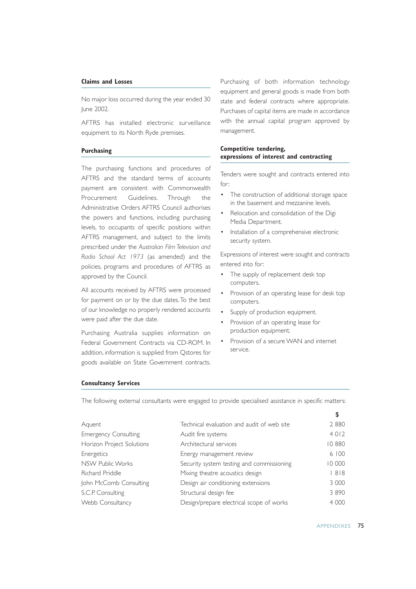#### **Claims and Losses**

No major loss occurred during the year ended 30 June 2002.

AFTRS has installed electronic surveillance equipment to its North Ryde premises.

#### **Purchasing**

The purchasing functions and procedures of AFTRS and the standard terms of accounts payment are consistent with Commonwealth Procurement Guidelines. Through the Administrative Orders AFTRS Council authorises the powers and functions, including purchasing levels, to occupants of specific positions within AFTRS management, and subject to the limits prescribed under the *Australian Film Television and Radio School Act 1973* (as amended) and the policies, programs and procedures of AFTRS as approved by the Council.

All accounts received by AFTRS were processed for payment on or by the due dates.To the best of our knowledge no properly rendered accounts were paid after the due date.

Purchasing Australia supplies information on Federal Government Contracts via CD-ROM. In addition, information is supplied from Qstores for goods available on State Government contracts.

Purchasing of both information technology equipment and general goods is made from both state and federal contracts where appropriate. Purchases of capital items are made in accordance with the annual capital program approved by management.

#### **Competitive tendering, expressions of interest and contracting**

Tenders were sought and contracts entered into for:

- The construction of additional storage space in the basement and mezzanine levels.
- Relocation and consolidation of the Digi Media Department.
- Installation of a comprehensive electronic security system.

Expressions of interest were sought and contracts entered into for:

- The supply of replacement desk top computers.
- Provision of an operating lease for desk top computers.
- Supply of production equipment.
- Provision of an operating lease for production equipment.
- Provision of a secure WAN and internet service.

#### **Consultancy Services**

The following external consultants were engaged to provide specialised assistance in specific matters:

| Aquent                      | Technical evaluation and audit of web site | 2880    |
|-----------------------------|--------------------------------------------|---------|
| <b>Emergency Consulting</b> | Audit fire systems                         | 4 0 1 2 |
| Horizon Project Solutions   | Architectural services                     | 10880   |
| Energetics                  | Energy management review                   | 6100    |
| NSW Public Works            | Security system testing and commissioning  | 10 000  |
| Richard Priddle             | Mixing theatre acoustics design            | 818     |
| John McComb Consulting      | Design air conditioning extensions         | 3 000   |
| S.C.P. Consulting           | Structural design fee                      | 3 8 9 0 |
| Webb Consultancy            | Design/prepare electrical scope of works   | 4 0 0 0 |
|                             |                                            |         |

\$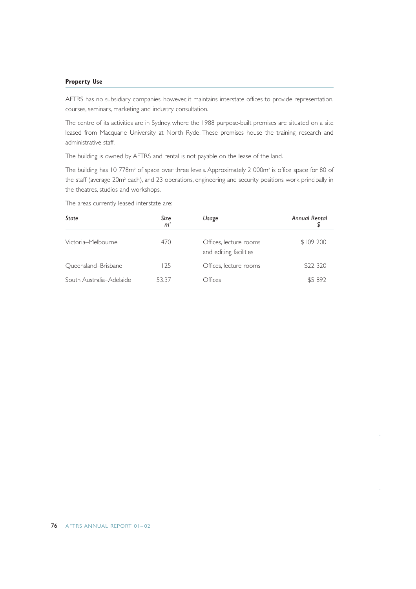#### **Property Use**

AFTRS has no subsidiary companies, however, it maintains interstate offices to provide representation, courses, seminars, marketing and industry consultation.

The centre of its activities are in Sydney, where the 1988 purpose-built premises are situated on a site leased from Macquarie University at North Ryde. These premises house the training, research and administrative staff.

The building is owned by AFTRS and rental is not payable on the lease of the land.

The building has 10 778m<sup>2</sup> of space over three levels. Approximately 2 000m<sup>2</sup> is office space for 80 of the staff (average 20m<sup>2</sup> each), and 23 operations, engineering and security positions work principally in the theatres, studios and workshops.

The areas currently leased interstate are:

| State                    | Size<br>m <sup>2</sup> | Usage                                            | <b>Annual Rental</b> |
|--------------------------|------------------------|--------------------------------------------------|----------------------|
| Victoria-Melbourne       | 470                    | Offices, lecture rooms<br>and editing facilities | \$109 200            |
| Oueensland-Brisbane      | 125                    | Offices, lecture rooms                           | \$22 320             |
| South Australia-Adelaide | 53.37                  | Offices                                          | \$5 892              |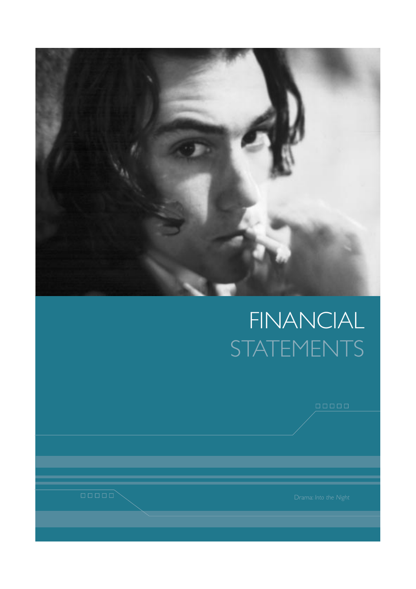

# FINANCIAL **STATEMENTS**

 $\begin{tabular}{|c|c|c|c|} \hline \quad \quad & \quad \quad & \quad \quad \\ \hline \end{tabular}$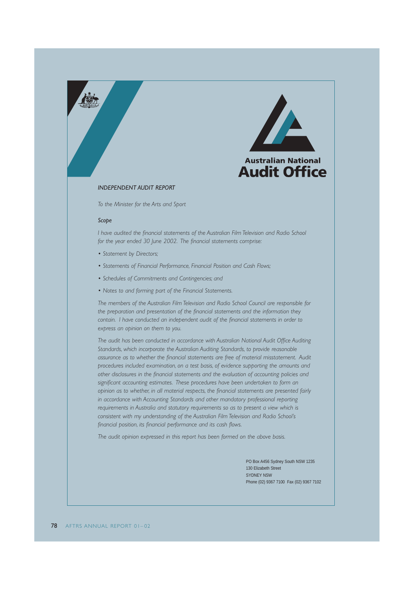



#### *INDEPENDENT AUDIT REPORT*

*To the Minister for the Arts and Sport*

#### *Scope*

*I have audited the financial statements of the Australian Film Television and Radio School for the year ended 30 June 2002. The financial statements comprise:*

- *Statement by Directors;*
- *Statements of Financial Performance, Financial Position and Cash Flows;*
- *Schedules of Commitments and Contingencies; and*
- *Notes to and forming part of the Financial Statements.*

*The members of the Australian Film Television and Radio School Council are responsible for the preparation and presentation of the financial statements and the information they contain. I have conducted an independent audit of the financial statements in order to express an opinion on them to you.*

*The audit has been conducted in accordance with Australian National Audit Office Auditing Standards, which incorporate the Australian Auditing Standards, to provide reasonable assurance as to whether the financial statements are free of material misstatement. Audit procedures included examination, on a test basis, of evidence supporting the amounts and other disclosures in the financial statements and the evaluation of accounting policies and significant accounting estimates. These procedures have been undertaken to form an opinion as to whether, in all material respects, the financial statements are presented fairly in accordance with Accounting Standards and other mandatory professional reporting requirements in Australia and statutory requirements so as to present a view which is consistent with my understanding of the Australian Film Television and Radio School's financial position, its financial performance and its cash flows.*

*The audit opinion expressed in this report has been formed on the above basis.*

PO Box A456 Sydney South NSW 1235 130 Elizabeth Street SYDNEY NSW Phone (02) 9367 7100 Fax (02) 9367 7102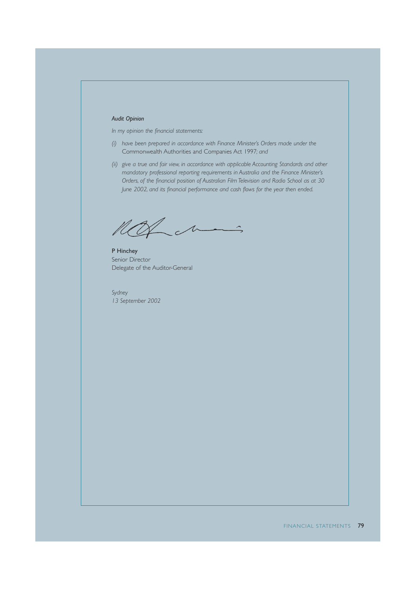#### *Audit Opinion*

*In my opinion the financial statements:*

- *(i) have been prepared in accordance with Finance Minister's Orders made under the* Commonwealth Authorities and Companies Act 1997*; and*
- *(ii) give a true and fair view, in accordance with applicable Accounting Standards and other mandatory professional reporting requirements in Australia and the Finance Minister's Orders, of the financial position of Australian Film Television and Radio School as at 30 June 2002, and its financial performance and cash flows for the year then ended.*

not in

P Hinchey Senior Director Delegate of the Auditor-General

*Sydney 13 September 2002*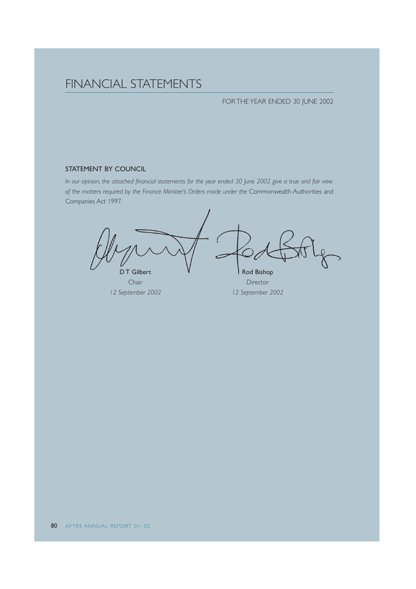## FINANCIAL STATEMENTS

#### FOR THE YEAR ENDED 30 JUNE 2002

#### STATEMENT BY COUNCIL

*In our opinion, the attached financial statements for the year ended 30 June 2002 give a true and fair view of the matters required by the Finance Minister's Orders made under the* Commonwealth Authorities and Companies Act 1997*.*

D T Gilbert  $\mathsf{V}$  Rod Bishop Chair Director

*12 September 2002 12 September 2002*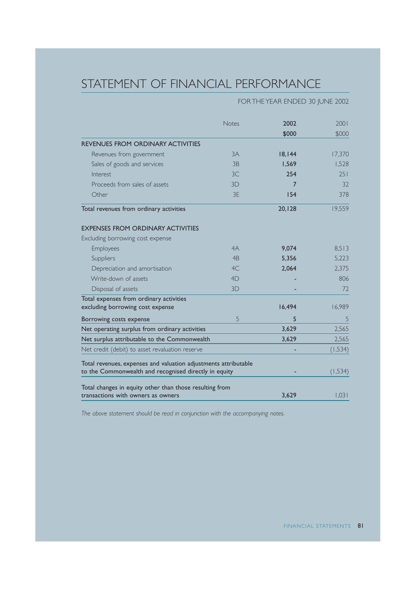# STATEMENT OF FINANCIAL PERFORMANCE

### FOR THE YEAR ENDED 30 JUNE 2002

|                                                                 | <b>Notes</b>   | 2002   | 2001     |
|-----------------------------------------------------------------|----------------|--------|----------|
|                                                                 |                | \$000  | \$000    |
| <b>REVENUES FROM ORDINARY ACTIVITIES</b>                        |                |        |          |
| Revenues from government                                        | 3A             | 18,144 | 17,370   |
| Sales of goods and services                                     | 3B             | 1.569  | 1.528    |
| Interest                                                        | 3C             | 254    | 251      |
| Proceeds from sales of assets                                   | 3D             | 7      | 32       |
| Other                                                           | 3E             | 154    | 378      |
| Total revenues from ordinary activities                         |                | 20,128 | 19,559   |
| <b>EXPENSES FROM ORDINARY ACTIVITIES</b>                        |                |        |          |
| Excluding borrowing cost expense                                |                |        |          |
| Employees                                                       | 4A             | 9,074  | 8,513    |
| Suppliers                                                       | 4 <sub>B</sub> | 5,356  | 5,223    |
| Depreciation and amortisation                                   | 4C             | 2,064  | 2,375    |
| Write-down of assets                                            | 4D             |        | 806      |
| Disposal of assets                                              | 3D             |        | 72       |
| Total expenses from ordinary activities                         |                |        |          |
| excluding borrowing cost expense                                |                | 16,494 | 16,989   |
| Borrowing costs expense                                         | 5              | 5      | 5        |
| Net operating surplus from ordinary activities                  |                | 3,629  | 2,565    |
| Net surplus attributable to the Commonwealth                    |                | 3,629  | 2,565    |
| Net credit (debit) to asset revaluation reserve                 |                |        | (1,534)  |
| Total revenues, expenses and valuation adjustments attributable |                |        |          |
| to the Commonwealth and recognised directly in equity           |                |        | (1, 534) |
| Total changes in equity other than those resulting from         |                |        |          |
| transactions with owners as owners                              |                | 3,629  | 1,031    |

*The above statement should be read in conjunction with the accompanying notes.*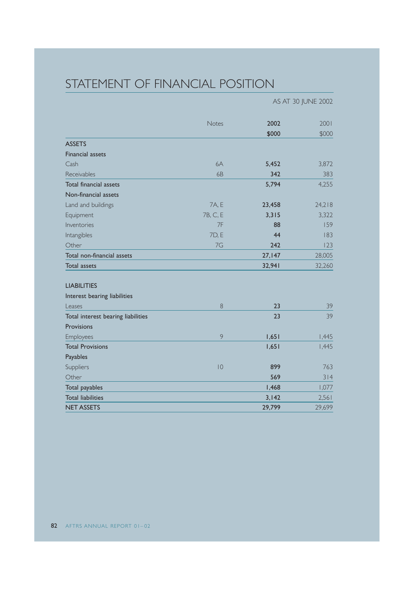# STATEMENT OF FINANCIAL POSITION

|                                    |          |        | AS AT 30 JUNE 2002 |
|------------------------------------|----------|--------|--------------------|
|                                    | Notes    | 2002   | 2001               |
|                                    |          | \$000  | \$000              |
| <b>ASSETS</b>                      |          |        |                    |
| <b>Financial assets</b>            |          |        |                    |
| Cash                               | 6A       | 5,452  | 3,872              |
| Receivables                        | 6B       | 342    | 383                |
| Total financial assets             |          | 5,794  | 4,255              |
| Non-financial assets               |          |        |                    |
| Land and buildings                 | 7A, E    | 23,458 | 24,218             |
| Equipment                          | 7B, C, E | 3,315  | 3,322              |
| Inventories                        | 7F       | 88     | 159                |
| Intangibles                        | 7D, E    | 44     | 183                |
| Other                              | 7G       | 242    | 123                |
| Total non-financial assets         |          | 27,147 | 28,005             |
| <b>Total assets</b>                |          | 32,941 | 32,260             |
| <b>LIABILITIES</b>                 |          |        |                    |
| Interest bearing liabilities       |          |        |                    |
| Leases                             | 8        | 23     | 39                 |
| Total interest bearing liabilities |          | 23     | 39                 |
| Provisions                         |          |        |                    |
| Employees                          | 9        | 1,651  | 1,445              |
| <b>Total Provisions</b>            |          | 1,651  | 1,445              |
| Payables                           |          |        |                    |
| Suppliers                          | 10       | 899    | 763                |
| Other                              |          | 569    | 314                |
| Total payables                     |          | 1,468  | 1,077              |
| <b>Total liabilities</b>           |          | 3,142  | 2,561              |
| <b>NET ASSETS</b>                  |          | 29,799 | 29,699             |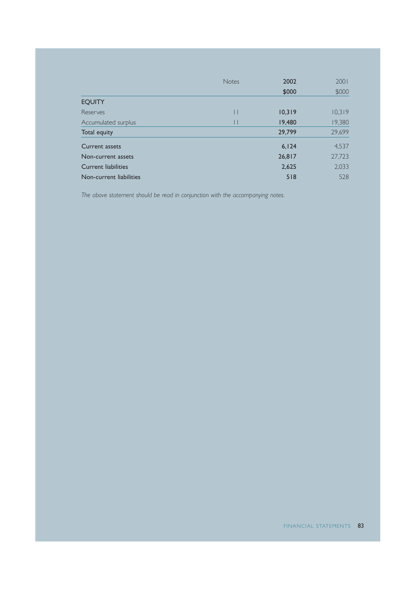|                         | <b>Notes</b> | 2002   | 2001   |
|-------------------------|--------------|--------|--------|
|                         |              | \$000  | \$000  |
| <b>EQUITY</b>           |              |        |        |
| Reserves                | $\mathsf{I}$ | 10,319 | 10,319 |
| Accumulated surplus     | Ш            | 19,480 | 19,380 |
| Total equity            |              | 29,799 | 29,699 |
| <b>Current assets</b>   |              | 6, 124 | 4,537  |
| Non-current assets      |              | 26,817 | 27,723 |
| Current liabilities     |              | 2,625  | 2,033  |
| Non-current liabilities |              | 518    | 528    |

*The above statement should be read in conjunction with the accompanying notes.*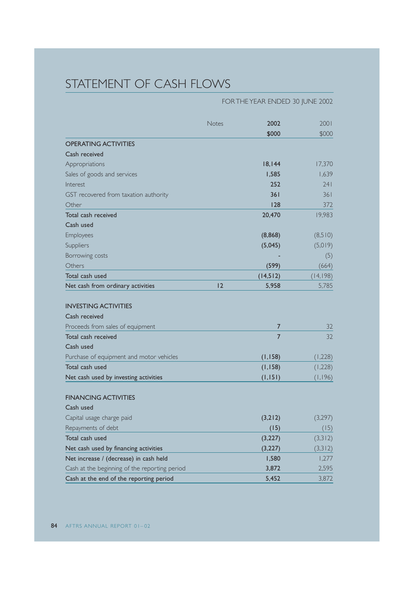# STATEMENT OF CASH FLOWS

|                                               | FOR THE YEAR ENDED 30 JUNE 2002 |                |           |
|-----------------------------------------------|---------------------------------|----------------|-----------|
|                                               | Notes                           | 2002           | 2001      |
|                                               |                                 | \$000          | \$000     |
| <b>OPERATING ACTIVITIES</b>                   |                                 |                |           |
| Cash received                                 |                                 |                |           |
| Appropriations                                |                                 | 18,144         | 17,370    |
| Sales of goods and services                   |                                 | 1,585          | 1,639     |
| Interest                                      |                                 | 252            | 241       |
| GST recovered from taxation authority         |                                 | 361            | 361       |
| Other                                         |                                 | 128            | 372       |
| Total cash received                           |                                 | 20,470         | 19,983    |
| Cash used                                     |                                 |                |           |
| Employees                                     |                                 | (8,868)        | (8,510)   |
| Suppliers                                     |                                 | (5,045)        | (5,019)   |
| Borrowing costs                               |                                 |                | (5)       |
| Others                                        |                                 | (599)          | (664)     |
| Total cash used                               |                                 | (14, 512)      | (14, 198) |
| Net cash from ordinary activities             | 12                              | 5,958          | 5,785     |
|                                               |                                 |                |           |
| <b>INVESTING ACTIVITIES</b>                   |                                 |                |           |
| Cash received                                 |                                 |                |           |
| Proceeds from sales of equipment              |                                 | $\overline{7}$ | 32        |
| Total cash received                           |                                 | 7              | 32        |
| Cash used                                     |                                 |                |           |
| Purchase of equipment and motor vehicles      |                                 | (1, 158)       | (1,228)   |
| Total cash used                               |                                 | (1,158)        | (1,228)   |
| Net cash used by investing activities         |                                 | (1, 151)       | (1,196)   |
|                                               |                                 |                |           |
| <b>FINANCING ACTIVITIES</b>                   |                                 |                |           |
| Cash used                                     |                                 |                |           |
| Capital usage charge paid                     |                                 | (3,212)        | (3,297)   |
| Repayments of debt                            |                                 | (15)           | (15)      |
| Total cash used                               |                                 | (3,227)        | (3,312)   |
| Net cash used by financing activities         |                                 | (3,227)        | (3,312)   |
| Net increase / (decrease) in cash held        |                                 | 1,580          | 1,277     |
| Cash at the beginning of the reporting period |                                 | 3,872          | 2,595     |
| Cash at the end of the reporting period       |                                 | 5,452          | 3,872     |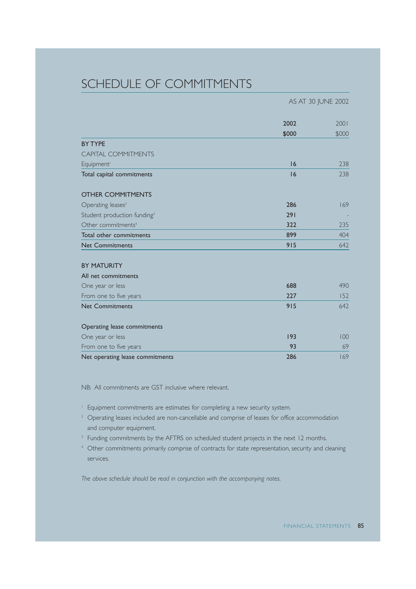### SCHEDULE OF COMMITMENTS

|                                         | AS AT 30 JUNE 2002 |       |
|-----------------------------------------|--------------------|-------|
|                                         | 2002               | 2001  |
|                                         | \$000              | \$000 |
| <b>BY TYPE</b>                          |                    |       |
| CAPITAL COMMITMENTS                     |                    |       |
| Equipment <sup>1</sup>                  | 16                 | 238   |
| Total capital commitments               | 16                 | 238   |
| <b>OTHER COMMITMENTS</b>                |                    |       |
| Operating leases <sup>2</sup>           | 286                | 169   |
| Student production funding <sup>3</sup> | 291                |       |
| Other commitments <sup>4</sup>          | 322                | 235   |
| Total other commitments                 | 899                | 404   |
| <b>Net Commitments</b>                  | 915                | 642   |
| <b>BY MATURITY</b>                      |                    |       |
| All net commitments                     |                    |       |
| One year or less                        | 688                | 490   |
| From one to five years                  | 227                | 152   |
| <b>Net Commitments</b>                  | 915                | 642   |
| Operating lease commitments             |                    |       |
| One year or less                        | 193                | 100   |
| From one to five years                  | 93                 | 69    |
| Net operating lease commitments         | 286                | 169   |

NB: All commitments are GST inclusive where relevant.

<sup>1</sup> Equipment commitments are estimates for completing a new security system.

- <sup>2</sup> Operating leases included are non-cancellable and comprise of leases for office accommodation and computer equipment.
- <sup>3</sup> Funding commitments by the AFTRS on scheduled student projects in the next 12 months.
- <sup>4</sup> Other commitments primarily comprise of contracts for state representation, security and cleaning services.

*The above schedule should be read in conjunction with the accompanying notes.*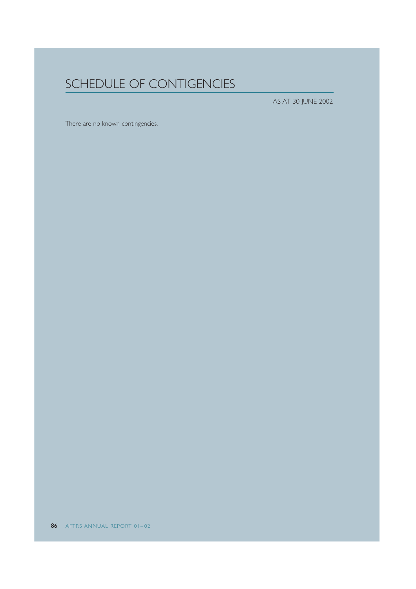# SCHEDULE OF CONTIGENCIES

AS AT 30 JUNE 2002

There are no known contingencies.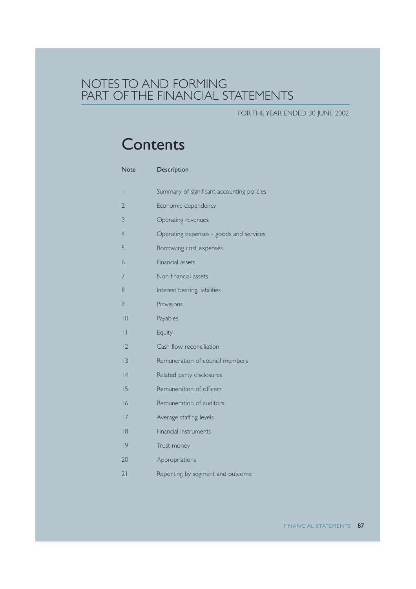### NOTES TO AND FORMING PART OF THE FINANCIAL STATEMENTS

FOR THE YEAR ENDED 30 JUNE 2002

# **Contents**

| <b>Note</b>     | Description                                |
|-----------------|--------------------------------------------|
| I               | Summary of significant accounting policies |
| $\overline{2}$  | Economic dependency                        |
| 3               | Operating revenues                         |
| $\overline{4}$  | Operating expenses - goods and services    |
| 5               | Borrowing cost expenses                    |
| 6               | Financial assets                           |
| 7               | Non-financial assets                       |
| 8               | Interest bearing liabilities               |
| 9               | Provisions                                 |
| 10              | Payables                                   |
| $\vert \ \vert$ | Equity                                     |
| 2               | Cash flow reconciliation                   |
| 13              | Remuneration of council members            |
| 4               | Related party disclosures                  |
| 15              | Remuneration of officers                   |
| 16              | Remuneration of auditors                   |
| 7               | Average staffing levels                    |
| 8               | Financial instruments                      |
| 9               | Trust money                                |
| 20              | Appropriations                             |
| 21              | Reporting by segment and outcome           |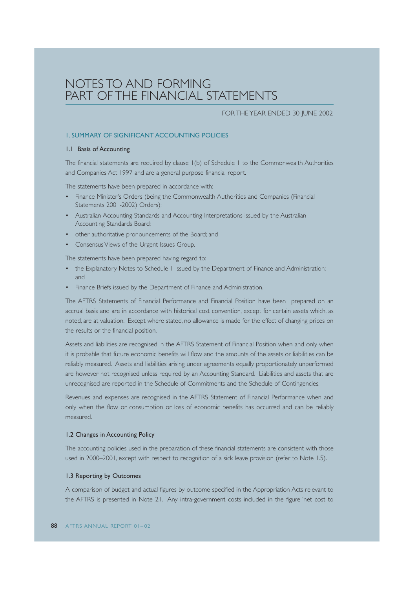### NOTES TO AND FORMING PART OF THE FINANCIAL STATEMENTS

#### FOR THE YEAR ENDED 30 JUNE 2002

#### 1. SUMMARY OF SIGNIFICANT ACCOUNTING POLICIES

#### 1.1 Basis of Accounting

The financial statements are required by clause 1(b) of Schedule 1 to the Commonwealth Authorities and Companies Act 1997 and are a general purpose financial report.

The statements have been prepared in accordance with:

- Finance Minister's Orders (being the Commonwealth Authorities and Companies (Financial Statements 2001-2002) Orders);
- Australian Accounting Standards and Accounting Interpretations issued by the Australian Accounting Standards Board;
- other authoritative pronouncements of the Board; and
- Consensus Views of the Urgent Issues Group.

The statements have been prepared having regard to:

- the Explanatory Notes to Schedule 1 issued by the Department of Finance and Administration; and
- Finance Briefs issued by the Department of Finance and Administration.

The AFTRS Statements of Financial Performance and Financial Position have been prepared on an accrual basis and are in accordance with historical cost convention, except for certain assets which, as noted, are at valuation. Except where stated, no allowance is made for the effect of changing prices on the results or the financial position.

Assets and liabilities are recognised in the AFTRS Statement of Financial Position when and only when it is probable that future economic benefits will flow and the amounts of the assets or liabilities can be reliably measured. Assets and liabilities arising under agreements equally proportionately unperformed are however not recognised unless required by an Accounting Standard. Liabilities and assets that are unrecognised are reported in the Schedule of Commitments and the Schedule of Contingencies.

Revenues and expenses are recognised in the AFTRS Statement of Financial Performance when and only when the flow or consumption or loss of economic benefits has occurred and can be reliably measured.

#### 1.2 Changes in Accounting Policy

The accounting policies used in the preparation of these financial statements are consistent with those used in 2000–2001, except with respect to recognition of a sick leave provision (refer to Note 1.5).

#### 1.3 Reporting by Outcomes

A comparison of budget and actual figures by outcome specified in the Appropriation Acts relevant to the AFTRS is presented in Note 21. Any intra-government costs included in the figure 'net cost to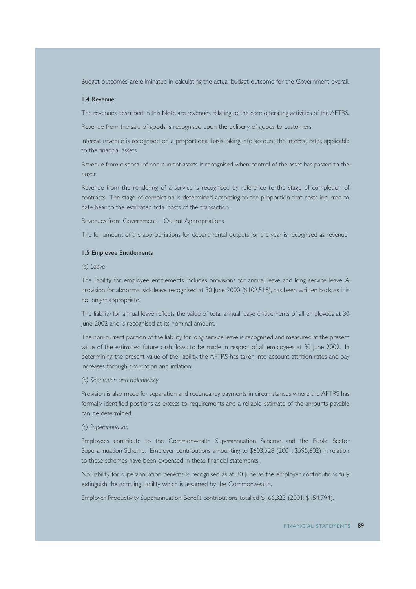Budget outcomes' are eliminated in calculating the actual budget outcome for the Government overall.

#### 1.4 Revenue

The revenues described in this Note are revenues relating to the core operating activities of the AFTRS.

Revenue from the sale of goods is recognised upon the delivery of goods to customers.

Interest revenue is recognised on a proportional basis taking into account the interest rates applicable to the financial assets.

Revenue from disposal of non-current assets is recognised when control of the asset has passed to the buyer.

Revenue from the rendering of a service is recognised by reference to the stage of completion of contracts. The stage of completion is determined according to the proportion that costs incurred to date bear to the estimated total costs of the transaction.

Revenues from Government – Output Appropriations

The full amount of the appropriations for departmental outputs for the year is recognised as revenue.

#### 1.5 Employee Entitlements

*(a) Leave*

The liability for employee entitlements includes provisions for annual leave and long service leave. A provision for abnormal sick leave recognised at 30 June 2000 (\$102,518), has been written back, as it is no longer appropriate.

The liability for annual leave reflects the value of total annual leave entitlements of all employees at 30 June 2002 and is recognised at its nominal amount.

The non-current portion of the liability for long service leave is recognised and measured at the present value of the estimated future cash flows to be made in respect of all employees at 30 June 2002. In determining the present value of the liability, the AFTRS has taken into account attrition rates and pay increases through promotion and inflation.

#### *(b) Separation and redundancy*

Provision is also made for separation and redundancy payments in circumstances where the AFTRS has formally identified positions as excess to requirements and a reliable estimate of the amounts payable can be determined.

#### *(c) Superannuation*

Employees contribute to the Commonwealth Superannuation Scheme and the Public Sector Superannuation Scheme. Employer contributions amounting to \$603,528 (2001: \$595,602) in relation to these schemes have been expensed in these financial statements.

No liability for superannuation benefits is recognised as at 30 June as the employer contributions fully extinguish the accruing liability which is assumed by the Commonwealth.

Employer Productivity Superannuation Benefit contributions totalled \$166,323 (2001: \$154,794).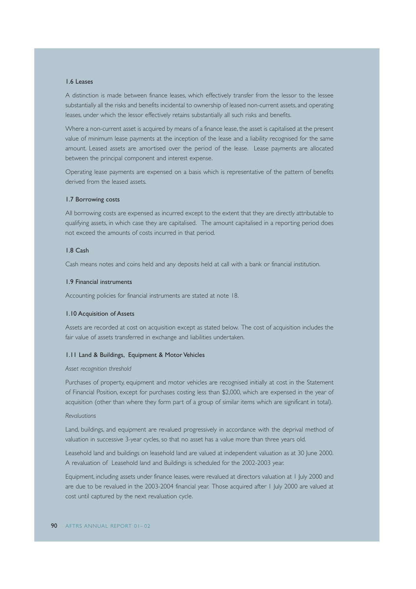#### 1.6 Leases

A distinction is made between finance leases, which effectively transfer from the lessor to the lessee substantially all the risks and benefits incidental to ownership of leased non-current assets, and operating leases, under which the lessor effectively retains substantially all such risks and benefits.

Where a non-current asset is acquired by means of a finance lease, the asset is capitalised at the present value of minimum lease payments at the inception of the lease and a liability recognised for the same amount. Leased assets are amortised over the period of the lease. Lease payments are allocated between the principal component and interest expense.

Operating lease payments are expensed on a basis which is representative of the pattern of benefits derived from the leased assets.

#### 1.7 Borrowing costs

All borrowing costs are expensed as incurred except to the extent that they are directly attributable to qualifying assets, in which case they are capitalised. The amount capitalised in a reporting period does not exceed the amounts of costs incurred in that period.

#### 1.8 Cash

Cash means notes and coins held and any deposits held at call with a bank or financial institution.

#### 1.9 Financial instruments

Accounting policies for financial instruments are stated at note 18.

#### 1.10 Acquisition of Assets

Assets are recorded at cost on acquisition except as stated below. The cost of acquisition includes the fair value of assets transferred in exchange and liabilities undertaken.

#### 1.11 Land & Buildings, Equipment & Motor Vehicles

#### *Asset recognition threshold*

Purchases of property, equipment and motor vehicles are recognised initially at cost in the Statement of Financial Position, except for purchases costing less than \$2,000, which are expensed in the year of acquisition (other than where they form part of a group of similar items which are significant in total).

#### *Revaluations*

Land, buildings, and equipment are revalued progressively in accordance with the deprival method of valuation in successive 3-year cycles, so that no asset has a value more than three years old.

Leasehold land and buildings on leasehold land are valued at independent valuation as at 30 June 2000. A revaluation of Leasehold land and Buildings is scheduled for the 2002-2003 year.

Equipment, including assets under finance leases, were revalued at directors valuation at 1 July 2000 and are due to be revalued in the 2003-2004 financial year. Those acquired after 1 July 2000 are valued at cost until captured by the next revaluation cycle.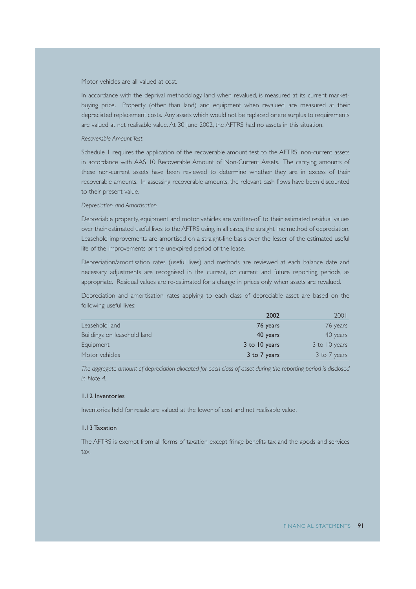#### Motor vehicles are all valued at cost.

In accordance with the deprival methodology, land when revalued, is measured at its current marketbuying price. Property (other than land) and equipment when revalued, are measured at their depreciated replacement costs. Any assets which would not be replaced or are surplus to requirements are valued at net realisable value. At 30 June 2002, the AFTRS had no assets in this situation.

#### *Recoverable Amount Test*

Schedule 1 requires the application of the recoverable amount test to the AFTRS' non-current assets in accordance with AAS 10 Recoverable Amount of Non-Current Assets. The carrying amounts of these non-current assets have been reviewed to determine whether they are in excess of their recoverable amounts. In assessing recoverable amounts, the relevant cash flows have been discounted to their present value.

#### *Depreciation and Amortisation*

Depreciable property, equipment and motor vehicles are written-off to their estimated residual values over their estimated useful lives to the AFTRS using, in all cases, the straight line method of depreciation. Leasehold improvements are amortised on a straight-line basis over the lesser of the estimated useful life of the improvements or the unexpired period of the lease.

Depreciation/amortisation rates (useful lives) and methods are reviewed at each balance date and necessary adjustments are recognised in the current, or current and future reporting periods, as appropriate. Residual values are re-estimated for a change in prices only when assets are revalued.

Depreciation and amortisation rates applying to each class of depreciable asset are based on the following useful lives:

|                             | 2002          | 2001          |
|-----------------------------|---------------|---------------|
| Leasehold land              | 76 years      | 76 years      |
| Buildings on leasehold land | 40 years      | 40 years      |
| Equipment                   | 3 to 10 years | 3 to 10 years |
| Motor vehicles              | 3 to 7 years  | 3 to 7 years  |

*The aggregate amount of depreciation allocated for each class of asset during the reporting period is disclosed in Note 4.*

#### 1.12 Inventories

Inventories held for resale are valued at the lower of cost and net realisable value.

#### 1.13 Taxation

The AFTRS is exempt from all forms of taxation except fringe benefits tax and the goods and services tax.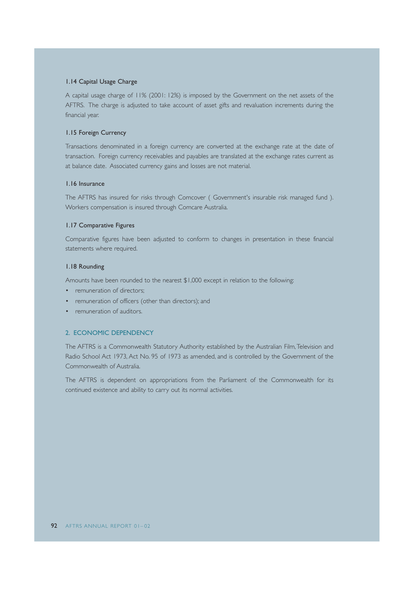#### 1.14 Capital Usage Charge

A capital usage charge of 11% (2001: 12%) is imposed by the Government on the net assets of the AFTRS. The charge is adjusted to take account of asset gifts and revaluation increments during the financial year.

#### 1.15 Foreign Currency

Transactions denominated in a foreign currency are converted at the exchange rate at the date of transaction. Foreign currency receivables and payables are translated at the exchange rates current as at balance date. Associated currency gains and losses are not material.

#### 1.16 Insurance

The AFTRS has insured for risks through Comcover ( Government's insurable risk managed fund ). Workers compensation is insured through Comcare Australia.

#### 1.17 Comparative Figures

Comparative figures have been adjusted to conform to changes in presentation in these financial statements where required.

#### 1.18 Rounding

Amounts have been rounded to the nearest \$1,000 except in relation to the following:

- remuneration of directors;
- remuneration of officers (other than directors); and
- remuneration of auditors.

#### 2. ECONOMIC DEPENDENCY

The AFTRS is a Commonwealth Statutory Authority established by the Australian Film,Television and Radio School Act 1973, Act No. 95 of 1973 as amended, and is controlled by the Government of the Commonwealth of Australia.

The AFTRS is dependent on appropriations from the Parliament of the Commonwealth for its continued existence and ability to carry out its normal activities.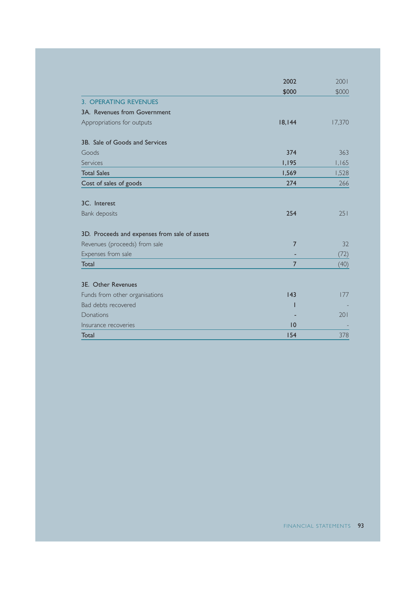|                                               | 2002           | 2001   |
|-----------------------------------------------|----------------|--------|
|                                               | \$000          | \$000  |
| <b>3. OPERATING REVENUES</b>                  |                |        |
| 3A. Revenues from Government                  |                |        |
| Appropriations for outputs                    | 18,144         | 17,370 |
| 3B. Sale of Goods and Services                |                |        |
| Goods                                         | 374            | 363    |
| Services                                      | 1,195          | 1,165  |
| <b>Total Sales</b>                            | 1,569          | 1,528  |
| Cost of sales of goods                        | 274            | 266    |
| 3C. Interest                                  |                |        |
| Bank deposits                                 | 254            | 251    |
| 3D. Proceeds and expenses from sale of assets |                |        |
| Revenues (proceeds) from sale                 | 7              | 32     |
| Expenses from sale                            |                | (72)   |
| Total                                         | $\overline{7}$ | (40)   |
| 3E. Other Revenues                            |                |        |
| Funds from other organisations                | 143            | 177    |
| Bad debts recovered                           |                |        |
| Donations                                     |                | 201    |
| Insurance recoveries                          | 10             |        |
| Total                                         | 154            | 378    |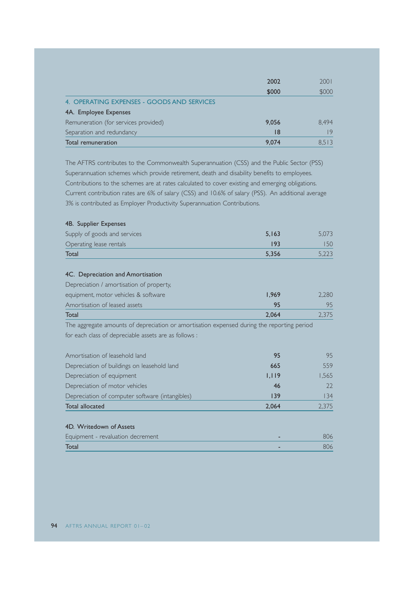|                                            | 2002  | 2001  |
|--------------------------------------------|-------|-------|
|                                            | \$000 | \$000 |
| 4. OPERATING EXPENSES - GOODS AND SERVICES |       |       |
| 4A. Employee Expenses                      |       |       |
| Remuneration (for services provided)       | 9.056 | 8.494 |
| Separation and redundancy                  | 18    | ۱9    |
| Total remuneration                         | 9.074 | 8.513 |

The AFTRS contributes to the Commonwealth Superannuation (CSS) and the Public Sector (PSS) Superannuation schemes which provide retirement, death and disability benefits to employees. Contributions to the schemes are at rates calculated to cover existing and emerging obligations. Current contribution rates are 6% of salary (CSS) and 10.6% of salary (PSS). An additional average 3% is contributed as Employer Productivity Superannuation Contributions.

#### 4B. Supplier Expenses

| Supply of goods and services | 5.163 |     |
|------------------------------|-------|-----|
| Operating lease rentals      |       | 5() |
| Total                        | 5.356 |     |

### 4C. Depreciation and Amortisation

| Total                                    | 2.064        | 2.375 |
|------------------------------------------|--------------|-------|
| Amortisation of leased assets            | 95           |       |
| equipment, motor vehicles & software     | <b>1.969</b> | 2.280 |
| Depreciation / amortisation of property, |              |       |

The aggregate amounts of depreciation or amortisation expensed during the reporting period for each class of depreciable assets are as follows :

| Amortisation of leasehold land                  | 95    | 95    |
|-------------------------------------------------|-------|-------|
| Depreciation of buildings on leasehold land     | 665   | 559   |
| Depreciation of equipment                       | 1.119 | 1.565 |
| Depreciation of motor vehicles                  | 46    |       |
| Depreciation of computer software (intangibles) | 139   | 134   |
| Total allocated                                 | 2.064 | 2.375 |

#### 4D. Writedown of Assets

| Equipment - revaluation decrement |  |
|-----------------------------------|--|
| <b>Total</b>                      |  |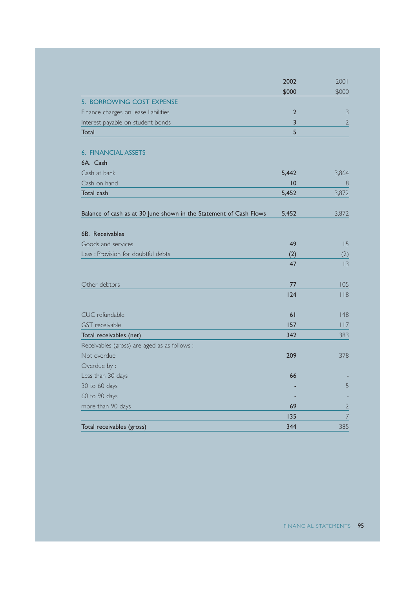|                                                                    | 2002            | 2001           |
|--------------------------------------------------------------------|-----------------|----------------|
|                                                                    | \$000           | \$000          |
| 5. BORROWING COST EXPENSE                                          |                 |                |
| Finance charges on lease liabilities                               | $\overline{2}$  | 3              |
| Interest payable on student bonds                                  | 3               | $\overline{2}$ |
| Total                                                              | 5               |                |
|                                                                    |                 |                |
| <b>6. FINANCIAL ASSETS</b>                                         |                 |                |
| 6A. Cash                                                           |                 |                |
| Cash at bank                                                       | 5,442           | 3,864          |
| Cash on hand                                                       | $\overline{10}$ | 8              |
| Total cash                                                         | 5,452           | 3,872          |
| Balance of cash as at 30 June shown in the Statement of Cash Flows | 5,452           | 3,872          |
|                                                                    |                 |                |
| 6B. Receivables                                                    |                 |                |
| Goods and services                                                 | 49              | 15             |
| Less : Provision for doubtful debts                                | (2)             | (2)            |
|                                                                    | 47              | 3              |
| Other debtors                                                      | 77              | 105            |
|                                                                    | 124             | $ $ $ $ $ $    |
| CUC refundable                                                     | 61              | 48             |
| <b>GST</b> receivable                                              | 157             | 17             |
| Total receivables (net)                                            | 342             | 383            |
| Receivables (gross) are aged as as follows :                       |                 |                |
| Not overdue                                                        | 209             | 378            |
| Overdue by :                                                       |                 |                |
| Less than 30 days                                                  | 66              |                |
| 30 to 60 days                                                      |                 | 5              |
| 60 to 90 days                                                      |                 |                |
| more than 90 days                                                  | 69              | $\overline{2}$ |
|                                                                    | 135             | $\overline{7}$ |
| Total receivables (gross)                                          | 344             | 385            |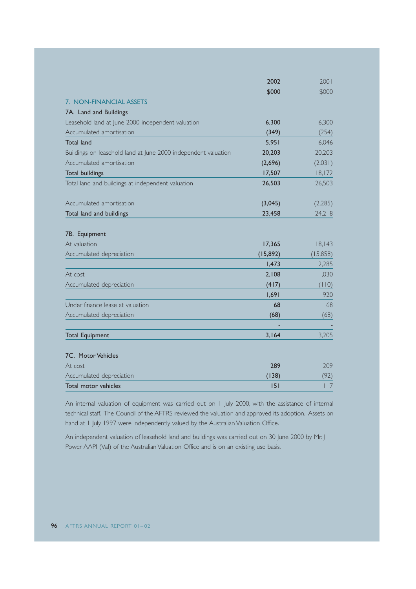|                                                                | 2002      | 2001      |
|----------------------------------------------------------------|-----------|-----------|
|                                                                | \$000     | \$000     |
| 7. NON-FINANCIAL ASSETS                                        |           |           |
| 7A. Land and Buildings                                         |           |           |
| Leasehold land at June 2000 independent valuation              | 6,300     | 6,300     |
| Accumulated amortisation                                       | (349)     | (254)     |
| Total land                                                     | 5,951     | 6.046     |
| Buildings on leasehold land at June 2000 independent valuation | 20,203    | 20,203    |
| Accumulated amortisation                                       | (2,696)   | (2,031)   |
| <b>Total buildings</b>                                         | 17,507    | 18,172    |
| Total land and buildings at independent valuation              | 26,503    | 26,503    |
| Accumulated amortisation                                       | (3,045)   | (2, 285)  |
| Total land and buildings                                       | 23,458    | 24,218    |
|                                                                |           |           |
| 7B. Equipment                                                  |           |           |
| At valuation                                                   | 17,365    | 18,143    |
| Accumulated depreciation                                       | (15, 892) | (15, 858) |
|                                                                | 1,473     | 2,285     |
| At cost                                                        | 2,108     | 1,030     |
| Accumulated depreciation                                       | (417)     | (110)     |
|                                                                | 1,691     | 920       |
| Under finance lease at valuation                               | 68        | 68        |
| Accumulated depreciation                                       | (68)      | (68)      |
|                                                                |           |           |
| <b>Total Equipment</b>                                         | 3,164     | 3,205     |
|                                                                |           |           |
| 7C. Motor Vehicles                                             |           |           |
| At cost                                                        | 289       | 209       |
| Accumulated depreciation                                       | (138)     | (92)      |
| Total motor vehicles                                           | 151       | 117       |

An internal valuation of equipment was carried out on 1 July 2000, with the assistance of internal technical staff. The Council of the AFTRS reviewed the valuation and approved its adoption. Assets on hand at 1 July 1997 were independently valued by the Australian Valuation Office.

An independent valuation of leasehold land and buildings was carried out on 30 June 2000 by Mr. J Power AAPI (Val) of the Australian Valuation Office and is on an existing use basis.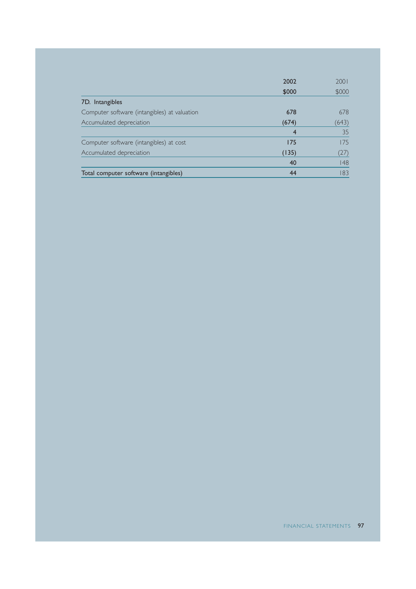|                                              | 2002  | 2001  |
|----------------------------------------------|-------|-------|
|                                              | \$000 | \$000 |
| 7D. Intangibles                              |       |       |
| Computer software (intangibles) at valuation | 678   | 678   |
| Accumulated depreciation                     | (674) | (643) |
|                                              | 4     | 35    |
| Computer software (intangibles) at cost      | 175   | 175   |
| Accumulated depreciation                     | (135) | (27)  |
|                                              | 40    | 48    |
| Total computer software (intangibles)        | 44    | 183   |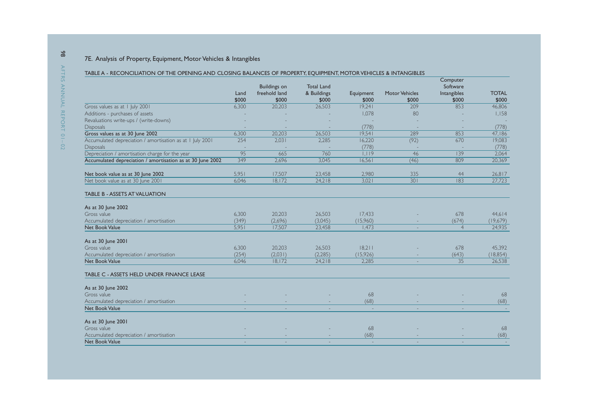### 7E. Analysis of Property, Equipment, Motor Vehicles & Intangibles

#### TABLE A - RECONCILIATION OF THE OPENING AND CLOSING BALANCES OF PROPERTY, EQUIPMENT, MOTOR VEHICLES & INTANGIBLES

|                                                                               | Land<br>\$000 | <b>Buildings on</b><br>freehold land<br>\$000 | <b>Total Land</b><br>& Buildings<br>\$000 | Equipment<br>\$000 | <b>Motor Vehicles</b><br>\$000 | Computer<br>Software<br>Intangibles<br>\$000 | <b>TOTAL</b><br>\$000 |
|-------------------------------------------------------------------------------|---------------|-----------------------------------------------|-------------------------------------------|--------------------|--------------------------------|----------------------------------------------|-----------------------|
| Gross values as at 1 July 2001                                                | 6,300         | 20,203                                        | 26,503                                    | 19,241             | 209                            | 853                                          | 46,806                |
| Additions - purchases of assets                                               |               |                                               |                                           | 1,078              | 80                             |                                              | 1,158                 |
| Revaluations write-ups / (write-downs)                                        |               |                                               |                                           |                    |                                |                                              |                       |
| <b>Disposals</b>                                                              |               |                                               |                                           | (778)              |                                |                                              | (778)                 |
| Gross values as at 30 June 2002                                               | 6,300         | 20,203                                        | 26.503                                    | 19.541             | 289                            | 853                                          | 47,186                |
| Accumulated depreciation / amortisation as at 1 July 2001<br><b>Disposals</b> | 254           | 2.031                                         | 2.285                                     | 16,220<br>(778)    | (92)                           | 670                                          | 19,083<br>(778)       |
| Depreciation / amortisation charge for the year                               | 95            | 665                                           | 760                                       | 1,119              | 46                             | 139                                          | 2,064                 |
| Accumulated depreciation / amortisation as at 30 June 2002                    | 349           | 2,696                                         | 3.045                                     | 16,561             | (46)                           | 809                                          | 20,369                |
| Net book value as at 30 June 2002                                             | 5,951         | 17,507                                        | 23,458                                    | 2,980              | 335                            | 44                                           | 26,817                |
| Net book value as at 30 June 2001                                             | 6.046         | 18,172                                        | 24,218                                    | 3,021              | 301                            | 83                                           | 27,723                |
| <b>TABLE B - ASSETS AT VALUATION</b>                                          |               |                                               |                                           |                    |                                |                                              |                       |
| As at 30 June 2002                                                            |               |                                               |                                           |                    |                                |                                              |                       |
| Gross value                                                                   | 6,300         | 20,203                                        | 26,503                                    | 17,433             |                                | 678                                          | 44,614                |
| Accumulated depreciation / amortisation                                       | (349)         | (2,696)                                       | (3,045)                                   | (15,960)           |                                | (674)                                        | (19,679)              |
| Net Book Value                                                                | 5,951         | 17,507                                        | 23.458                                    | 1.473              |                                | $\overline{4}$                               | 24,935                |
| As at 30 June 2001                                                            |               |                                               |                                           |                    |                                |                                              |                       |
| Gross value                                                                   | 6,300         | 20,203                                        | 26,503                                    | 18,211             |                                | 678                                          | 45,392                |
| Accumulated depreciation / amortisation                                       | (254)         | (2,031)                                       | (2, 285)                                  | (15,926)           |                                | (643)                                        | (18, 854)             |
| Net Book Value                                                                | 6.046         | 18,172                                        | 24.218                                    | 2.285              | $\overline{\phantom{a}}$       | 35                                           | 26,538                |
| TABLE C - ASSETS HELD UNDER FINANCE LEASE                                     |               |                                               |                                           |                    |                                |                                              |                       |
| As at 30 June 2002                                                            |               |                                               |                                           |                    |                                |                                              |                       |
| Gross value                                                                   |               |                                               |                                           | 68                 |                                |                                              | 68                    |
| Accumulated depreciation / amortisation                                       |               |                                               |                                           | (68)               |                                |                                              | (68)                  |
| <b>Net Book Value</b>                                                         |               |                                               |                                           | $\sim$             |                                |                                              |                       |
| As at 30 June 2001                                                            |               |                                               |                                           |                    |                                |                                              |                       |
| Gross value                                                                   |               |                                               |                                           | 68                 |                                |                                              | 68                    |
| Accumulated depreciation / amortisation                                       |               |                                               |                                           | (68)               |                                |                                              | (68)                  |
| <b>Net Book Value</b>                                                         |               |                                               |                                           |                    |                                |                                              |                       |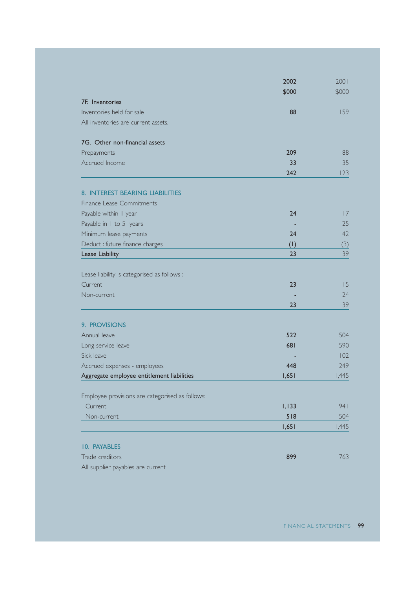|                                                 | 2002  | 2001  |
|-------------------------------------------------|-------|-------|
|                                                 | \$000 | \$000 |
| 7F. Inventories                                 |       |       |
| Inventories held for sale                       | 88    | 159   |
| All inventories are current assets.             |       |       |
| 7G. Other non-financial assets                  |       |       |
| Prepayments                                     | 209   | 88    |
| Accrued Income                                  | 33    | 35    |
|                                                 | 242   | 123   |
| 8. INTEREST BEARING LIABILITIES                 |       |       |
| Finance Lease Commitments                       |       |       |
| Payable within I year                           | 24    | 17    |
| Payable in 1 to 5 years                         |       | 25    |
| Minimum lease payments                          | 24    | 42    |
| Deduct : future finance charges                 | (1)   | (3)   |
| Lease Liability                                 | 23    | 39    |
| Lease liability is categorised as follows :     |       |       |
| Current                                         | 23    | 15    |
| Non-current                                     |       | 24    |
|                                                 | 23    | 39    |
| 9. PROVISIONS                                   |       |       |
| Annual leave                                    | 522   | 504   |
| Long service leave                              | 681   | 590   |
| Sick leave                                      |       | 102   |
| Accrued expenses - employees                    | 448   | 249   |
| Aggregate employee entitlement liabilities      | 1,651 | 1,445 |
| Employee provisions are categorised as follows: |       |       |
| Current                                         | 1,133 | 941   |
| Non-current                                     | 518   | 504   |
|                                                 | 1,651 | 1,445 |
| 10. PAYABLES                                    |       |       |
| Trade creditors                                 | 899   | 763   |
| All supplier payables are current               |       |       |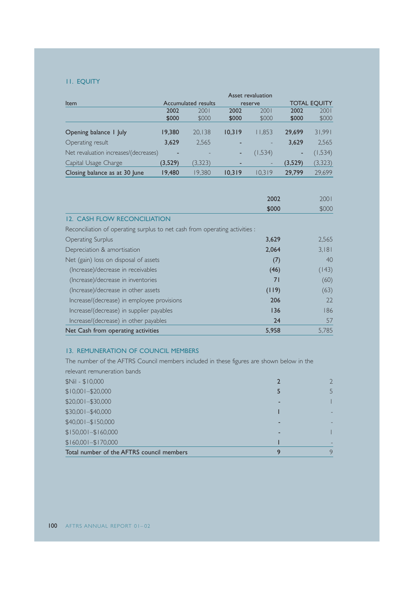#### 11. EQUITY

|                                       |         |                     |        | Asset revaluation        |         |                     |
|---------------------------------------|---------|---------------------|--------|--------------------------|---------|---------------------|
| Item                                  |         | Accumulated results |        | reserve                  |         | <b>TOTAL EQUITY</b> |
|                                       | 2002    | 2001                | 2002   | 2001                     | 2002    | 2001                |
|                                       | \$000   | \$000               | \$000  | \$000                    | \$000   | \$000               |
|                                       |         |                     |        |                          |         |                     |
| Opening balance I July                | 19,380  | 20.138              | 10.319 | 11.853                   | 29.699  | 31,991              |
| Operating result                      | 3,629   | 2.565               | -      |                          | 3.629   | 2,565               |
| Net revaluation increases/(decreases) | ۰       |                     | ٠      | (1,534)                  | ٠       | (1,534)             |
| Capital Usage Charge                  | (3,529) | (3,323)             | -      | $\overline{\phantom{0}}$ | (3,529) | (3,323)             |
| Closing balance as at 30 June         | 19,480  | 19.380              | 10.319 | 10.319                   | 29,799  | 29.699              |

|                                                                             | 2002  | 2001  |
|-----------------------------------------------------------------------------|-------|-------|
|                                                                             | \$000 | \$000 |
| 12. CASH FLOW RECONCILIATION                                                |       |       |
| Reconciliation of operating surplus to net cash from operating activities : |       |       |
| <b>Operating Surplus</b>                                                    | 3,629 | 2,565 |
| Depreciation & amortisation                                                 | 2,064 | 3,181 |
| Net (gain) loss on disposal of assets                                       | (7)   | 40    |
| (Increase)/decrease in receivables                                          | (46)  | (143) |
| (Increase)/decrease in inventories                                          | 71    | (60)  |
| (Increase)/decrease in other assets                                         | (119) | (63)  |
| Increase/(decrease) in employee provisions                                  | 206   | 22    |
| Increase/(decrease) in supplier payables                                    | 136   | 186   |
| Increase/(decrease) in other payables                                       | 24    | 57    |
| Net Cash from operating activities                                          | 5.958 | 5.785 |

#### 13. REMUNERATION OF COUNCIL MEMBERS

The number of the AFTRS Council members included in these figures are shown below in the relevant remuneration bands

| Total number of the AFTRS council members | q | 9  |
|-------------------------------------------|---|----|
| $$160,001 - $170,000$                     |   |    |
| $$150,001 - $160,000$                     |   |    |
| \$40,001-\$150,000                        |   |    |
| \$30,001-\$40,000                         |   |    |
| \$20,001-\$30,000                         |   |    |
| $$10,001 - $20,000$                       |   | 5. |
| $$Nil - $10,000$                          |   |    |
|                                           |   |    |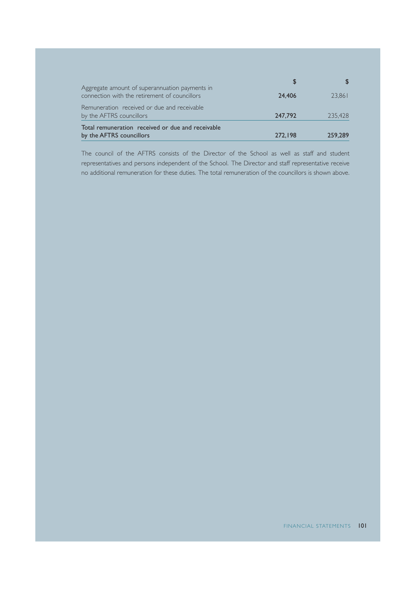| Aggregate amount of superannuation payments in<br>connection with the retirement of councillors | 24,406  | 23.861  |
|-------------------------------------------------------------------------------------------------|---------|---------|
| Remuneration received or due and receivable<br>by the AFTRS councillors                         | 247,792 | 235,428 |
| Total remuneration received or due and receivable<br>by the AFTRS councillors                   | 272.198 | 259,289 |

The council of the AFTRS consists of the Director of the School as well as staff and student representatives and persons independent of the School. The Director and staff representative receive no additional remuneration for these duties. The total remuneration of the councillors is shown above.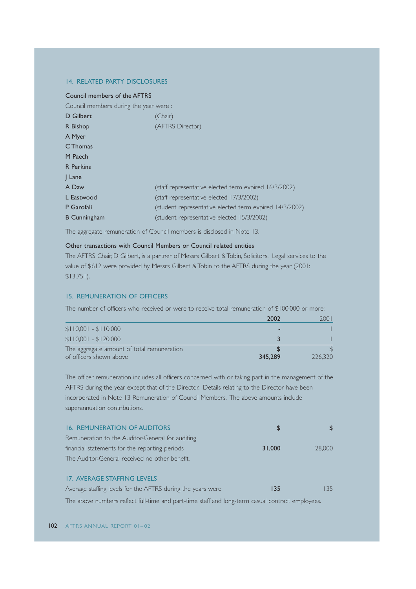### 14. RELATED PARTY DISCLOSURES

#### Council members of the AFTRS

Council members during the year were :

| D Gilbert           | 'Chair)                                                 |
|---------------------|---------------------------------------------------------|
| R Bishop            | (AFTRS Director)                                        |
| A Myer              |                                                         |
| C Thomas            |                                                         |
| M Paech             |                                                         |
| <b>R</b> Perkins    |                                                         |
| $ $ Lane            |                                                         |
| A Daw               | (staff representative elected term expired 16/3/2002)   |
| L Eastwood          | (staff representative elected 17/3/2002)                |
| P Garofali          | (student representative elected term expired 14/3/2002) |
| <b>B</b> Cunningham | student representative elected 15/3/2002)               |

The aggregate remuneration of Council members is disclosed in Note 13.

#### Other transactions with Council Members or Council related entities

The AFTRS Chair, D Gilbert, is a partner of Messrs Gilbert & Tobin, Solicitors. Legal services to the value of \$612 were provided by Messrs Gilbert & Tobin to the AFTRS during the year (2001: \$13,751).

#### 15. REMUNERATION OF OFFICERS

The number of officers who received or were to receive total remuneration of \$100,000 or more:

|                                            | 2002    |         |
|--------------------------------------------|---------|---------|
| $$110,001 - $110,000$                      |         |         |
| $$110,001 - $120,000$                      |         |         |
| The aggregate amount of total remuneration |         |         |
| of officers shown above                    | 345,289 | 226,320 |

The officer remuneration includes all officers concerned with or taking part in the management of the AFTRS during the year except that of the Director. Details relating to the Director have been incorporated in Note 13 Remuneration of Council Members. The above amounts include superannuation contributions.

| <b>16. REMUNERATION OF AUDITORS</b>              |        |        |
|--------------------------------------------------|--------|--------|
| Remuneration to the Auditor-General for auditing |        |        |
| financial statements for the reporting periods   | 31,000 | 28,000 |
| The Auditor-General received no other benefit.   |        |        |

#### 17. AVERAGE STAFFING LEVELS

| Average staffing levels for the AFTRS during the years were |  | 35 |
|-------------------------------------------------------------|--|----|
|-------------------------------------------------------------|--|----|

The above numbers reflect full-time and part-time staff and long-term casual contract employees.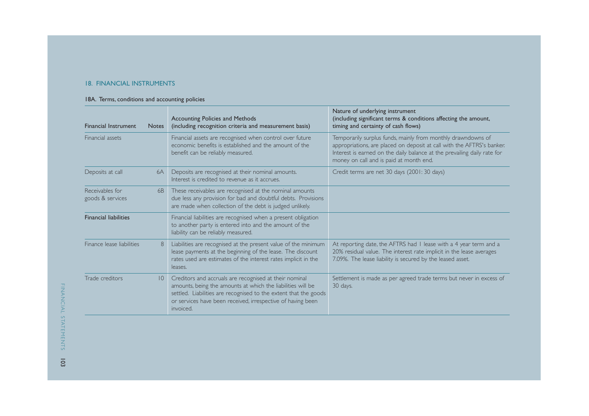#### 18. FINANCIAL INSTRUMENTS

#### 18A. Terms, conditions and accounting policies

| <b>Financial Instrument</b>         | <b>Notes</b> | <b>Accounting Policies and Methods</b><br>(including recognition criteria and measurement basis)                                                                                                                                                                      | Nature of underlying instrument<br>(including significant terms & conditions affecting the amount,<br>timing and certainty of cash flows)                                                                                                                     |
|-------------------------------------|--------------|-----------------------------------------------------------------------------------------------------------------------------------------------------------------------------------------------------------------------------------------------------------------------|---------------------------------------------------------------------------------------------------------------------------------------------------------------------------------------------------------------------------------------------------------------|
| Financial assets                    |              | Financial assets are recognised when control over future<br>economic benefits is established and the amount of the<br>benefit can be reliably measured.                                                                                                               | Temporarily surplus funds, mainly from monthly drawndowns of<br>appropriations, are placed on deposit at call with the AFTRS's banker.<br>Interest is earned on the daily balance at the prevailing daily rate for<br>money on call and is paid at month end. |
| Deposits at call                    | 6A           | Deposits are recognised at their nominal amounts.<br>Interest is credited to revenue as it accrues.                                                                                                                                                                   | Credit terms are net 30 days (2001: 30 days)                                                                                                                                                                                                                  |
| Receivables for<br>goods & services | 6B           | These receivables are recognised at the nominal amounts<br>due less any provision for bad and doubtful debts. Provisions<br>are made when collection of the debt is judged unlikely.                                                                                  |                                                                                                                                                                                                                                                               |
| <b>Financial liabilities</b>        |              | Financial liabilities are recognised when a present obligation<br>to another party is entered into and the amount of the<br>liability can be reliably measured.                                                                                                       |                                                                                                                                                                                                                                                               |
| Finance lease liabilities           | 8            | Liabilities are recognised at the present value of the minimum<br>lease payments at the beginning of the lease. The discount<br>rates used are estimates of the interest rates implicit in the<br>leases.                                                             | At reporting date, the AFTRS had I lease with a 4 year term and a<br>20% residual value. The interest rate implicit in the lease averages<br>7.09%. The lease liability is secured by the leased asset.                                                       |
| Trade creditors                     | 10           | Creditors and accruals are recognised at their nominal<br>amounts, being the amounts at which the liabilities will be<br>settled. Liabilities are recognised to the extent that the goods<br>or services have been received, irrespective of having been<br>invoiced. | Settlement is made as per agreed trade terms but never in excess of<br>30 days.                                                                                                                                                                               |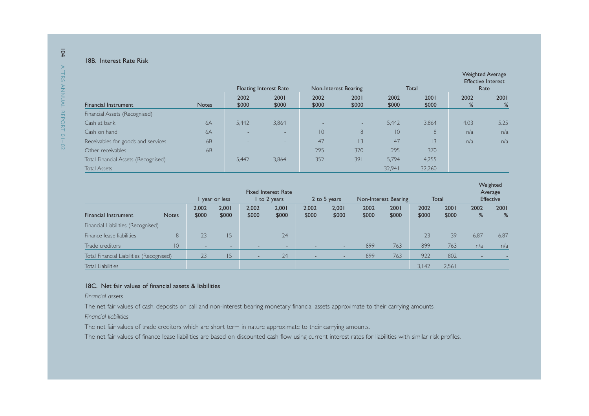#### 18B. Interest Rate Risk

|                                     |                |               | <b>Floating Interest Rate</b> | Non-Interest Bearing |               |               | Total           | <b>Weighted Average</b><br><b>Effective Interest</b><br>Rate |           |
|-------------------------------------|----------------|---------------|-------------------------------|----------------------|---------------|---------------|-----------------|--------------------------------------------------------------|-----------|
| <b>Financial Instrument</b>         | <b>Notes</b>   | 2002<br>\$000 | 2001<br>\$000                 | 2002<br>\$000        | 2001<br>\$000 | 2002<br>\$000 | 2001<br>\$000   | 2002<br>%                                                    | 2001<br>% |
| Financial Assets (Recognised)       |                |               |                               |                      |               |               |                 |                                                              |           |
| Cash at bank                        | 6A             | 5.442         | 3,864                         |                      | $-$           | 5.442         | 3,864           | 4.03                                                         | 5.25      |
| Cash on hand                        | 6A             |               | $\sim$                        | 10                   | 8             | 10            | 8               | n/a                                                          | n/a       |
| Receivables for goods and services  | <b>6B</b>      |               | -                             | 47                   | 3             | 47            | $\overline{13}$ | n/a                                                          | n/a       |
| Other receivables                   | 6 <sub>B</sub> | -             | $-$                           | 295                  | 370           | 295           | 370             |                                                              |           |
| Total Financial Assets (Recognised) |                | 5,442         | 3,864                         | 352                  | 391           | 5,794         | 4,255           |                                                              |           |
| <b>Total Assets</b>                 |                |               |                               |                      |               | 32.941        | 32.260          |                                                              |           |

|                                          |              |                          | year or less             |                | <b>Fixed Interest Rate</b><br>I to 2 years |                          | 2 to 5 years             |               | Non-Interest Bearing |               | Total         |           | Weighted<br>Average<br><b>Effective</b> |
|------------------------------------------|--------------|--------------------------|--------------------------|----------------|--------------------------------------------|--------------------------|--------------------------|---------------|----------------------|---------------|---------------|-----------|-----------------------------------------|
| <b>Financial Instrument</b>              | <b>Notes</b> | 2.002<br>\$000           | 2.001<br>\$000           | 2.002<br>\$000 | 2.001<br>\$000                             | 2.002<br>\$000           | 2,001<br>\$000           | 2002<br>\$000 | 2001<br>\$000        | 2002<br>\$000 | 2001<br>\$000 | 2002<br>% | 2001<br>%                               |
| Financial Liabilities (Recognised)       |              |                          |                          |                |                                            |                          |                          |               |                      |               |               |           |                                         |
| Finance lease liabilities                | 8            | 23                       | 15                       |                | 24                                         |                          | $\overline{\phantom{a}}$ |               | $-$                  | 23            | 39            | 6.87      | 6.87                                    |
| Trade creditors                          | 10           | $\overline{\phantom{a}}$ | $\overline{\phantom{a}}$ |                | $-$                                        |                          | $\overline{\phantom{a}}$ | 899           | 763                  | 899           | 763           | n/a       | n/a                                     |
| Total Financial Liabilities (Recognised) |              | 23                       | 15                       | $-$            | 24                                         | $\overline{\phantom{0}}$ | $\sim$                   | 899           | 763                  | 922           | 802           |           |                                         |
| Total Liabilities                        |              |                          |                          |                |                                            |                          |                          |               |                      | 3,142         | 2,561         |           |                                         |

#### 18C. Net fair values of financial assets & liabilities

*Financial assets*

The net fair values of cash, deposits on call and non-interest bearing monetary financial assets approximate to their carrying amounts.

*Financial liabilities*

The net fair values of trade creditors which are short term in nature approximate to their carrying amounts.

The net fair values of finance lease liabilities are based on discounted cash flow using current interest rates for liabilities with similar risk profiles.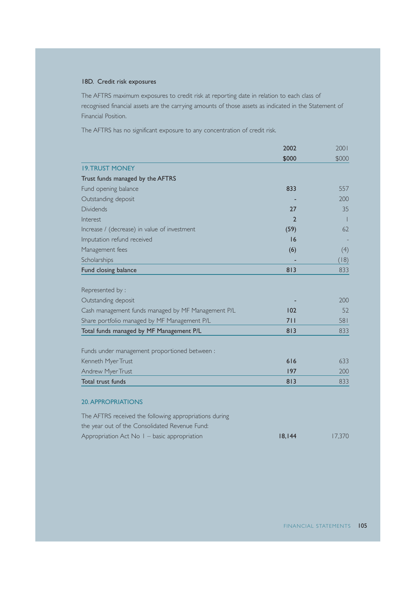#### 18D. Credit risk exposures

The AFTRS maximum exposures to credit risk at reporting date in relation to each class of recognised financial assets are the carrying amounts of those assets as indicated in the Statement of Financial Position.

The AFTRS has no significant exposure to any concentration of credit risk.

|                                                        | 2002   | 2001   |
|--------------------------------------------------------|--------|--------|
|                                                        | \$000  | \$000  |
| <b>19. TRUST MONEY</b>                                 |        |        |
| Trust funds managed by the AFTRS                       |        |        |
| Fund opening balance                                   | 833    | 557    |
| Outstanding deposit                                    |        | 200    |
| <b>Dividends</b>                                       | 27     | 35     |
| Interest                                               | 2      |        |
| Increase / (decrease) in value of investment           | (59)   | 62     |
| Imputation refund received                             | 16     |        |
| Management fees                                        | (6)    | (4)    |
| Scholarships                                           |        | (18)   |
| Fund closing balance                                   | 813    | 833    |
|                                                        |        |        |
| Represented by:                                        |        |        |
| Outstanding deposit                                    |        | 200    |
| Cash management funds managed by MF Management P/L     | 102    | 52     |
| Share portfolio managed by MF Management P/L           | 711    | 581    |
| Total funds managed by MF Management P/L               | 813    | 833    |
|                                                        |        |        |
| Funds under management proportioned between :          |        |        |
| Kenneth Myer Trust                                     | 616    | 633    |
| <b>Andrew Myer Trust</b>                               | 197    | 200    |
| Total trust funds                                      | 813    | 833    |
|                                                        |        |        |
| <b>20. APPROPRIATIONS</b>                              |        |        |
| The AFTRS received the following appropriations during |        |        |
| the year out of the Consolidated Revenue Fund:         |        |        |
| Appropriation Act No I - basic appropriation           | 18,144 | 17,370 |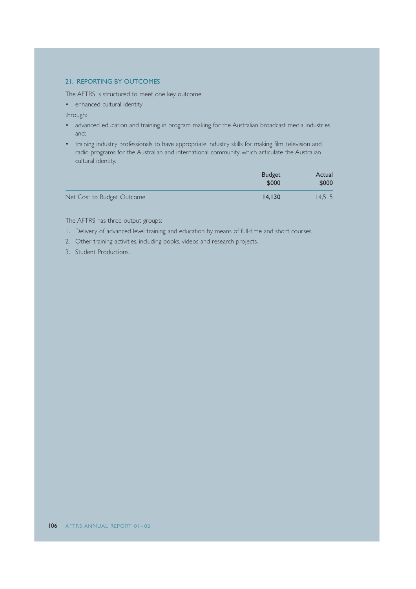#### 21. REPORTING BY OUTCOMES

The AFTRS is structured to meet one key outcome:

• enhanced cultural identity

through:

- advanced education and training in program making for the Australian broadcast media industries and;
- training industry professionals to have appropriate industry skills for making film, television and radio programs for the Australian and international community which articulate the Australian cultural identity.

|                            | <b>Budget</b><br>\$000 | Actual<br>\$000 |
|----------------------------|------------------------|-----------------|
| Net Cost to Budget Outcome | 14.130                 | 14.515          |

The AFTRS has three output groups:

- 1. Delivery of advanced level training and education by means of full-time and short courses.
- 2. Other training activities, including books, videos and research projects.
- 3. Student Productions.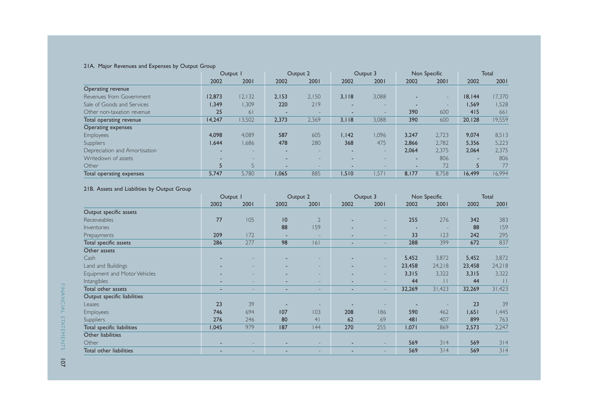#### 21A. Major Revenues and Expenses by Output Group

|                               | Output I |                | Output 2                 |       | Output 3 |                          | Non Specific |        | <b>Total</b> |        |
|-------------------------------|----------|----------------|--------------------------|-------|----------|--------------------------|--------------|--------|--------------|--------|
|                               | 2002     | 2001           | 2002                     | 2001  | 2002     | 2001                     | 2002         | 2001   | 2002         | 2001   |
| Operating revenue             |          |                |                          |       |          |                          |              |        |              |        |
| Revenues from Government      | 12,873   | 12.132         | 2.153                    | 2.150 | 3.118    | 3.088                    |              | $\sim$ | 18.144       | 17.370 |
| Sale of Goods and Services    | 1,349    | 1,309          | 220                      | 219   |          | $\sim$                   |              |        | 1.569        | 1,528  |
| Other non-taxation revenue    | 25       | 61             | $\overline{\phantom{a}}$ |       |          |                          | 390          | 600    | 415          | 661    |
| Total operating revenue       | 14.247   | 13,502         | 2,373                    | 2,369 | 3.118    | 3.088                    | 390          | 600    | 20.128       | 19,559 |
| Operating expenses            |          |                |                          |       |          |                          |              |        |              |        |
| <b>Employees</b>              | 4.098    | 4,089          | 587                      | 605   | 1.142    | .096                     | 3.247        | 2,723  | 9.074        | 8,513  |
| <b>Suppliers</b>              | 1,644    | 1,686          | 478                      | 280   | 368      | 475                      | 2.866        | 2,782  | 5.356        | 5,223  |
| Depreciation and Amortisation |          | -              |                          |       |          | $\overline{\phantom{a}}$ | 2.064        | 2,375  | 2.064        | 2,375  |
| Writedown of assets           |          |                |                          |       |          |                          | -            | 806    |              | 806    |
| Other                         |          | $\overline{5}$ | -                        |       |          |                          | -            | 72     |              | 77     |
| Total operating expenses      | 5,747    | 5,780          | 1,065                    | 885   | 1.510    | 1,571                    | 8,177        | 8,758  | 16,499       | 16,994 |

#### 21B. Assets and Liabilities by Output Group

|                              |       | Output I |      | Output 2       |                          | Output 3 |        | Non Specific             |        | Total  |  |
|------------------------------|-------|----------|------|----------------|--------------------------|----------|--------|--------------------------|--------|--------|--|
|                              | 2002  | 2001     | 2002 | 2001           | 2002                     | 2001     | 2002   | 2001                     | 2002   | 2001   |  |
| Output specific assets       |       |          |      |                |                          |          |        |                          |        |        |  |
| Receiveables                 | 77    | 105      | 10   | $\overline{2}$ |                          | ۰.       | 255    | 276                      | 342    | 383    |  |
| Inventories                  |       |          | 88   | 159            |                          | ۰.       |        | $\overline{\phantom{a}}$ | 88     | 159    |  |
| Prepayments                  | 209   | 172      |      | ۰              |                          | ۰.       | 33     | 123                      | 242    | 295    |  |
| Total specific assets        | 286   | 277      | 98   | 6              |                          |          | 288    | 399                      | 672    | 837    |  |
| Other assets                 |       |          |      |                |                          |          |        |                          |        |        |  |
| Cash                         |       |          |      |                |                          | ۰        | 5,452  | 3,872                    | 5,452  | 3,872  |  |
| Land and Buildings           |       | ۰.       |      | -              |                          | $\sim$   | 23,458 | 24,218                   | 23,458 | 24,218 |  |
| Equipment and Motor Vehicles |       | -        |      | ۰              |                          | ۰        | 3,315  | 3,322                    | 3,315  | 3,322  |  |
| Intangibles                  |       | ۰.       |      | ۰              |                          | ۰.       | 44     | $\mathbf{H}$             | 44     | П      |  |
| Total other assets           | -     |          |      | ۰              |                          | ۰        | 32,269 | 31,423                   | 32,269 | 31,423 |  |
| Output specific liabilities  |       |          |      |                |                          |          |        |                          |        |        |  |
| Leases                       | 23    | 39       |      |                |                          |          |        |                          | 23     | 39     |  |
| <b>Employees</b>             | 746   | 694      | 107  | 103            | 208                      | 186      | 590    | 462                      | 1,651  | 1,445  |  |
| Suppliers                    | 276   | 246      | 80   | 4 <sup>1</sup> | 62                       | 69       | 481    | 407                      | 899    | 763    |  |
| Total specific liabilities   | 1,045 | 979      | 187  | 44             | 270                      | 255      | 1,071  | 869                      | 2,573  | 2,247  |  |
| Other liabilities            |       |          |      |                |                          |          |        |                          |        |        |  |
| Other                        |       | -        |      | -              |                          | ۰        | 569    | 314                      | 569    | 314    |  |
| Total other liabilities      |       |          |      |                | $\overline{\phantom{0}}$ |          | 569    | 314                      | 569    | 314    |  |

107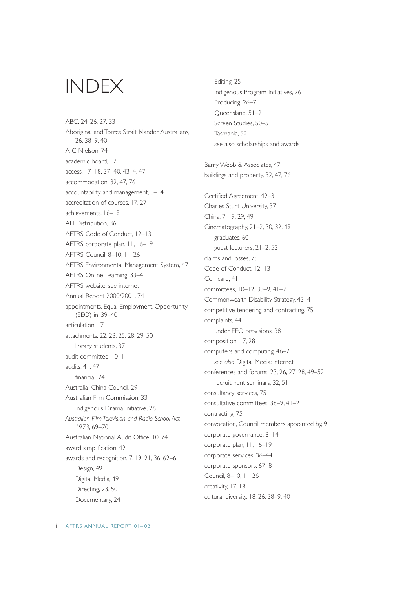# INDEX

ABC, 24, 26, 27, 33 Aboriginal and Torres Strait Islander Australians, 26, 38–9, 40 A C Nielson, 74 academic board, 12 access, 17–18, 37–40, 43–4, 47 accommodation, 32, 47, 76 accountability and management, 8–14 accreditation of courses, 17, 27 achievements, 16–19 AFI Distribution, 36 AFTRS Code of Conduct, 12–13 AFTRS corporate plan, 11, 16–19 AFTRS Council, 8–10, 11, 26 AFTRS Environmental Management System, 47 AFTRS Online Learning, 33–4 AFTRS website, *see* internet Annual Report 2000/2001, 74 appointments, Equal Employment Opportunity (EEO) in, 39–40 articulation, 17 attachments, 22, 23, 25, 28, 29, 50 library students, 37 audit committee, 10–11 audits, 41, 47 financial, 74 Australia–China Council, 29 Australian Film Commission, 33 Indigenous Drama Initiative, 26 *Australian Film Television and Radio School Act 1973*, 69–70 Australian National Audit Office, 10, 74 award simplification, 42 awards and recognition, 7, 19, 21, 36, 62–6 Design, 49 Digital Media, 49 Directing, 23, 50 Documentary, 24

Editing, 25 Indigenous Program Initiatives, 26 Producing, 26–7 Queensland, 51–2 Screen Studies, 50–51 Tasmania, 52 *see* also scholarships and awards Barry Webb & Associates, 47 buildings and property, 32, 47, 76 Certified Agreement, 42–3 Charles Sturt University, 37 China, 7, 19, 29, 49 Cinematography, 21–2, 30, 32, 49 graduates, 60 guest lecturers, 21–2, 53 claims and losses, 75 Code of Conduct, 12–13 Comcare, 41 committees, 10–12, 38–9, 41–2 Commonwealth Disability Strategy, 43–4 competitive tendering and contracting, 75 complaints, 44 under EEO provisions, 38 composition, 17, 28 computers and computing, 46–7 *see also* Digital Media; internet conferences and forums, 23, 26, 27, 28, 49–52 recruitment seminars, 32, 51 consultancy services, 75 consultative committees, 38–9, 41–2 contracting, 75 convocation, Council members appointed by, 9 corporate governance, 8–14 corporate plan, 11, 16–19 corporate services, 36–44 corporate sponsors, 67–8 Council, 8–10, 11, 26 creativity, 17, 18 cultural diversity, 18, 26, 38–9, 40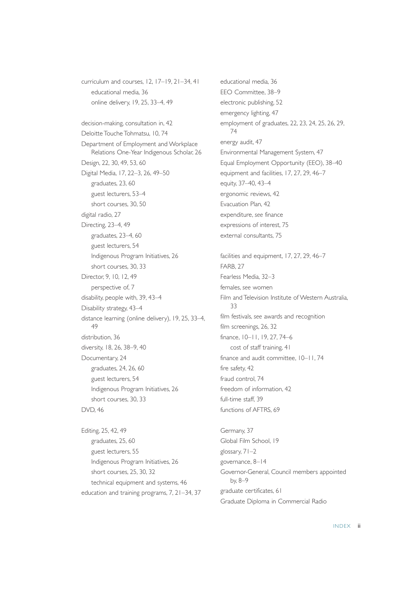curriculum and courses, 12, 17–19, 21–34, 41 educational media, 36 online delivery, 19, 25, 33–4, 49 decision-making, consultation in, 42 Deloitte Touche Tohmatsu, 10, 74 Department of Employment and Workplace Relations One-Year Indigenous Scholar, 26 Design, 22, 30, 49, 53, 60 Digital Media, 17, 22–3, 26, 49–50 graduates, 23, 60 guest lecturers, 53–4 short courses, 30, 50 digital radio, 27 Directing, 23–4, 49 graduates, 23–4, 60 guest lecturers, 54 Indigenous Program Initiatives, 26 short courses, 30, 33 Director, 9, 10, 12, 49 perspective of, 7 disability, people with, 39, 43–4 Disability strategy, 43–4 distance learning (online delivery), 19, 25, 33–4, 49 distribution, 36 diversity, 18, 26, 38–9, 40 Documentary, 24 graduates, 24, 26, 60 guest lecturers, 54 Indigenous Program Initiatives, 26 short courses, 30, 33 DVD, 46

Editing, 25, 42, 49 graduates, 25, 60 guest lecturers, 55 Indigenous Program Initiatives, 26 short courses, 25, 30, 32 technical equipment and systems, 46 education and training programs, 7, 21–34, 37 educational media, 36 EEO Committee, 38–9 electronic publishing, 52 emergency lighting, 47 employment of graduates, 22, 23, 24, 25, 26, 29, 74 energy audit, 47 Environmental Management System, 47 Equal Employment Opportunity (EEO), 38–40 equipment and facilities, 17, 27, 29, 46–7 equity, 37–40, 43–4 ergonomic reviews, 42 Evacuation Plan, 42 expenditure, *see* finance expressions of interest, 75 external consultants, 75 facilities and equipment, 17, 27, 29, 46–7 FARB, 27 Fearless Media, 32–3 females, *see* women

Film and Television Institute of Western Australia, 33 film festivals, *see* awards and recognition film screenings, 26, 32 finance, 10–11, 19, 27, 74–6 cost of staff training, 41 finance and audit committee, 10–11, 74 fire safety, 42 fraud control, 74 freedom of information, 42 full-time staff, 39 functions of AFTRS, 69

Germany, 37 Global Film School, 19 glossary, 71–2 governance, 8–14 Governor-General, Council members appointed by, 8–9 graduate certificates, 61 Graduate Diploma in Commercial Radio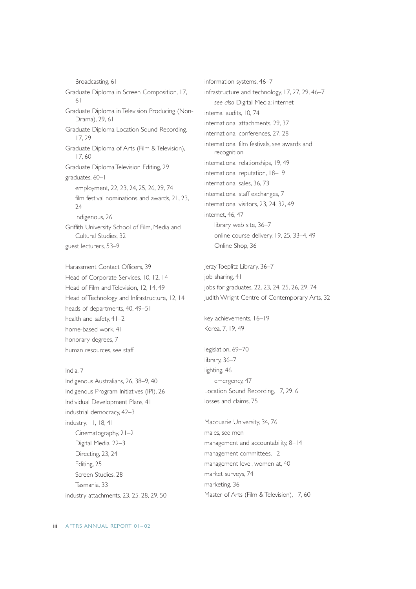Broadcasting, 61 Graduate Diploma in Screen Composition, 17, 61 Graduate Diploma in Television Producing (Non-Drama), 29, 61 Graduate Diploma Location Sound Recording, 17, 29 Graduate Diploma of Arts (Film & Television), 17, 60 Graduate Diploma Television Editing, 29 graduates, 60–1 employment, 22, 23, 24, 25, 26, 29, 74 film festival nominations and awards, 21, 23,  $24$ Indigenous, 26 Griffith University School of Film, Media and Cultural Studies, 32 guest lecturers, 53–9

Harassment Contact Officers, 39 Head of Corporate Services, 10, 12, 14 Head of Film and Television, 12, 14, 49 Head of Technology and Infrastructure, 12, 14 heads of departments, 40, 49–51 health and safety, 41–2 home-based work, 41 honorary degrees, 7 human resources, *see* staff

India, 7 Indigenous Australians, 26, 38–9, 40 Indigenous Program Initiatives (IPI), 26 Individual Development Plans, 41 industrial democracy, 42–3 industry, 11, 18, 41 Cinematography, 21–2 Digital Media, 22–3 Directing, 23, 24 Editing, 25 Screen Studies, 28 Tasmania, 33 industry attachments, 23, 25, 28, 29, 50 information systems, 46–7 infrastructure and technology, 17, 27, 29, 46–7 *see also* Digital Media; internet internal audits, 10, 74 international attachments, 29, 37 international conferences, 27, 28 international film festivals, *see* awards and recognition international relationships, 19, 49 international reputation, 18–19 international sales, 36, 73 international staff exchanges, 7 international visitors, 23, 24, 32, 49 internet, 46, 47 library web site, 36–7 online course delivery, 19, 25, 33–4, 49 Online Shop, 36 Jerzy Toeplitz Library, 36–7

job sharing, 41 jobs for graduates, 22, 23, 24, 25, 26, 29, 74 Judith Wright Centre of Contemporary Arts, 32

key achievements, 16–19 Korea, 7, 19, 49

legislation, 69–70 library, 36–7 lighting, 46 emergency, 47 Location Sound Recording, 17, 29, 61 losses and claims, 75

Macquarie University, 34, 76 males, *see* men management and accountability, 8–14 management committees, 12 management level, women at, 40 market surveys, 74 marketing, 36 Master of Arts (Film & Television), 17, 60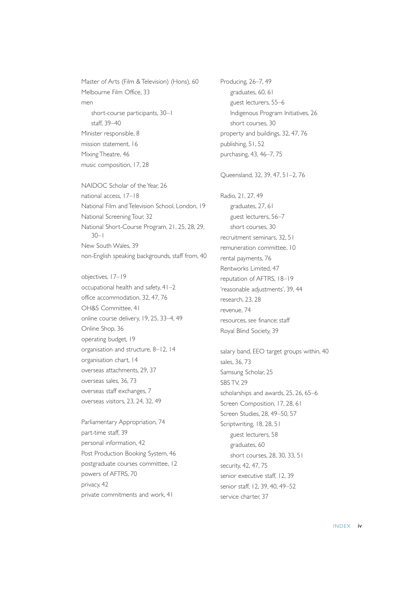Master of Arts (Film & Television) (Hons), 60 Melbourne Film Office, 33 men short-course participants, 30–1 staff, 39–40 Minister responsible, 8 mission statement, 16 Mixing Theatre, 46 music composition, 17, 28

NAIDOC Scholar of the Year, 26 national access, 17–18 National Film and Television School, London, 19 National Screening Tour, 32 National Short-Course Program, 21, 25, 28, 29, 30–1 New South Wales, 39 non-English speaking backgrounds, staff from, 40

objectives, 17–19 occupational health and safety, 41–2 office accommodation, 32, 47, 76 OH&S Committee, 41 online course delivery, 19, 25, 33–4, 49 Online Shop, 36 operating budget, 19 organisation and structure, 8–12, 14 organisation chart, 14 overseas attachments, 29, 37 overseas sales, 36, 73 overseas staff exchanges, 7 overseas visitors, 23, 24, 32, 49

Parliamentary Appropriation, 74 part-time staff, 39 personal information, 42 Post Production Booking System, 46 postgraduate courses committee, 12 powers of AFTRS, 70 privacy, 42 private commitments and work, 41

Producing, 26–7, 49 graduates, 60, 61 guest lecturers, 55–6 Indigenous Program Initiatives, 26 short courses, 30 property and buildings, 32, 47, 76 publishing, 51, 52 purchasing, 43, 46–7, 75 Queensland, 32, 39, 47, 51–2, 76 Radio, 21, 27, 49 graduates, 27, 61 guest lecturers, 56–7 short courses, 30 recruitment seminars, 32, 51 remuneration committee, 10 rental payments, 76 Rentworks Limited, 47 reputation of AFTRS, 18–19 'reasonable adjustments', 39, 44 research, 23, 28 revenue, 74 resources, *see* finance; staff Royal Blind Society, 39 salary band, EEO target groups within, 40 sales, 36, 73 Samsung Scholar, 25 SBS TV, 29 scholarships and awards, 25, 26, 65–6 Screen Composition, 17, 28, 61 Screen Studies, 28, 49–50, 57 Scriptwriting, 18, 28, 51 guest lecturers, 58 graduates, 60 short courses, 28, 30, 33, 51

senior executive staff, 12, 39 senior staff, 12, 39, 40, 49–52 service charter, 37

security, 42, 47, 75